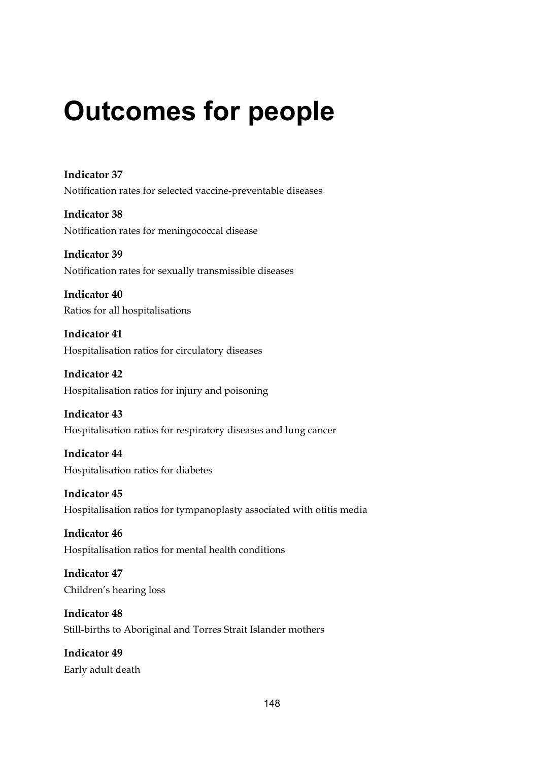# **Outcomes for people**

**Indicator 37**  Notification rates for selected vaccine-preventable diseases

**Indicator 38**  Notification rates for meningococcal disease

**Indicator 39**  Notification rates for sexually transmissible diseases

**Indicator 40**  Ratios for all hospitalisations

**Indicator 41**  Hospitalisation ratios for circulatory diseases

**Indicator 42**  Hospitalisation ratios for injury and poisoning

**Indicator 43**  Hospitalisation ratios for respiratory diseases and lung cancer

**Indicator 44**  Hospitalisation ratios for diabetes

**Indicator 45**  Hospitalisation ratios for tympanoplasty associated with otitis media

**Indicator 46**  Hospitalisation ratios for mental health conditions

**Indicator 47**  Children's hearing loss

**Indicator 48**  Still-births to Aboriginal and Torres Strait Islander mothers

**Indicator 49**  Early adult death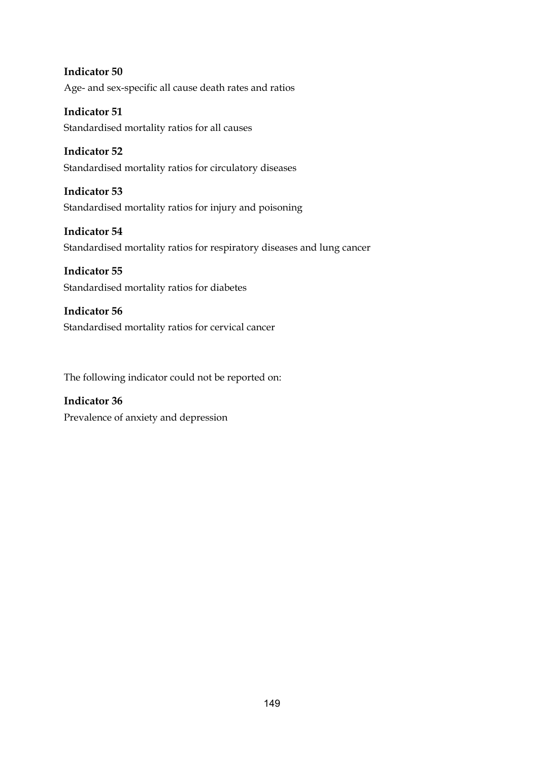**Indicator 50**  Age- and sex-specific all cause death rates and ratios

**Indicator 51**  Standardised mortality ratios for all causes

**Indicator 52**  Standardised mortality ratios for circulatory diseases

**Indicator 53**  Standardised mortality ratios for injury and poisoning

**Indicator 54**  Standardised mortality ratios for respiratory diseases and lung cancer

**Indicator 55**  Standardised mortality ratios for diabetes

**Indicator 56**  Standardised mortality ratios for cervical cancer

The following indicator could not be reported on:

**Indicator 36**  Prevalence of anxiety and depression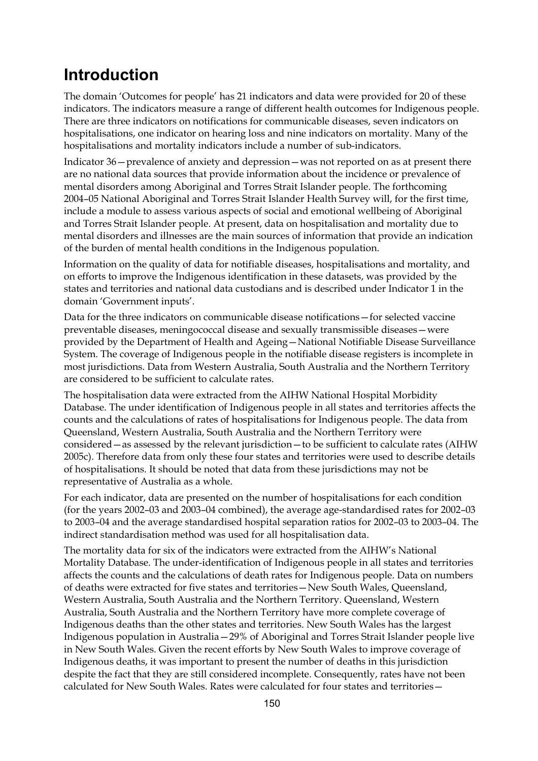# **Introduction**

The domain 'Outcomes for people' has 21 indicators and data were provided for 20 of these indicators. The indicators measure a range of different health outcomes for Indigenous people. There are three indicators on notifications for communicable diseases, seven indicators on hospitalisations, one indicator on hearing loss and nine indicators on mortality. Many of the hospitalisations and mortality indicators include a number of sub-indicators.

Indicator 36—prevalence of anxiety and depression—was not reported on as at present there are no national data sources that provide information about the incidence or prevalence of mental disorders among Aboriginal and Torres Strait Islander people. The forthcoming 2004–05 National Aboriginal and Torres Strait Islander Health Survey will, for the first time, include a module to assess various aspects of social and emotional wellbeing of Aboriginal and Torres Strait Islander people. At present, data on hospitalisation and mortality due to mental disorders and illnesses are the main sources of information that provide an indication of the burden of mental health conditions in the Indigenous population.

Information on the quality of data for notifiable diseases, hospitalisations and mortality, and on efforts to improve the Indigenous identification in these datasets, was provided by the states and territories and national data custodians and is described under Indicator 1 in the domain 'Government inputs'.

Data for the three indicators on communicable disease notifications—for selected vaccine preventable diseases, meningococcal disease and sexually transmissible diseases—were provided by the Department of Health and Ageing—National Notifiable Disease Surveillance System. The coverage of Indigenous people in the notifiable disease registers is incomplete in most jurisdictions. Data from Western Australia, South Australia and the Northern Territory are considered to be sufficient to calculate rates.

The hospitalisation data were extracted from the AIHW National Hospital Morbidity Database. The under identification of Indigenous people in all states and territories affects the counts and the calculations of rates of hospitalisations for Indigenous people. The data from Queensland, Western Australia, South Australia and the Northern Territory were considered—as assessed by the relevant jurisdiction—to be sufficient to calculate rates (AIHW 2005c). Therefore data from only these four states and territories were used to describe details of hospitalisations. It should be noted that data from these jurisdictions may not be representative of Australia as a whole.

For each indicator, data are presented on the number of hospitalisations for each condition (for the years 2002–03 and 2003–04 combined), the average age-standardised rates for 2002–03 to 2003–04 and the average standardised hospital separation ratios for 2002–03 to 2003–04. The indirect standardisation method was used for all hospitalisation data.

The mortality data for six of the indicators were extracted from the AIHW's National Mortality Database. The under-identification of Indigenous people in all states and territories affects the counts and the calculations of death rates for Indigenous people. Data on numbers of deaths were extracted for five states and territories—New South Wales, Queensland, Western Australia, South Australia and the Northern Territory. Queensland, Western Australia, South Australia and the Northern Territory have more complete coverage of Indigenous deaths than the other states and territories. New South Wales has the largest Indigenous population in Australia—29% of Aboriginal and Torres Strait Islander people live in New South Wales. Given the recent efforts by New South Wales to improve coverage of Indigenous deaths, it was important to present the number of deaths in this jurisdiction despite the fact that they are still considered incomplete. Consequently, rates have not been calculated for New South Wales. Rates were calculated for four states and territories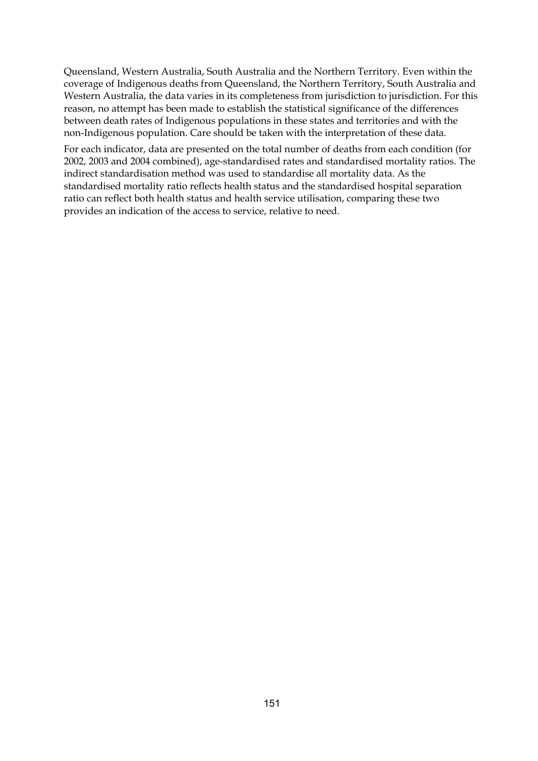Queensland, Western Australia, South Australia and the Northern Territory. Even within the coverage of Indigenous deaths from Queensland, the Northern Territory, South Australia and Western Australia, the data varies in its completeness from jurisdiction to jurisdiction. For this reason, no attempt has been made to establish the statistical significance of the differences between death rates of Indigenous populations in these states and territories and with the non-Indigenous population. Care should be taken with the interpretation of these data.

For each indicator, data are presented on the total number of deaths from each condition (for 2002, 2003 and 2004 combined), age-standardised rates and standardised mortality ratios. The indirect standardisation method was used to standardise all mortality data. As the standardised mortality ratio reflects health status and the standardised hospital separation ratio can reflect both health status and health service utilisation, comparing these two provides an indication of the access to service, relative to need.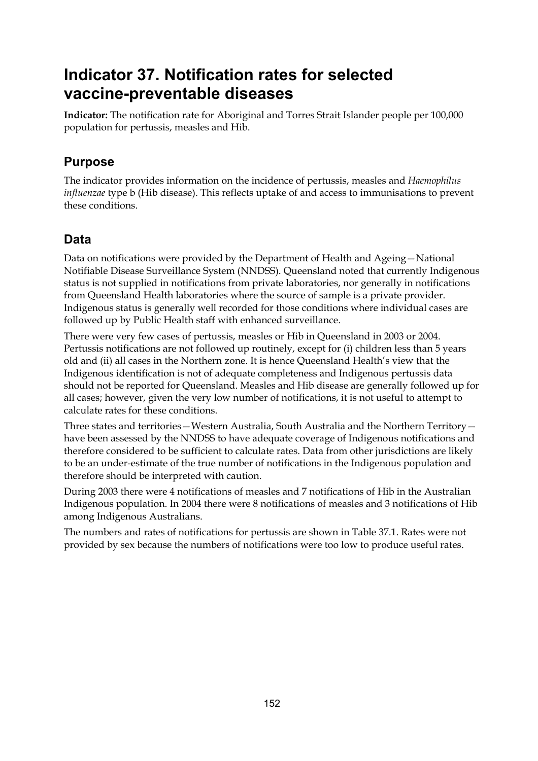# **Indicator 37. Notification rates for selected vaccine-preventable diseases**

**Indicator:** The notification rate for Aboriginal and Torres Strait Islander people per 100,000 population for pertussis, measles and Hib.

# **Purpose**

The indicator provides information on the incidence of pertussis, measles and *Haemophilus influenzae* type b (Hib disease). This reflects uptake of and access to immunisations to prevent these conditions.

# **Data**

Data on notifications were provided by the Department of Health and Ageing—National Notifiable Disease Surveillance System (NNDSS). Queensland noted that currently Indigenous status is not supplied in notifications from private laboratories, nor generally in notifications from Queensland Health laboratories where the source of sample is a private provider. Indigenous status is generally well recorded for those conditions where individual cases are followed up by Public Health staff with enhanced surveillance.

There were very few cases of pertussis, measles or Hib in Queensland in 2003 or 2004. Pertussis notifications are not followed up routinely, except for (i) children less than 5 years old and (ii) all cases in the Northern zone. It is hence Queensland Health's view that the Indigenous identification is not of adequate completeness and Indigenous pertussis data should not be reported for Queensland. Measles and Hib disease are generally followed up for all cases; however, given the very low number of notifications, it is not useful to attempt to calculate rates for these conditions.

Three states and territories—Western Australia, South Australia and the Northern Territory have been assessed by the NNDSS to have adequate coverage of Indigenous notifications and therefore considered to be sufficient to calculate rates. Data from other jurisdictions are likely to be an under-estimate of the true number of notifications in the Indigenous population and therefore should be interpreted with caution.

During 2003 there were 4 notifications of measles and 7 notifications of Hib in the Australian Indigenous population. In 2004 there were 8 notifications of measles and 3 notifications of Hib among Indigenous Australians.

The numbers and rates of notifications for pertussis are shown in Table 37.1. Rates were not provided by sex because the numbers of notifications were too low to produce useful rates.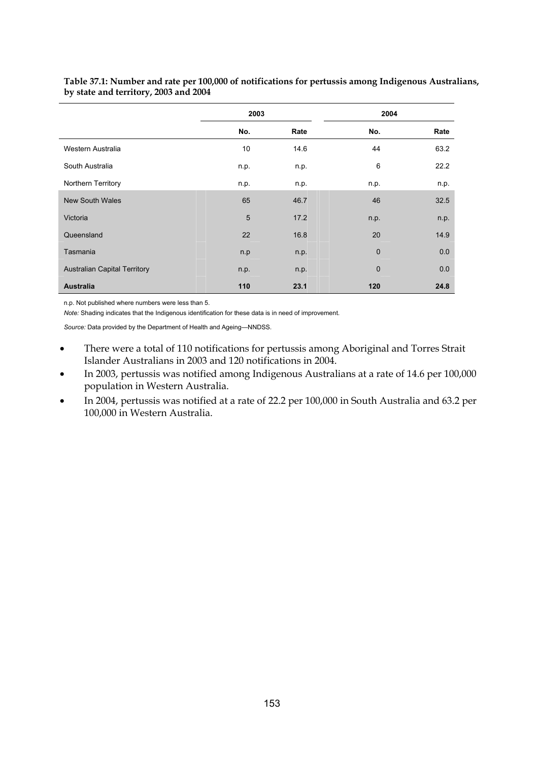|                                     | 2003 |      | 2004        |      |
|-------------------------------------|------|------|-------------|------|
|                                     | No.  | Rate | No.         | Rate |
| Western Australia                   | 10   | 14.6 | 44          | 63.2 |
| South Australia                     | n.p. | n.p. | 6           | 22.2 |
| Northern Territory                  | n.p. | n.p. | n.p.        | n.p. |
| <b>New South Wales</b>              | 65   | 46.7 | 46          | 32.5 |
| Victoria                            | 5    | 17.2 | n.p.        | n.p. |
| Queensland                          | 22   | 16.8 | 20          | 14.9 |
| Tasmania                            | n.p  | n.p. | $\mathbf 0$ | 0.0  |
| <b>Australian Capital Territory</b> | n.p. | n.p. | $\mathbf 0$ | 0.0  |
| <b>Australia</b>                    | 110  | 23.1 | 120         | 24.8 |

#### **Table 37.1: Number and rate per 100,000 of notifications for pertussis among Indigenous Australians, by state and territory, 2003 and 2004**

n.p. Not published where numbers were less than 5.

*Note:* Shading indicates that the Indigenous identification for these data is in need of improvement.

*Source:* Data provided by the Department of Health and Ageing—NNDSS.

- There were a total of 110 notifications for pertussis among Aboriginal and Torres Strait Islander Australians in 2003 and 120 notifications in 2004.
- In 2003, pertussis was notified among Indigenous Australians at a rate of 14.6 per 100,000 population in Western Australia.
- In 2004, pertussis was notified at a rate of 22.2 per 100,000 in South Australia and 63.2 per 100,000 in Western Australia.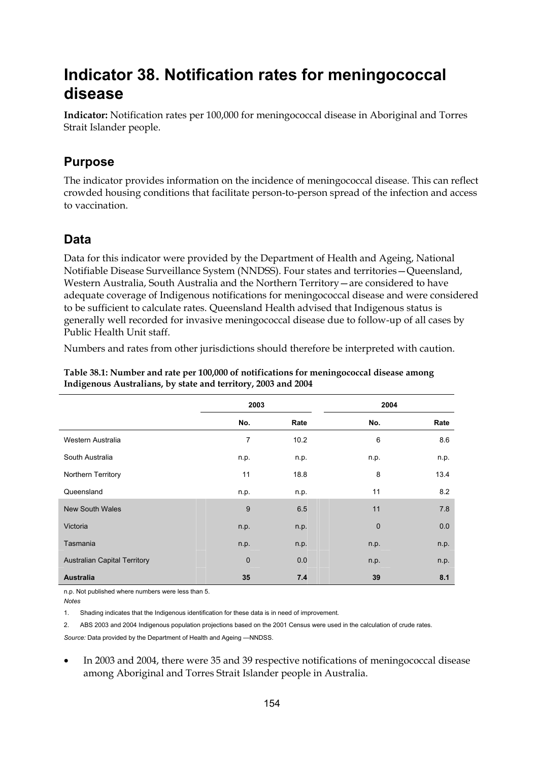# **Indicator 38. Notification rates for meningococcal disease**

**Indicator:** Notification rates per 100,000 for meningococcal disease in Aboriginal and Torres Strait Islander people.

## **Purpose**

The indicator provides information on the incidence of meningococcal disease. This can reflect crowded housing conditions that facilitate person-to-person spread of the infection and access to vaccination.

## **Data**

Data for this indicator were provided by the Department of Health and Ageing, National Notifiable Disease Surveillance System (NNDSS). Four states and territories—Queensland, Western Australia, South Australia and the Northern Territory—are considered to have adequate coverage of Indigenous notifications for meningococcal disease and were considered to be sufficient to calculate rates. Queensland Health advised that Indigenous status is generally well recorded for invasive meningococcal disease due to follow-up of all cases by Public Health Unit staff.

Numbers and rates from other jurisdictions should therefore be interpreted with caution.

|                                     | 2003        |      |             | 2004 |
|-------------------------------------|-------------|------|-------------|------|
|                                     | No.         | Rate | No.         | Rate |
| Western Australia                   | 7           | 10.2 | 6           | 8.6  |
| South Australia                     | n.p.        | n.p. | n.p.        | n.p. |
| Northern Territory                  | 11          | 18.8 | 8           | 13.4 |
| Queensland                          | n.p.        | n.p. | 11          | 8.2  |
| <b>New South Wales</b>              | 9           | 6.5  | 11          | 7.8  |
| Victoria                            | n.p.        | n.p. | $\mathbf 0$ | 0.0  |
| Tasmania                            | n.p.        | n.p. | n.p.        | n.p. |
| <b>Australian Capital Territory</b> | $\mathbf 0$ | 0.0  | n.p.        | n.p. |
| <b>Australia</b>                    | 35          | 7.4  | 39          | 8.1  |

**Table 38.1: Number and rate per 100,000 of notifications for meningococcal disease among Indigenous Australians, by state and territory, 2003 and 2004** 

n.p. Not published where numbers were less than 5.

*Notes* 

1. Shading indicates that the Indigenous identification for these data is in need of improvement.

2. ABS 2003 and 2004 Indigenous population projections based on the 2001 Census were used in the calculation of crude rates.

*Source:* Data provided by the Department of Health and Ageing —NNDSS.

• In 2003 and 2004, there were 35 and 39 respective notifications of meningococcal disease among Aboriginal and Torres Strait Islander people in Australia.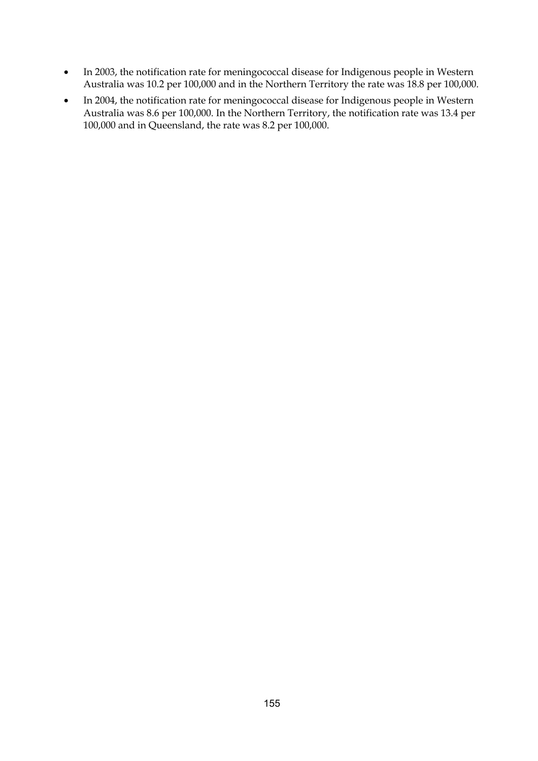- In 2003, the notification rate for meningococcal disease for Indigenous people in Western Australia was 10.2 per 100,000 and in the Northern Territory the rate was 18.8 per 100,000.
- In 2004, the notification rate for meningococcal disease for Indigenous people in Western Australia was 8.6 per 100,000. In the Northern Territory, the notification rate was 13.4 per 100,000 and in Queensland, the rate was 8.2 per 100,000.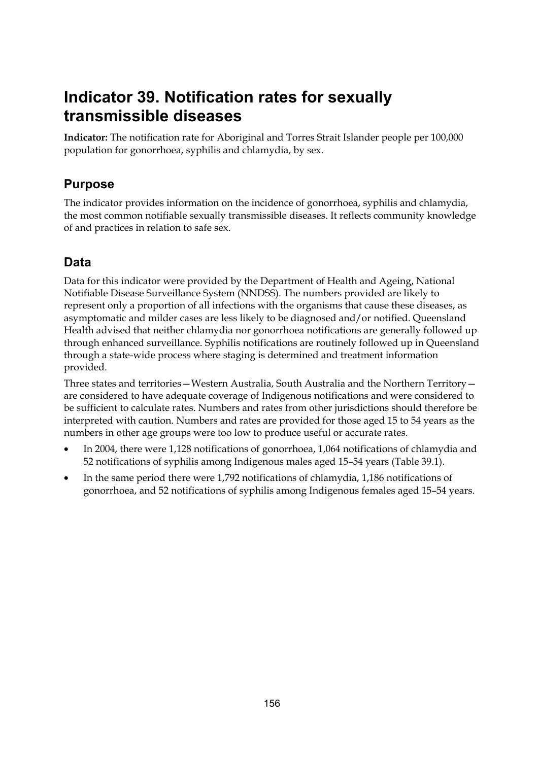# **Indicator 39. Notification rates for sexually transmissible diseases**

**Indicator:** The notification rate for Aboriginal and Torres Strait Islander people per 100,000 population for gonorrhoea, syphilis and chlamydia, by sex.

# **Purpose**

The indicator provides information on the incidence of gonorrhoea, syphilis and chlamydia, the most common notifiable sexually transmissible diseases. It reflects community knowledge of and practices in relation to safe sex.

# **Data**

Data for this indicator were provided by the Department of Health and Ageing, National Notifiable Disease Surveillance System (NNDSS). The numbers provided are likely to represent only a proportion of all infections with the organisms that cause these diseases, as asymptomatic and milder cases are less likely to be diagnosed and/or notified. Queensland Health advised that neither chlamydia nor gonorrhoea notifications are generally followed up through enhanced surveillance. Syphilis notifications are routinely followed up in Queensland through a state-wide process where staging is determined and treatment information provided.

Three states and territories—Western Australia, South Australia and the Northern Territory are considered to have adequate coverage of Indigenous notifications and were considered to be sufficient to calculate rates. Numbers and rates from other jurisdictions should therefore be interpreted with caution. Numbers and rates are provided for those aged 15 to 54 years as the numbers in other age groups were too low to produce useful or accurate rates.

- In 2004, there were 1,128 notifications of gonorrhoea, 1,064 notifications of chlamydia and 52 notifications of syphilis among Indigenous males aged 15–54 years (Table 39.1).
- In the same period there were 1,792 notifications of chlamydia, 1,186 notifications of gonorrhoea, and 52 notifications of syphilis among Indigenous females aged 15–54 years.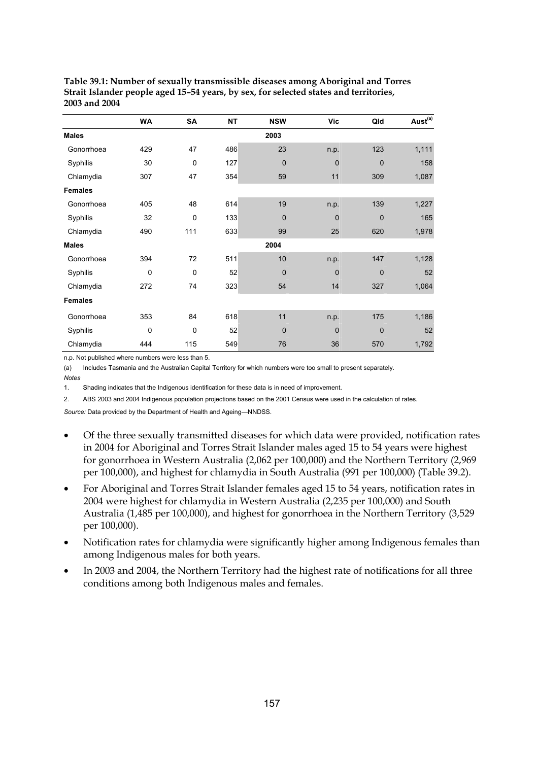|                | WA  | SA  | <b>NT</b> | <b>NSW</b>  | <b>Vic</b>   | Qld          | Aust <sup>(a)</sup> |
|----------------|-----|-----|-----------|-------------|--------------|--------------|---------------------|
| <b>Males</b>   |     |     |           | 2003        |              |              |                     |
| Gonorrhoea     | 429 | 47  | 486       | 23          | n.p.         | 123          | 1,111               |
| Syphilis       | 30  | 0   | 127       | $\mathbf 0$ | $\mathbf{0}$ | $\mathbf 0$  | 158                 |
| Chlamydia      | 307 | 47  | 354       | 59          | 11           | 309          | 1,087               |
| <b>Females</b> |     |     |           |             |              |              |                     |
| Gonorrhoea     | 405 | 48  | 614       | 19          | n.p.         | 139          | 1,227               |
| Syphilis       | 32  | 0   | 133       | $\mathbf 0$ | $\Omega$     | $\mathbf 0$  | 165                 |
| Chlamydia      | 490 | 111 | 633       | 99          | 25           | 620          | 1,978               |
| <b>Males</b>   |     |     |           | 2004        |              |              |                     |
| Gonorrhoea     | 394 | 72  | 511       | 10          | n p.         | 147          | 1,128               |
| Syphilis       | 0   | 0   | 52        | $\mathbf 0$ | $\mathbf{0}$ | $\mathbf{0}$ | 52                  |
| Chlamydia      | 272 | 74  | 323       | 54          | 14           | 327          | 1,064               |
| <b>Females</b> |     |     |           |             |              |              |                     |
| Gonorrhoea     | 353 | 84  | 618       | 11          | n.p.         | 175          | 1,186               |
| Syphilis       | 0   | 0   | 52        | $\mathbf 0$ | $\mathbf 0$  | $\mathbf 0$  | 52                  |
| Chlamydia      | 444 | 115 | 549       | 76          | 36           | 570          | 1,792               |

**Table 39.1: Number of sexually transmissible diseases among Aboriginal and Torres Strait Islander people aged 15–54 years, by sex, for selected states and territories, 2003 and 2004** 

n.p. Not published where numbers were less than 5.

(a) Includes Tasmania and the Australian Capital Territory for which numbers were too small to present separately.

*Notes* 

1. Shading indicates that the Indigenous identification for these data is in need of improvement.

2. ABS 2003 and 2004 Indigenous population projections based on the 2001 Census were used in the calculation of rates.

*Source:* Data provided by the Department of Health and Ageing—NNDSS.

- Of the three sexually transmitted diseases for which data were provided, notification rates in 2004 for Aboriginal and Torres Strait Islander males aged 15 to 54 years were highest for gonorrhoea in Western Australia (2,062 per 100,000) and the Northern Territory (2,969 per 100,000), and highest for chlamydia in South Australia (991 per 100,000) (Table 39.2).
- For Aboriginal and Torres Strait Islander females aged 15 to 54 years, notification rates in 2004 were highest for chlamydia in Western Australia (2,235 per 100,000) and South Australia (1,485 per 100,000), and highest for gonorrhoea in the Northern Territory (3,529 per 100,000).
- Notification rates for chlamydia were significantly higher among Indigenous females than among Indigenous males for both years.
- In 2003 and 2004, the Northern Territory had the highest rate of notifications for all three conditions among both Indigenous males and females.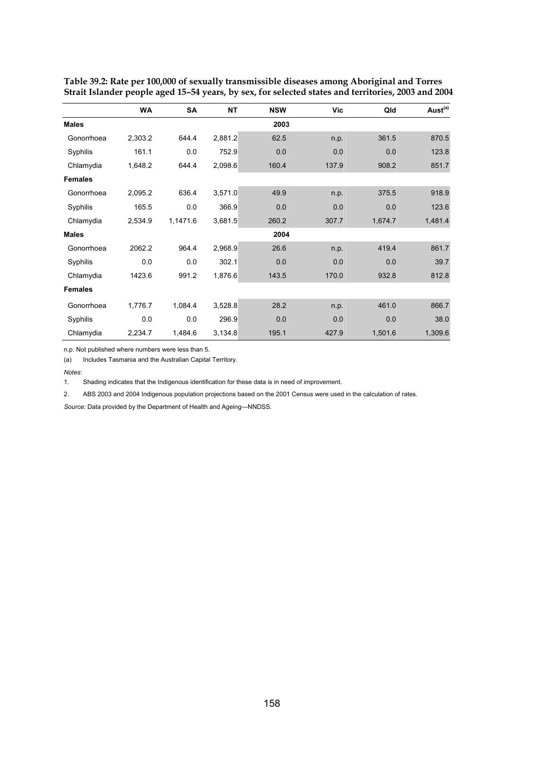|                | <b>WA</b> | SA       | NT      | <b>NSW</b> | Vic   | Qld     | Aust <sup>(a)</sup> |
|----------------|-----------|----------|---------|------------|-------|---------|---------------------|
| <b>Males</b>   |           |          |         | 2003       |       |         |                     |
| Gonorrhoea     | 2,303.2   | 644.4    | 2,881.2 | 62.5       | n.p.  | 361.5   | 870.5               |
| Syphilis       | 161.1     | 0.0      | 752.9   | 0.0        | 0.0   | 0.0     | 123.8               |
| Chlamydia      | 1,648.2   | 644.4    | 2,098.6 | 160.4      | 137.9 | 908.2   | 851.7               |
| <b>Females</b> |           |          |         |            |       |         |                     |
| Gonorrhoea     | 2,095.2   | 636.4    | 3,571.0 | 49.9       | n.p.  | 375.5   | 918.9               |
| Syphilis       | 165.5     | 0.0      | 366.9   | 0.0        | 0.0   | 0.0     | 123.6               |
| Chlamydia      | 2,534.9   | 1,1471.6 | 3,681.5 | 260.2      | 307.7 | 1,674.7 | 1,481.4             |
| <b>Males</b>   |           |          |         | 2004       |       |         |                     |
| Gonorrhoea     | 2062.2    | 964.4    | 2,968.9 | 26.6       | n.p.  | 419.4   | 861.7               |
| Syphilis       | 0.0       | 0.0      | 302.1   | 0.0        | 0.0   | 0.0     | 39.7                |
| Chlamydia      | 1423.6    | 991.2    | 1,876.6 | 143.5      | 170.0 | 932.8   | 812.8               |
| <b>Females</b> |           |          |         |            |       |         |                     |
| Gonorrhoea     | 1,776.7   | 1,084.4  | 3,528.8 | 28.2       | n.p.  | 461.0   | 866.7               |
| Syphilis       | 0.0       | 0.0      | 296.9   | 0.0        | 0.0   | 0.0     | 38.0                |
| Chlamydia      | 2,234.7   | 1,484.6  | 3,134.8 | 195.1      | 427.9 | 1,501.6 | 1,309.6             |

**Table 39.2: Rate per 100,000 of sexually transmissible diseases among Aboriginal and Torres Strait Islander people aged 15–54 years, by sex, for selected states and territories, 2003 and 2004** 

n.p. Not published where numbers were less than 5.

(a) Includes Tasmania and the Australian Capital Territory.

*Notes*:

1. Shading indicates that the Indigenous identification for these data is in need of improvement.

2. ABS 2003 and 2004 Indigenous population projections based on the 2001 Census were used in the calculation of rates.

*Source:* Data provided by the Department of Health and Ageing—NNDSS.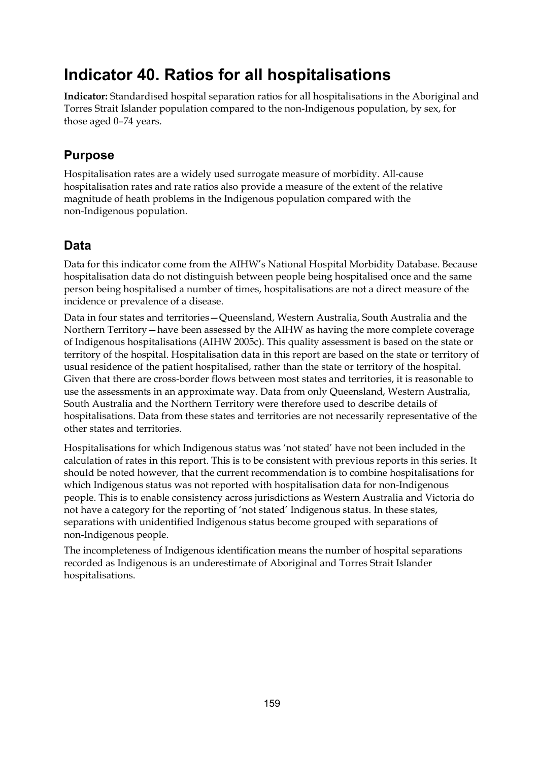# **Indicator 40. Ratios for all hospitalisations**

**Indicator:** Standardised hospital separation ratios for all hospitalisations in the Aboriginal and Torres Strait Islander population compared to the non-Indigenous population, by sex, for those aged 0–74 years.

# **Purpose**

Hospitalisation rates are a widely used surrogate measure of morbidity. All-cause hospitalisation rates and rate ratios also provide a measure of the extent of the relative magnitude of heath problems in the Indigenous population compared with the non-Indigenous population.

# **Data**

Data for this indicator come from the AIHW's National Hospital Morbidity Database. Because hospitalisation data do not distinguish between people being hospitalised once and the same person being hospitalised a number of times, hospitalisations are not a direct measure of the incidence or prevalence of a disease.

Data in four states and territories—Queensland, Western Australia, South Australia and the Northern Territory—have been assessed by the AIHW as having the more complete coverage of Indigenous hospitalisations (AIHW 2005c). This quality assessment is based on the state or territory of the hospital. Hospitalisation data in this report are based on the state or territory of usual residence of the patient hospitalised, rather than the state or territory of the hospital. Given that there are cross-border flows between most states and territories, it is reasonable to use the assessments in an approximate way. Data from only Queensland, Western Australia, South Australia and the Northern Territory were therefore used to describe details of hospitalisations. Data from these states and territories are not necessarily representative of the other states and territories.

Hospitalisations for which Indigenous status was 'not stated' have not been included in the calculation of rates in this report. This is to be consistent with previous reports in this series. It should be noted however, that the current recommendation is to combine hospitalisations for which Indigenous status was not reported with hospitalisation data for non-Indigenous people. This is to enable consistency across jurisdictions as Western Australia and Victoria do not have a category for the reporting of 'not stated' Indigenous status. In these states, separations with unidentified Indigenous status become grouped with separations of non-Indigenous people.

The incompleteness of Indigenous identification means the number of hospital separations recorded as Indigenous is an underestimate of Aboriginal and Torres Strait Islander hospitalisations.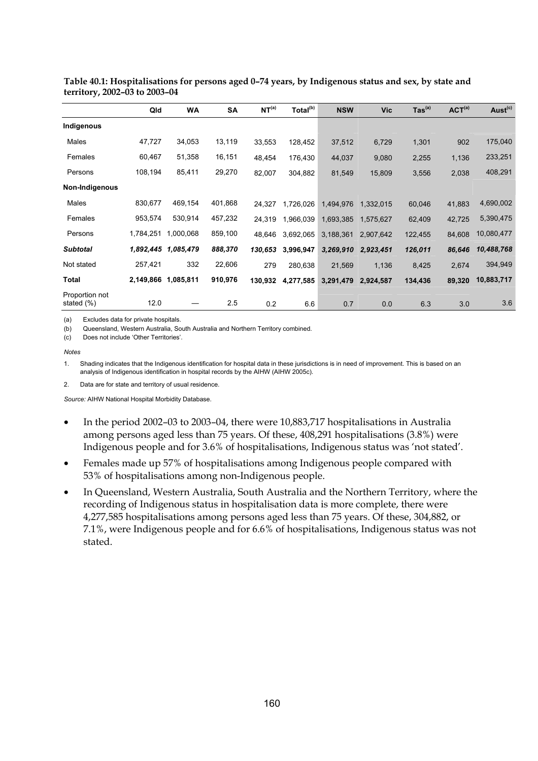|                              | Qld       | <b>WA</b>           | <b>SA</b> | NT <sup>(a)</sup> | Total <sup>(b)</sup> | <b>NSW</b> | <b>Vic</b> | $\mathsf{ Tas}^\mathsf{(a)}$ | ACT <sup>(a)</sup> | Aust <sup>(c)</sup> |
|------------------------------|-----------|---------------------|-----------|-------------------|----------------------|------------|------------|------------------------------|--------------------|---------------------|
| Indigenous                   |           |                     |           |                   |                      |            |            |                              |                    |                     |
| Males                        | 47,727    | 34,053              | 13,119    | 33,553            | 128,452              | 37,512     | 6,729      | 1,301                        | 902                | 175,040             |
| Females                      | 60,467    | 51,358              | 16,151    | 48,454            | 176,430              | 44,037     | 9,080      | 2,255                        | 1,136              | 233,251             |
| Persons                      | 108,194   | 85,411              | 29,270    | 82,007            | 304,882              | 81,549     | 15,809     | 3,556                        | 2,038              | 408,291             |
| Non-Indigenous               |           |                     |           |                   |                      |            |            |                              |                    |                     |
| Males                        | 830,677   | 469,154             | 401,868   | 24,327            | 1,726,026            | 1,494,976  | 1,332,015  | 60,046                       | 41,883             | 4,690,002           |
| Females                      | 953,574   | 530,914             | 457,232   | 24,319            | 1,966,039            | 1,693,385  | 1,575,627  | 62,409                       | 42,725             | 5,390,475           |
| Persons                      | 1,784,251 | 1,000,068           | 859,100   | 48,646            | 3,692,065            | 3,188,361  | 2,907,642  | 122,455                      | 84,608             | 10,080,477          |
| <b>Subtotal</b>              | 1,892,445 | 1,085,479           | 888,370   | 130,653           | 3,996,947            | 3,269,910  | 2,923,451  | 126,011                      | 86,646             | 10,488,768          |
| Not stated                   | 257,421   | 332                 | 22,606    | 279               | 280,638              | 21,569     | 1,136      | 8,425                        | 2,674              | 394,949             |
| <b>Total</b>                 |           | 2,149,866 1,085,811 | 910,976   | 130,932           | 4,277,585            | 3,291,479  | 2,924,587  | 134,436                      | 89,320             | 10,883,717          |
| Proportion not<br>stated (%) | 12.0      |                     | 2.5       | 0.2               | 6.6                  | 0.7        | 0.0        | 6.3                          | 3.0                | 3.6                 |

**Table 40.1: Hospitalisations for persons aged 0–74 years, by Indigenous status and sex, by state and territory, 2002–03 to 2003–04** 

(a) Excludes data for private hospitals.

(b) Queensland, Western Australia, South Australia and Northern Territory combined.

(c) Does not include 'Other Territories'.

*Notes* 

1. Shading indicates that the Indigenous identification for hospital data in these jurisdictions is in need of improvement. This is based on an analysis of Indigenous identification in hospital records by the AIHW (AIHW 2005c).

2. Data are for state and territory of usual residence.

- In the period 2002–03 to 2003–04, there were 10,883,717 hospitalisations in Australia among persons aged less than 75 years. Of these, 408,291 hospitalisations (3.8%) were Indigenous people and for 3.6% of hospitalisations, Indigenous status was 'not stated'.
- Females made up 57% of hospitalisations among Indigenous people compared with 53% of hospitalisations among non-Indigenous people.
- In Queensland, Western Australia, South Australia and the Northern Territory, where the recording of Indigenous status in hospitalisation data is more complete, there were 4,277,585 hospitalisations among persons aged less than 75 years. Of these, 304,882, or 7.1%, were Indigenous people and for 6.6% of hospitalisations, Indigenous status was not stated.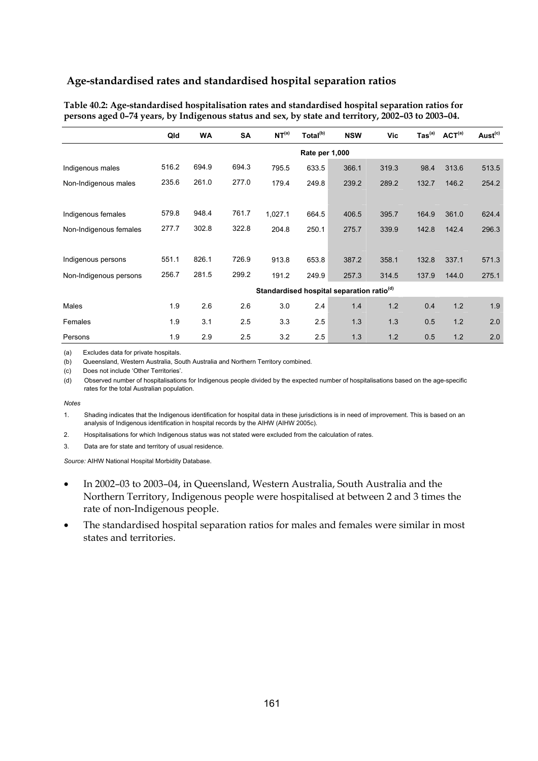| Table 40.2: Age-standardised hospitalisation rates and standardised hospital separation ratios for |
|----------------------------------------------------------------------------------------------------|
| persons aged 0-74 years, by Indigenous status and sex, by state and territory, 2002-03 to 2003-04. |

|                        | Qld   | <b>WA</b> | <b>SA</b> | NT <sup>(a)</sup>                                     | Total <sup>(b)</sup> | <b>NSW</b> | Vic   | $\mathsf{ Tas}^\mathsf{(a)}$ | ACT <sup>(a)</sup> | Aust <sup>(c)</sup> |
|------------------------|-------|-----------|-----------|-------------------------------------------------------|----------------------|------------|-------|------------------------------|--------------------|---------------------|
|                        |       |           |           |                                                       | Rate per 1,000       |            |       |                              |                    |                     |
| Indigenous males       | 516.2 | 694.9     | 694.3     | 795.5                                                 | 633.5                | 366.1      | 319.3 | 98.4                         | 313.6              | 513.5               |
| Non-Indigenous males   | 235.6 | 261.0     | 277.0     | 179.4                                                 | 249.8                | 239.2      | 289.2 | 132.7                        | 146.2              | 254.2               |
|                        |       |           |           |                                                       |                      |            |       |                              |                    |                     |
| Indigenous females     | 579.8 | 948.4     | 761.7     | 1,027.1                                               | 664.5                | 406.5      | 395.7 | 164.9                        | 361.0              | 624.4               |
| Non-Indigenous females | 277.7 | 302.8     | 322.8     | 204.8                                                 | 250.1                | 275.7      | 339.9 | 142.8                        | 142.4              | 296.3               |
|                        |       |           |           |                                                       |                      |            |       |                              |                    |                     |
| Indigenous persons     | 551.1 | 826.1     | 726.9     | 913.8                                                 | 653.8                | 387.2      | 358.1 | 132.8                        | 337.1              | 571.3               |
| Non-Indigenous persons | 256.7 | 281.5     | 299.2     | 191.2                                                 | 249.9                | 257.3      | 314.5 | 137.9                        | 144.0              | 275.1               |
|                        |       |           |           | Standardised hospital separation ratio <sup>(d)</sup> |                      |            |       |                              |                    |                     |
| Males                  | 1.9   | 2.6       | 2.6       | 3.0                                                   | 2.4                  | 1.4        | 1.2   | 0.4                          | 1.2                | 1.9                 |
| Females                | 1.9   | 3.1       | 2.5       | 3.3                                                   | 2.5                  | 1.3        | 1.3   | 0.5                          | 1.2                | 2.0                 |
| Persons                | 1.9   | 2.9       | 2.5       | 3.2                                                   | 2.5                  | 1.3        | 1.2   | 0.5                          | 1.2                | 2.0                 |

(a) Excludes data for private hospitals.

(b) Queensland, Western Australia, South Australia and Northern Territory combined.

(c) Does not include 'Other Territories'.

(d) Observed number of hospitalisations for Indigenous people divided by the expected number of hospitalisations based on the age-specific rates for the total Australian population.

*Notes* 

1. Shading indicates that the Indigenous identification for hospital data in these jurisdictions is in need of improvement. This is based on an analysis of Indigenous identification in hospital records by the AIHW (AIHW 2005c).

2. Hospitalisations for which Indigenous status was not stated were excluded from the calculation of rates.

3. Data are for state and territory of usual residence.

- In 2002–03 to 2003–04, in Queensland, Western Australia, South Australia and the Northern Territory, Indigenous people were hospitalised at between 2 and 3 times the rate of non-Indigenous people.
- The standardised hospital separation ratios for males and females were similar in most states and territories.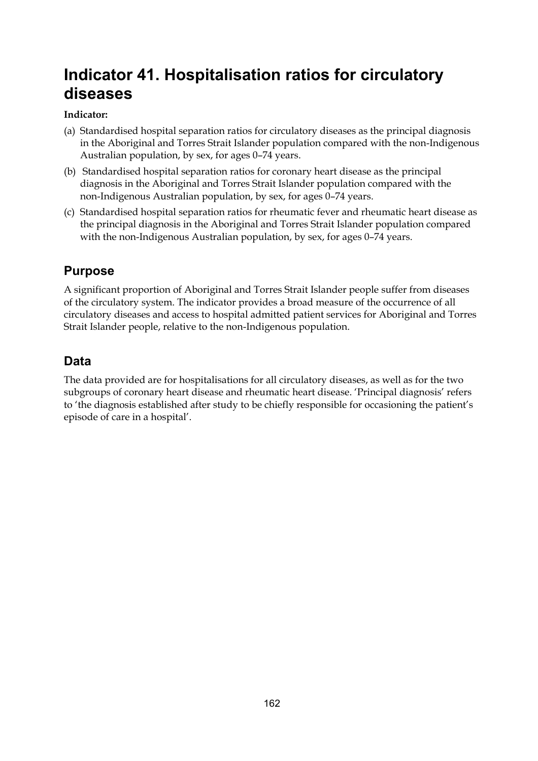# **Indicator 41. Hospitalisation ratios for circulatory diseases**

## **Indicator:**

- (a) Standardised hospital separation ratios for circulatory diseases as the principal diagnosis in the Aboriginal and Torres Strait Islander population compared with the non-Indigenous Australian population, by sex, for ages 0–74 years.
- (b) Standardised hospital separation ratios for coronary heart disease as the principal diagnosis in the Aboriginal and Torres Strait Islander population compared with the non-Indigenous Australian population, by sex, for ages 0–74 years.
- (c) Standardised hospital separation ratios for rheumatic fever and rheumatic heart disease as the principal diagnosis in the Aboriginal and Torres Strait Islander population compared with the non-Indigenous Australian population, by sex, for ages 0–74 years.

# **Purpose**

A significant proportion of Aboriginal and Torres Strait Islander people suffer from diseases of the circulatory system. The indicator provides a broad measure of the occurrence of all circulatory diseases and access to hospital admitted patient services for Aboriginal and Torres Strait Islander people, relative to the non-Indigenous population.

# **Data**

The data provided are for hospitalisations for all circulatory diseases, as well as for the two subgroups of coronary heart disease and rheumatic heart disease. 'Principal diagnosis' refers to 'the diagnosis established after study to be chiefly responsible for occasioning the patient's episode of care in a hospital'.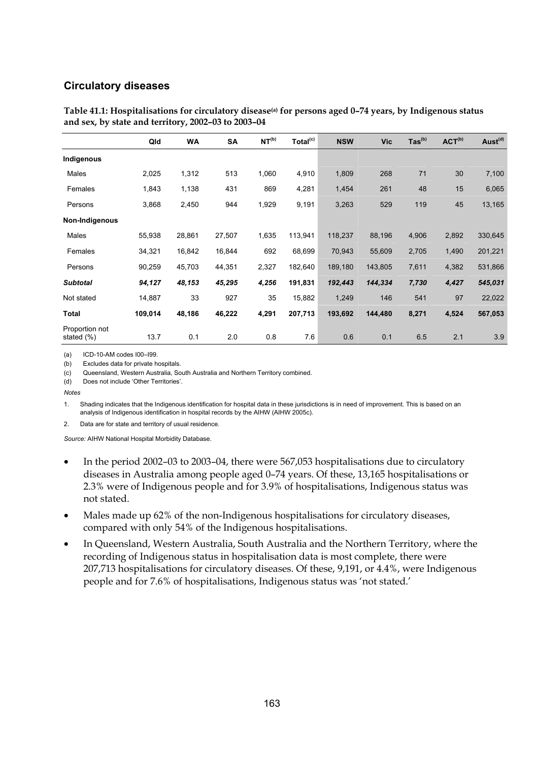#### **Circulatory diseases**

|                              | Qld     | <b>WA</b> | SA     | NT <sup>(b)</sup> | Total <sup>(c)</sup> | <b>NSW</b> | <b>Vic</b> | $\text{Tas}^{(b)}$ | ACT <sup>(b)</sup> | Aust <sup>(d)</sup> |
|------------------------------|---------|-----------|--------|-------------------|----------------------|------------|------------|--------------------|--------------------|---------------------|
| Indigenous                   |         |           |        |                   |                      |            |            |                    |                    |                     |
| Males                        | 2,025   | 1,312     | 513    | 1,060             | 4,910                | 1,809      | 268        | 71                 | 30                 | 7,100               |
| Females                      | 1,843   | 1,138     | 431    | 869               | 4,281                | 1,454      | 261        | 48                 | 15                 | 6,065               |
| Persons                      | 3,868   | 2,450     | 944    | 1,929             | 9,191                | 3,263      | 529        | 119                | 45                 | 13,165              |
| Non-Indigenous               |         |           |        |                   |                      |            |            |                    |                    |                     |
| Males                        | 55,938  | 28,861    | 27,507 | 1,635             | 113,941              | 118,237    | 88,196     | 4,906              | 2,892              | 330,645             |
| Females                      | 34,321  | 16,842    | 16,844 | 692               | 68,699               | 70,943     | 55,609     | 2,705              | 1,490              | 201,221             |
| Persons                      | 90,259  | 45,703    | 44,351 | 2,327             | 182,640              | 189,180    | 143,805    | 7,611              | 4,382              | 531,866             |
| <b>Subtotal</b>              | 94,127  | 48,153    | 45,295 | 4,256             | 191,831              | 192,443    | 144,334    | 7,730              | 4,427              | 545,031             |
| Not stated                   | 14,887  | 33        | 927    | 35                | 15,882               | 1,249      | 146        | 541                | 97                 | 22,022              |
| Total                        | 109,014 | 48,186    | 46,222 | 4,291             | 207,713              | 193,692    | 144,480    | 8,271              | 4,524              | 567,053             |
| Proportion not<br>stated (%) | 13.7    | 0.1       | 2.0    | 0.8               | 7.6                  | 0.6        | 0.1        | 6.5                | 2.1                | 3.9                 |

**Table 41.1: Hospitalisations for circulatory disease(a) for persons aged 0–74 years, by Indigenous status and sex, by state and territory, 2002–03 to 2003–04** 

(a) ICD-10-AM codes I00–I99.

(b) Excludes data for private hospitals.

(c) Queensland, Western Australia, South Australia and Northern Territory combined.

(d) Does not include 'Other Territories'.

*Notes* 

1. Shading indicates that the Indigenous identification for hospital data in these jurisdictions is in need of improvement. This is based on an analysis of Indigenous identification in hospital records by the AIHW (AIHW 2005c).

2. Data are for state and territory of usual residence.

- In the period 2002–03 to 2003–04, there were 567,053 hospitalisations due to circulatory diseases in Australia among people aged 0–74 years. Of these, 13,165 hospitalisations or 2.3% were of Indigenous people and for 3.9% of hospitalisations, Indigenous status was not stated.
- Males made up 62% of the non-Indigenous hospitalisations for circulatory diseases, compared with only 54% of the Indigenous hospitalisations.
- In Queensland, Western Australia, South Australia and the Northern Territory, where the recording of Indigenous status in hospitalisation data is most complete, there were 207,713 hospitalisations for circulatory diseases. Of these, 9,191, or 4.4%, were Indigenous people and for 7.6% of hospitalisations, Indigenous status was 'not stated.'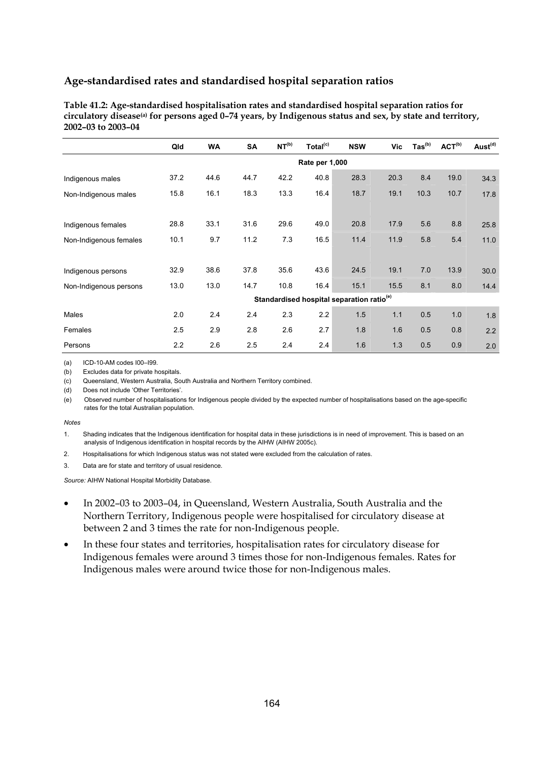| Table 41.2: Age-standardised hospitalisation rates and standardised hospital separation ratios for                    |
|-----------------------------------------------------------------------------------------------------------------------|
| circulatory disease <sup>(a)</sup> for persons aged 0-74 years, by Indigenous status and sex, by state and territory, |
| 2002-03 to 2003-04                                                                                                    |

|                        | Qld  | <b>WA</b> | SA   | NT <sup>(b)</sup> | Total <sup>(c)</sup>                                  | <b>NSW</b> | Vic  | $\text{ Tas}^{\text{(b)}}$ | ACT <sup>(b)</sup> | Aust <sup>(d)</sup> |
|------------------------|------|-----------|------|-------------------|-------------------------------------------------------|------------|------|----------------------------|--------------------|---------------------|
|                        |      |           |      |                   | Rate per 1,000                                        |            |      |                            |                    |                     |
| Indigenous males       | 37.2 | 44.6      | 44.7 | 42.2              | 40.8                                                  | 28.3       | 20.3 | 8.4                        | 19.0               | 34.3                |
| Non-Indigenous males   | 15.8 | 16.1      | 18.3 | 13.3              | 16.4                                                  | 18.7       | 19.1 | 10.3                       | 10.7               | 17.8                |
|                        |      |           |      |                   |                                                       |            |      |                            |                    |                     |
| Indigenous females     | 28.8 | 33.1      | 31.6 | 29.6              | 49.0                                                  | 20.8       | 17.9 | 5.6                        | 8.8                | 25.8                |
| Non-Indigenous females | 10.1 | 9.7       | 11.2 | 7.3               | 16.5                                                  | 11.4       | 11.9 | 5.8                        | 5.4                | 11.0                |
|                        |      |           |      |                   |                                                       |            |      |                            |                    |                     |
| Indigenous persons     | 32.9 | 38.6      | 37.8 | 35.6              | 43.6                                                  | 24.5       | 19.1 | 7.0                        | 13.9               | 30.0                |
| Non-Indigenous persons | 13.0 | 13.0      | 14.7 | 10.8              | 16.4                                                  | 15.1       | 15.5 | 8.1                        | 8.0                | 14.4                |
|                        |      |           |      |                   | Standardised hospital separation ratio <sup>(e)</sup> |            |      |                            |                    |                     |
| Males                  | 2.0  | 2.4       | 2.4  | 2.3               | 2.2                                                   | 1.5        | 1.1  | 0.5                        | 1.0                | 1.8                 |
| Females                | 2.5  | 2.9       | 2.8  | 2.6               | 2.7                                                   | 1.8        | 1.6  | 0.5                        | 0.8                | 2.2                 |
| Persons                | 2.2  | 2.6       | 2.5  | 2.4               | 2.4                                                   | 1.6        | 1.3  | 0.5                        | 0.9                | 2.0                 |

(a) ICD-10-AM codes I00–I99.

(b) Excludes data for private hospitals.

(c) Queensland, Western Australia, South Australia and Northern Territory combined.

(d) Does not include 'Other Territories'.

(e) Observed number of hospitalisations for Indigenous people divided by the expected number of hospitalisations based on the age-specific rates for the total Australian population.

#### *Notes*

1. Shading indicates that the Indigenous identification for hospital data in these jurisdictions is in need of improvement. This is based on an analysis of Indigenous identification in hospital records by the AIHW (AIHW 2005c).

- 2. Hospitalisations for which Indigenous status was not stated were excluded from the calculation of rates.
- 3. Data are for state and territory of usual residence.

- In 2002–03 to 2003–04, in Queensland, Western Australia, South Australia and the Northern Territory, Indigenous people were hospitalised for circulatory disease at between 2 and 3 times the rate for non-Indigenous people.
- In these four states and territories, hospitalisation rates for circulatory disease for Indigenous females were around 3 times those for non-Indigenous females. Rates for Indigenous males were around twice those for non-Indigenous males.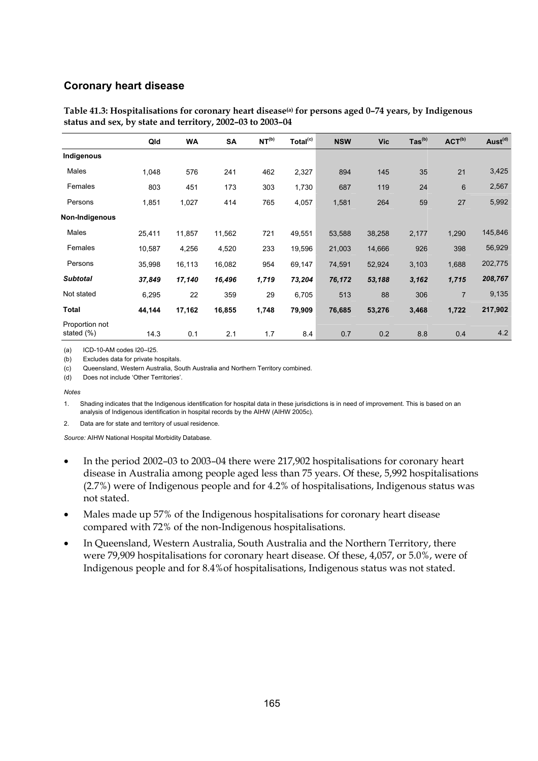#### **Coronary heart disease**

|                              | Qld    | <b>WA</b> | <b>SA</b> | NT <sup>(b)</sup> | Total <sup>(c)</sup> | <b>NSW</b> | <b>Vic</b> | $\text{Tas}^{\text{(b)}}$ | ACT <sup>(b)</sup> | Aust <sup>(d)</sup> |
|------------------------------|--------|-----------|-----------|-------------------|----------------------|------------|------------|---------------------------|--------------------|---------------------|
| Indigenous                   |        |           |           |                   |                      |            |            |                           |                    |                     |
| Males                        | 1,048  | 576       | 241       | 462               | 2,327                | 894        | 145        | 35                        | 21                 | 3,425               |
| Females                      | 803    | 451       | 173       | 303               | 1,730                | 687        | 119        | 24                        | 6                  | 2,567               |
| Persons                      | 1,851  | 1,027     | 414       | 765               | 4,057                | 1,581      | 264        | 59                        | 27                 | 5,992               |
| Non-Indigenous               |        |           |           |                   |                      |            |            |                           |                    |                     |
| Males                        | 25,411 | 11,857    | 11,562    | 721               | 49,551               | 53,588     | 38,258     | 2,177                     | 1,290              | 145,846             |
| Females                      | 10,587 | 4,256     | 4,520     | 233               | 19,596               | 21,003     | 14,666     | 926                       | 398                | 56,929              |
| Persons                      | 35,998 | 16,113    | 16,082    | 954               | 69,147               | 74,591     | 52,924     | 3,103                     | 1,688              | 202,775             |
| <b>Subtotal</b>              | 37,849 | 17,140    | 16,496    | 1,719             | 73,204               | 76,172     | 53,188     | 3,162                     | 1,715              | 208,767             |
| Not stated                   | 6,295  | 22        | 359       | 29                | 6,705                | 513        | 88         | 306                       | $\overline{7}$     | 9,135               |
| Total                        | 44,144 | 17,162    | 16,855    | 1,748             | 79,909               | 76,685     | 53,276     | 3,468                     | 1,722              | 217,902             |
| Proportion not<br>stated (%) | 14.3   | 0.1       | 2.1       | 1.7               | 8.4                  | 0.7        | 0.2        | 8.8                       | 0.4                | 4.2                 |

Table 41.3: Hospitalisations for coronary heart disease<sup>(a)</sup> for persons aged 0–74 years, by Indigenous **status and sex, by state and territory, 2002–03 to 2003–04** 

(a) ICD-10-AM codes I20–I25.

(b) Excludes data for private hospitals.

(c) Queensland, Western Australia, South Australia and Northern Territory combined.

(d) Does not include 'Other Territories'.

*Notes* 

1. Shading indicates that the Indigenous identification for hospital data in these jurisdictions is in need of improvement. This is based on an analysis of Indigenous identification in hospital records by the AIHW (AIHW 2005c).

2. Data are for state and territory of usual residence.

- In the period 2002–03 to 2003–04 there were 217,902 hospitalisations for coronary heart disease in Australia among people aged less than 75 years. Of these, 5,992 hospitalisations (2.7%) were of Indigenous people and for 4.2% of hospitalisations, Indigenous status was not stated.
- Males made up 57% of the Indigenous hospitalisations for coronary heart disease compared with 72% of the non-Indigenous hospitalisations.
- In Queensland, Western Australia, South Australia and the Northern Territory, there were 79,909 hospitalisations for coronary heart disease. Of these, 4,057, or 5.0%, were of Indigenous people and for 8.4%of hospitalisations, Indigenous status was not stated.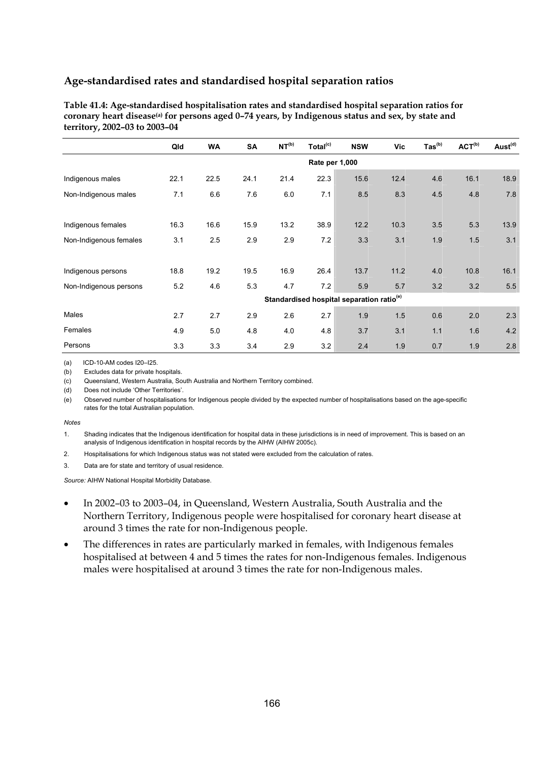| Table 41.4: Age-standardised hospitalisation rates and standardised hospital separation ratios for            |
|---------------------------------------------------------------------------------------------------------------|
| coronary heart disease <sup>(a)</sup> for persons aged 0-74 years, by Indigenous status and sex, by state and |
| territory, 2002–03 to 2003–04                                                                                 |

|                        | Qld            | <b>WA</b> | <b>SA</b> | NT <sup>(b)</sup>                                     | Total <sup>(c)</sup> | <b>NSW</b> | Vic  | $\text{Tas}^{(b)}$ | ACT <sup>(b)</sup> | Aust <sup>(d)</sup> |
|------------------------|----------------|-----------|-----------|-------------------------------------------------------|----------------------|------------|------|--------------------|--------------------|---------------------|
|                        | Rate per 1,000 |           |           |                                                       |                      |            |      |                    |                    |                     |
| Indigenous males       | 22.1           | 22.5      | 24.1      | 21.4                                                  | 22.3                 | 15.6       | 12.4 | 4.6                | 16.1               | 18.9                |
| Non-Indigenous males   | 7.1            | 6.6       | 7.6       | 6.0                                                   | 7.1                  | 8.5        | 8.3  | 4.5                | 4.8                | 7.8                 |
|                        |                |           |           |                                                       |                      |            |      |                    |                    |                     |
| Indigenous females     | 16.3           | 16.6      | 15.9      | 13.2                                                  | 38.9                 | 12.2       | 10.3 | 3.5                | 5.3                | 13.9                |
| Non-Indigenous females | 3.1            | 2.5       | 2.9       | 2.9                                                   | 7.2                  | 3.3        | 3.1  | 1.9                | 1.5                | 3.1                 |
|                        |                |           |           |                                                       |                      |            |      |                    |                    |                     |
| Indigenous persons     | 18.8           | 19.2      | 19.5      | 16.9                                                  | 26.4                 | 13.7       | 11.2 | 4.0                | 10.8               | 16.1                |
| Non-Indigenous persons | 5.2            | 4.6       | 5.3       | 4.7                                                   | 7.2                  | 5.9        | 5.7  | 3.2                | 3.2                | 5.5                 |
|                        |                |           |           | Standardised hospital separation ratio <sup>(e)</sup> |                      |            |      |                    |                    |                     |
| Males                  | 2.7            | 2.7       | 2.9       | 2.6                                                   | 2.7                  | 1.9        | 1.5  | 0.6                | 2.0                | 2.3                 |
| Females                | 4.9            | 5.0       | 4.8       | 4.0                                                   | 4.8                  | 3.7        | 3.1  | 1.1                | 1.6                | 4.2                 |
| Persons                | 3.3            | 3.3       | 3.4       | 2.9                                                   | 3.2                  | 2.4        | 1.9  | 0.7                | 1.9                | 2.8                 |

(a) ICD-10-AM codes I20–I25.

(b) Excludes data for private hospitals.

(c) Queensland, Western Australia, South Australia and Northern Territory combined.

(d) Does not include 'Other Territories'.

(e) Observed number of hospitalisations for Indigenous people divided by the expected number of hospitalisations based on the age-specific rates for the total Australian population.

#### *Notes*

1. Shading indicates that the Indigenous identification for hospital data in these jurisdictions is in need of improvement. This is based on an analysis of Indigenous identification in hospital records by the AIHW (AIHW 2005c).

- 2. Hospitalisations for which Indigenous status was not stated were excluded from the calculation of rates.
- 3. Data are for state and territory of usual residence.

- In 2002–03 to 2003–04, in Queensland, Western Australia, South Australia and the Northern Territory, Indigenous people were hospitalised for coronary heart disease at around 3 times the rate for non-Indigenous people.
- The differences in rates are particularly marked in females, with Indigenous females hospitalised at between 4 and 5 times the rates for non-Indigenous females. Indigenous males were hospitalised at around 3 times the rate for non-Indigenous males.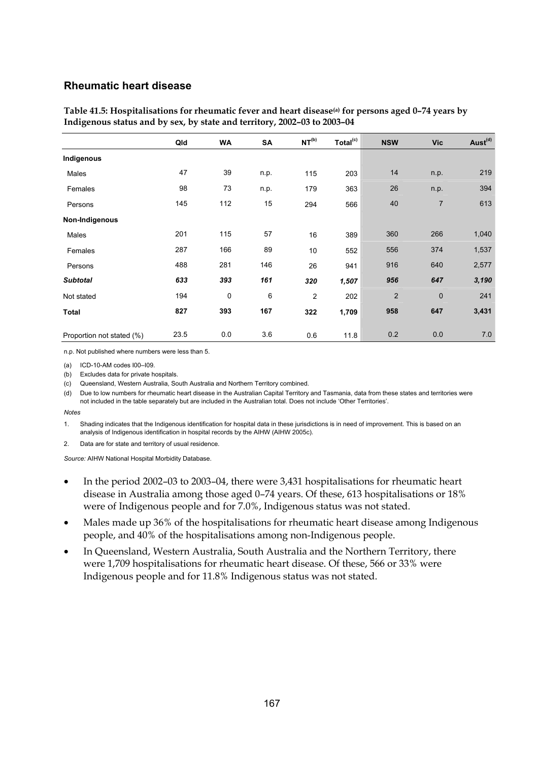#### **Rheumatic heart disease**

|                           | Qld  | <b>WA</b>   | SA   | NT <sup>(b)</sup> | Total <sup>(c)</sup> | <b>NSW</b>     | <b>Vic</b>     | Aust <sup>(d)</sup> |
|---------------------------|------|-------------|------|-------------------|----------------------|----------------|----------------|---------------------|
| Indigenous                |      |             |      |                   |                      |                |                |                     |
| Males                     | 47   | 39          | n.p. | 115               | 203                  | 14             | n.p.           | 219                 |
| Females                   | 98   | 73          | n.p. | 179               | 363                  | 26             | n.p.           | 394                 |
| Persons                   | 145  | 112         | 15   | 294               | 566                  | 40             | $\overline{7}$ | 613                 |
| Non-Indigenous            |      |             |      |                   |                      |                |                |                     |
| Males                     | 201  | 115         | 57   | 16                | 389                  | 360            | 266            | 1,040               |
| Females                   | 287  | 166         | 89   | 10                | 552                  | 556            | 374            | 1,537               |
| Persons                   | 488  | 281         | 146  | 26                | 941                  | 916            | 640            | 2,577               |
| <b>Subtotal</b>           | 633  | 393         | 161  | 320               | 1,507                | 956            | 647            | 3,190               |
| Not stated                | 194  | $\mathbf 0$ | 6    | 2                 | 202                  | $\overline{2}$ | 0              | 241                 |
| <b>Total</b>              | 827  | 393         | 167  | 322               | 1,709                | 958            | 647            | 3,431               |
| Proportion not stated (%) | 23.5 | 0.0         | 3.6  | 0.6               | 11.8                 | 0.2            | 0.0            | 7.0                 |

**Table 41.5: Hospitalisations for rheumatic fever and heart disease(a) for persons aged 0–74 years by Indigenous status and by sex, by state and territory, 2002–03 to 2003–04** 

n.p. Not published where numbers were less than 5.

(a) ICD-10-AM codes I00–I09.

(b) Excludes data for private hospitals.

(c) Queensland, Western Australia, South Australia and Northern Territory combined.

(d) Due to low numbers for rheumatic heart disease in the Australian Capital Territory and Tasmania, data from these states and territories were not included in the table separately but are included in the Australian total. Does not include 'Other Territories'.

*Notes* 

1. Shading indicates that the Indigenous identification for hospital data in these jurisdictions is in need of improvement. This is based on an analysis of Indigenous identification in hospital records by the AIHW (AIHW 2005c).

2. Data are for state and territory of usual residence.

- In the period 2002–03 to 2003–04, there were 3,431 hospitalisations for rheumatic heart disease in Australia among those aged 0–74 years. Of these, 613 hospitalisations or 18% were of Indigenous people and for 7.0%, Indigenous status was not stated.
- Males made up 36% of the hospitalisations for rheumatic heart disease among Indigenous people, and 40% of the hospitalisations among non-Indigenous people.
- In Queensland, Western Australia, South Australia and the Northern Territory, there were 1,709 hospitalisations for rheumatic heart disease. Of these, 566 or 33% were Indigenous people and for 11.8% Indigenous status was not stated.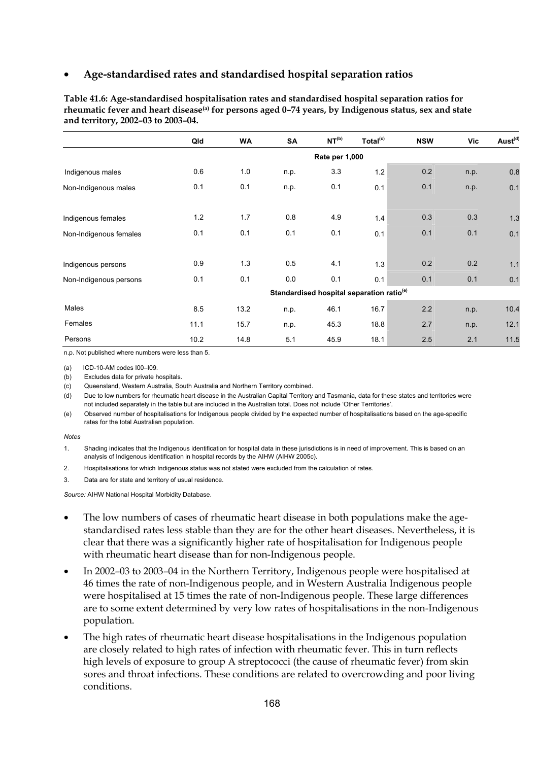|                        | Qld   | <b>WA</b> | SA   | NT <sup>(b)</sup> | Total <sup>(c)</sup>                                  | <b>NSW</b> | Vic  | Aust <sup>(d)</sup> |
|------------------------|-------|-----------|------|-------------------|-------------------------------------------------------|------------|------|---------------------|
|                        |       |           |      | Rate per 1,000    |                                                       |            |      |                     |
| Indigenous males       | 0.6   | 1.0       | n.p. | 3.3               | 1.2                                                   | 0.2        | n.p. | 0.8                 |
| Non-Indigenous males   | 0.1   | 0.1       | n.p. | 0.1               | 0.1                                                   | 0.1        | n.p. | 0.1                 |
|                        |       |           |      |                   |                                                       |            |      |                     |
| Indigenous females     | $1.2$ | 1.7       | 0.8  | 4.9               | 1.4                                                   | 0.3        | 0.3  | 1.3                 |
| Non-Indigenous females | 0.1   | 0.1       | 0.1  | 0.1               | 0.1                                                   | 0.1        | 0.1  | 0.1                 |
|                        |       |           |      |                   |                                                       |            |      |                     |
| Indigenous persons     | 0.9   | 1.3       | 0.5  | 4.1               | 1.3                                                   | 0.2        | 0.2  | 1.1                 |
| Non-Indigenous persons | 0.1   | 0.1       | 0.0  | 0.1               | 0.1                                                   | 0.1        | 0.1  | 0.1                 |
|                        |       |           |      |                   | Standardised hospital separation ratio <sup>(e)</sup> |            |      |                     |
| Males                  | 8.5   | 13.2      | n.p. | 46.1              | 16.7                                                  | 2.2        | n.p. | 10.4                |
| Females                | 11.1  | 15.7      | n.p. | 45.3              | 18.8                                                  | 2.7        | n.p. | 12.1                |
| Persons                | 10.2  | 14.8      | 5.1  | 45.9              | 18.1                                                  | 2.5        | 2.1  | 11.5                |

**Table 41.6: Age-standardised hospitalisation rates and standardised hospital separation ratios for rheumatic fever and heart disease(a) for persons aged 0–74 years, by Indigenous status, sex and state and territory, 2002–03 to 2003–04.** 

n.p. Not published where numbers were less than 5.

(a) ICD-10-AM codes I00–I09.

(b) Excludes data for private hospitals.

(c) Queensland, Western Australia, South Australia and Northern Territory combined.

(d) Due to low numbers for rheumatic heart disease in the Australian Capital Territory and Tasmania, data for these states and territories were not included separately in the table but are included in the Australian total. Does not include 'Other Territories'.

(e) Observed number of hospitalisations for Indigenous people divided by the expected number of hospitalisations based on the age-specific rates for the total Australian population.

#### *Notes*

1. Shading indicates that the Indigenous identification for hospital data in these jurisdictions is in need of improvement. This is based on an analysis of Indigenous identification in hospital records by the AIHW (AIHW 2005c).

2. Hospitalisations for which Indigenous status was not stated were excluded from the calculation of rates.

3. Data are for state and territory of usual residence.

- The low numbers of cases of rheumatic heart disease in both populations make the agestandardised rates less stable than they are for the other heart diseases. Nevertheless, it is clear that there was a significantly higher rate of hospitalisation for Indigenous people with rheumatic heart disease than for non-Indigenous people.
- In 2002–03 to 2003–04 in the Northern Territory, Indigenous people were hospitalised at 46 times the rate of non-Indigenous people, and in Western Australia Indigenous people were hospitalised at 15 times the rate of non-Indigenous people. These large differences are to some extent determined by very low rates of hospitalisations in the non-Indigenous population.
- The high rates of rheumatic heart disease hospitalisations in the Indigenous population are closely related to high rates of infection with rheumatic fever. This in turn reflects high levels of exposure to group A streptococci (the cause of rheumatic fever) from skin sores and throat infections. These conditions are related to overcrowding and poor living conditions.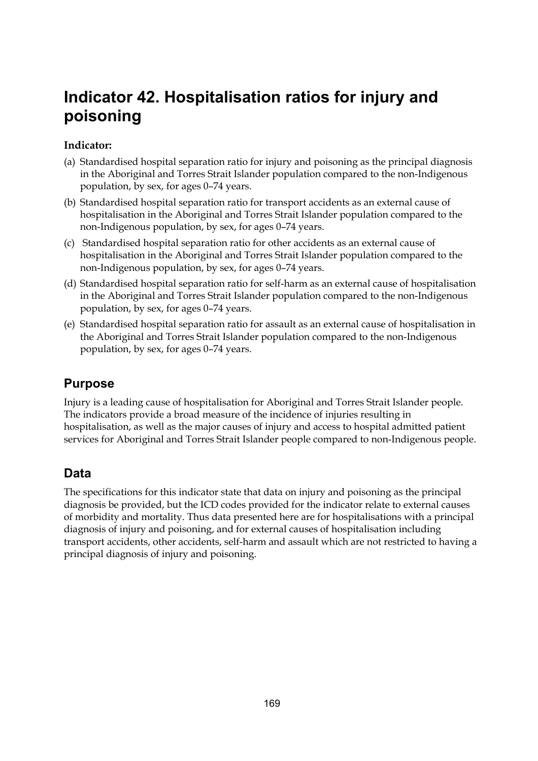# **Indicator 42. Hospitalisation ratios for injury and poisoning**

## **Indicator:**

- (a) Standardised hospital separation ratio for injury and poisoning as the principal diagnosis in the Aboriginal and Torres Strait Islander population compared to the non-Indigenous population, by sex, for ages 0–74 years.
- (b) Standardised hospital separation ratio for transport accidents as an external cause of hospitalisation in the Aboriginal and Torres Strait Islander population compared to the non-Indigenous population, by sex, for ages 0–74 years.
- (c) Standardised hospital separation ratio for other accidents as an external cause of hospitalisation in the Aboriginal and Torres Strait Islander population compared to the non-Indigenous population, by sex, for ages 0–74 years.
- (d) Standardised hospital separation ratio for self-harm as an external cause of hospitalisation in the Aboriginal and Torres Strait Islander population compared to the non-Indigenous population, by sex, for ages 0–74 years.
- (e) Standardised hospital separation ratio for assault as an external cause of hospitalisation in the Aboriginal and Torres Strait Islander population compared to the non-Indigenous population, by sex, for ages 0–74 years.

# **Purpose**

Injury is a leading cause of hospitalisation for Aboriginal and Torres Strait Islander people. The indicators provide a broad measure of the incidence of injuries resulting in hospitalisation, as well as the major causes of injury and access to hospital admitted patient services for Aboriginal and Torres Strait Islander people compared to non-Indigenous people.

## **Data**

The specifications for this indicator state that data on injury and poisoning as the principal diagnosis be provided, but the ICD codes provided for the indicator relate to external causes of morbidity and mortality. Thus data presented here are for hospitalisations with a principal diagnosis of injury and poisoning, and for external causes of hospitalisation including transport accidents, other accidents, self-harm and assault which are not restricted to having a principal diagnosis of injury and poisoning.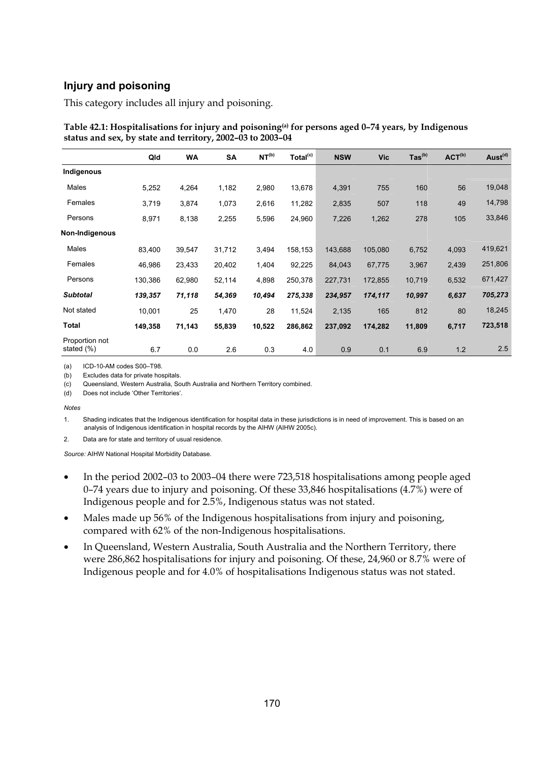## **Injury and poisoning**

This category includes all injury and poisoning.

|                              | Qld     | <b>WA</b> | SA     | NT <sup>(b)</sup> | Total <sup>(c)</sup> | <b>NSW</b> | <b>Vic</b> | $\text{Tas}^{\text{(b)}}$ | ACT <sup>(b)</sup> | Aust <sup>(d)</sup> |
|------------------------------|---------|-----------|--------|-------------------|----------------------|------------|------------|---------------------------|--------------------|---------------------|
| Indigenous                   |         |           |        |                   |                      |            |            |                           |                    |                     |
| Males                        | 5,252   | 4,264     | 1,182  | 2,980             | 13,678               | 4,391      | 755        | 160                       | 56                 | 19,048              |
| Females                      | 3,719   | 3,874     | 1,073  | 2,616             | 11,282               | 2,835      | 507        | 118                       | 49                 | 14,798              |
| Persons                      | 8,971   | 8,138     | 2,255  | 5,596             | 24,960               | 7,226      | 1,262      | 278                       | 105                | 33,846              |
| Non-Indigenous               |         |           |        |                   |                      |            |            |                           |                    |                     |
| Males                        | 83,400  | 39,547    | 31,712 | 3,494             | 158,153              | 143,688    | 105,080    | 6,752                     | 4,093              | 419,621             |
| Females                      | 46,986  | 23,433    | 20,402 | 1,404             | 92,225               | 84,043     | 67,775     | 3,967                     | 2,439              | 251,806             |
| Persons                      | 130,386 | 62,980    | 52,114 | 4,898             | 250,378              | 227,731    | 172,855    | 10,719                    | 6,532              | 671,427             |
| <b>Subtotal</b>              | 139,357 | 71,118    | 54,369 | 10,494            | 275,338              | 234,957    | 174,117    | 10,997                    | 6,637              | 705,273             |
| Not stated                   | 10,001  | 25        | 1,470  | 28                | 11,524               | 2,135      | 165        | 812                       | 80                 | 18,245              |
| <b>Total</b>                 | 149,358 | 71,143    | 55,839 | 10,522            | 286,862              | 237,092    | 174,282    | 11,809                    | 6,717              | 723,518             |
| Proportion not<br>stated (%) | 6.7     | 0.0       | 2.6    | 0.3               | 4.0                  | 0.9        | 0.1        | 6.9                       | 1.2                | 2.5                 |

**Table 42.1: Hospitalisations for injury and poisoning(a) for persons aged 0–74 years, by Indigenous status and sex, by state and territory, 2002–03 to 2003–04** 

(a) ICD-10-AM codes S00–T98.

(b) Excludes data for private hospitals.

(c) Queensland, Western Australia, South Australia and Northern Territory combined.

(d) Does not include 'Other Territories'.

*Notes* 

1. Shading indicates that the Indigenous identification for hospital data in these jurisdictions is in need of improvement. This is based on an analysis of Indigenous identification in hospital records by the AIHW (AIHW 2005c).

2. Data are for state and territory of usual residence.

- In the period 2002–03 to 2003–04 there were 723,518 hospitalisations among people aged 0–74 years due to injury and poisoning. Of these 33,846 hospitalisations (4.7%) were of Indigenous people and for 2.5%, Indigenous status was not stated.
- Males made up 56% of the Indigenous hospitalisations from injury and poisoning, compared with 62% of the non-Indigenous hospitalisations.
- In Queensland, Western Australia, South Australia and the Northern Territory, there were 286,862 hospitalisations for injury and poisoning. Of these, 24,960 or 8.7% were of Indigenous people and for 4.0% of hospitalisations Indigenous status was not stated.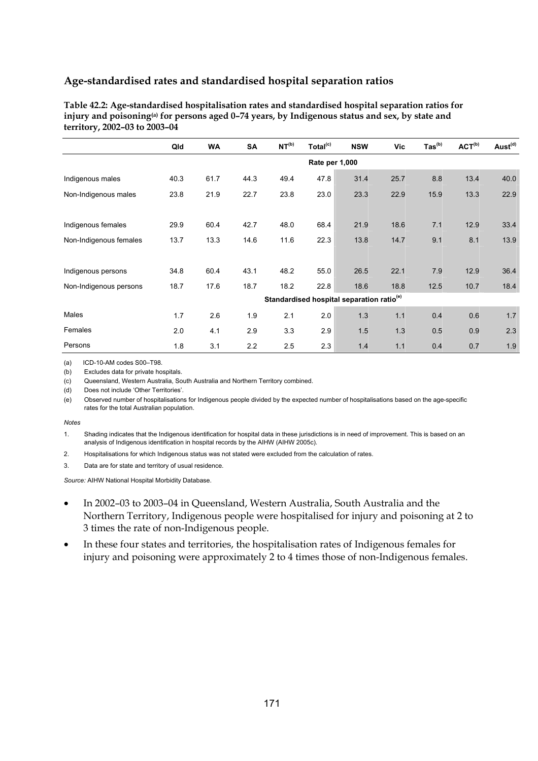| Table 42.2: Age-standardised hospitalisation rates and standardised hospital separation ratios for            |
|---------------------------------------------------------------------------------------------------------------|
| injury and poisoning <sup>(a)</sup> for persons aged $0-74$ years, by Indigenous status and sex, by state and |
| territory, 2002–03 to 2003–04                                                                                 |

|                        | Qld  | <b>WA</b>      | <b>SA</b> | NT <sup>(b)</sup> | Total <sup>(c)</sup> | <b>NSW</b>                                            | Vic  | $\text{Tas}^{\text{(b)}}$ | ACT <sup>(b)</sup> | Aust <sup>(d)</sup> |  |  |
|------------------------|------|----------------|-----------|-------------------|----------------------|-------------------------------------------------------|------|---------------------------|--------------------|---------------------|--|--|
|                        |      | Rate per 1,000 |           |                   |                      |                                                       |      |                           |                    |                     |  |  |
| Indigenous males       | 40.3 | 61.7           | 44.3      | 49.4              | 47.8                 | 31.4                                                  | 25.7 | 8.8                       | 13.4               | 40.0                |  |  |
| Non-Indigenous males   | 23.8 | 21.9           | 22.7      | 23.8              | 23.0                 | 23.3                                                  | 22.9 | 15.9                      | 13.3               | 22.9                |  |  |
|                        |      |                |           |                   |                      |                                                       |      |                           |                    |                     |  |  |
| Indigenous females     | 29.9 | 60.4           | 42.7      | 48.0              | 68.4                 | 21.9                                                  | 18.6 | 7.1                       | 12.9               | 33.4                |  |  |
| Non-Indigenous females | 13.7 | 13.3           | 14.6      | 11.6              | 22.3                 | 13.8                                                  | 14.7 | 9.1                       | 8.1                | 13.9                |  |  |
|                        |      |                |           |                   |                      |                                                       |      |                           |                    |                     |  |  |
| Indigenous persons     | 34.8 | 60.4           | 43.1      | 48.2              | 55.0                 | 26.5                                                  | 22.1 | 7.9                       | 12.9               | 36.4                |  |  |
| Non-Indigenous persons | 18.7 | 17.6           | 18.7      | 18.2              | 22.8                 | 18.6                                                  | 18.8 | 12.5                      | 10.7               | 18.4                |  |  |
|                        |      |                |           |                   |                      | Standardised hospital separation ratio <sup>(e)</sup> |      |                           |                    |                     |  |  |
| Males                  | 1.7  | 2.6            | 1.9       | 2.1               | 2.0                  | 1.3                                                   | 1.1  | 0.4                       | 0.6                | 1.7                 |  |  |
| Females                | 2.0  | 4.1            | 2.9       | 3.3               | 2.9                  | 1.5                                                   | 1.3  | 0.5                       | 0.9                | 2.3                 |  |  |
| Persons                | 1.8  | 3.1            | 2.2       | 2.5               | 2.3                  | 1.4                                                   | 1.1  | 0.4                       | 0.7                | 1.9                 |  |  |

(a) ICD-10-AM codes S00–T98.

(b) Excludes data for private hospitals.

(c) Queensland, Western Australia, South Australia and Northern Territory combined.

(d) Does not include 'Other Territories'.

(e) Observed number of hospitalisations for Indigenous people divided by the expected number of hospitalisations based on the age-specific rates for the total Australian population.

#### *Notes*

1. Shading indicates that the Indigenous identification for hospital data in these jurisdictions is in need of improvement. This is based on an analysis of Indigenous identification in hospital records by the AIHW (AIHW 2005c).

- 2. Hospitalisations for which Indigenous status was not stated were excluded from the calculation of rates.
- 3. Data are for state and territory of usual residence.

- In 2002–03 to 2003–04 in Queensland, Western Australia, South Australia and the Northern Territory, Indigenous people were hospitalised for injury and poisoning at 2 to 3 times the rate of non-Indigenous people.
- In these four states and territories, the hospitalisation rates of Indigenous females for injury and poisoning were approximately 2 to 4 times those of non-Indigenous females.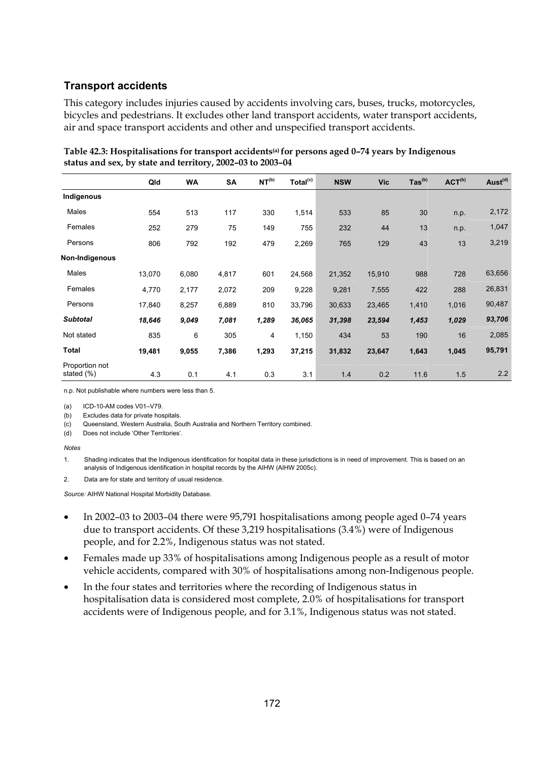## **Transport accidents**

This category includes injuries caused by accidents involving cars, buses, trucks, motorcycles, bicycles and pedestrians. It excludes other land transport accidents, water transport accidents, air and space transport accidents and other and unspecified transport accidents.

|                                  |        |           |       |                   |                      |            |            |                           | ACT <sup>(b)</sup> |                     |
|----------------------------------|--------|-----------|-------|-------------------|----------------------|------------|------------|---------------------------|--------------------|---------------------|
|                                  | Qld    | <b>WA</b> | SA    | NT <sup>(b)</sup> | Total <sup>(c)</sup> | <b>NSW</b> | <b>Vic</b> | $\text{Tas}^{\text{(b)}}$ |                    | Aust <sup>(d)</sup> |
| Indigenous                       |        |           |       |                   |                      |            |            |                           |                    |                     |
| Males                            | 554    | 513       | 117   | 330               | 1,514                | 533        | 85         | 30                        | n.p.               | 2,172               |
| Females                          | 252    | 279       | 75    | 149               | 755                  | 232        | 44         | 13                        | n.p.               | 1,047               |
| Persons                          | 806    | 792       | 192   | 479               | 2,269                | 765        | 129        | 43                        | 13                 | 3,219               |
| Non-Indigenous                   |        |           |       |                   |                      |            |            |                           |                    |                     |
| Males                            | 13,070 | 6,080     | 4,817 | 601               | 24,568               | 21,352     | 15,910     | 988                       | 728                | 63,656              |
| Females                          | 4,770  | 2,177     | 2,072 | 209               | 9,228                | 9,281      | 7,555      | 422                       | 288                | 26,831              |
| Persons                          | 17,840 | 8,257     | 6,889 | 810               | 33,796               | 30,633     | 23,465     | 1,410                     | 1,016              | 90,487              |
| <b>Subtotal</b>                  | 18,646 | 9,049     | 7,081 | 1,289             | 36,065               | 31,398     | 23,594     | 1,453                     | 1,029              | 93,706              |
| Not stated                       | 835    | 6         | 305   | 4                 | 1,150                | 434        | 53         | 190                       | 16                 | 2,085               |
| Total                            | 19,481 | 9,055     | 7,386 | 1,293             | 37,215               | 31,832     | 23,647     | 1,643                     | 1,045              | 95,791              |
| Proportion not<br>stated $(\% )$ | 4.3    | 0.1       | 4.1   | 0.3               | 3.1                  | 1.4        | 0.2        | 11.6                      | 1.5                | 2.2                 |

**Table 42.3: Hospitalisations for transport accidents(a) for persons aged 0–74 years by Indigenous status and sex, by state and territory, 2002–03 to 2003–04** 

n.p. Not publishable where numbers were less than 5.

(a) ICD-10-AM codes V01–V79.

(b) Excludes data for private hospitals.

(c) Queensland, Western Australia, South Australia and Northern Territory combined.

(d) Does not include 'Other Territories'.

#### *Notes*

1. Shading indicates that the Indigenous identification for hospital data in these jurisdictions is in need of improvement. This is based on an analysis of Indigenous identification in hospital records by the AIHW (AIHW 2005c).

2. Data are for state and territory of usual residence.

- In 2002–03 to 2003–04 there were 95,791 hospitalisations among people aged 0–74 years due to transport accidents. Of these 3,219 hospitalisations (3.4%) were of Indigenous people, and for 2.2%, Indigenous status was not stated.
- Females made up 33% of hospitalisations among Indigenous people as a result of motor vehicle accidents, compared with 30% of hospitalisations among non-Indigenous people.
- In the four states and territories where the recording of Indigenous status in hospitalisation data is considered most complete, 2.0% of hospitalisations for transport accidents were of Indigenous people, and for 3.1%, Indigenous status was not stated.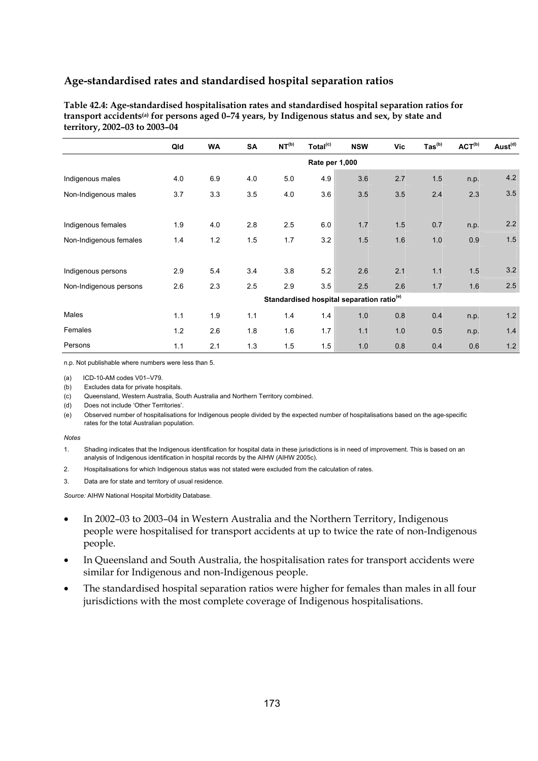| Table 42.4: Age-standardised hospitalisation rates and standardised hospital separation ratios for         |
|------------------------------------------------------------------------------------------------------------|
| transport accidents <sup>(a)</sup> for persons aged 0-74 years, by Indigenous status and sex, by state and |
| territory, 2002–03 to 2003–04                                                                              |

|                        | Qld | <b>WA</b> | <b>SA</b> | NT <sup>(b)</sup> | Total <sup>(c)</sup> | <b>NSW</b>                                            | Vic | $\text{Tas}^{(b)}$ | ACT <sup>(b)</sup> | Aust <sup>(d)</sup> |
|------------------------|-----|-----------|-----------|-------------------|----------------------|-------------------------------------------------------|-----|--------------------|--------------------|---------------------|
|                        |     |           |           |                   | Rate per 1,000       |                                                       |     |                    |                    |                     |
| Indigenous males       | 4.0 | 6.9       | 4.0       | 5.0               | 4.9                  | 3.6                                                   | 2.7 | 1.5                | n.p.               | 4.2                 |
| Non-Indigenous males   | 3.7 | 3.3       | 3.5       | 4.0               | 3.6                  | 3.5                                                   | 3.5 | 2.4                | 2.3                | 3.5                 |
|                        |     |           |           |                   |                      |                                                       |     |                    |                    |                     |
| Indigenous females     | 1.9 | 4.0       | 2.8       | 2.5               | 6.0                  | 1.7                                                   | 1.5 | 0.7                | n.p.               | 2.2                 |
| Non-Indigenous females | 1.4 | 1.2       | 1.5       | 1.7               | 3.2                  | 1.5                                                   | 1.6 | 1.0                | 0.9                | 1.5                 |
|                        |     |           |           |                   |                      |                                                       |     |                    |                    |                     |
| Indigenous persons     | 2.9 | 5.4       | 3.4       | 3.8               | 5.2                  | 2.6                                                   | 2.1 | 1.1                | 1.5                | 3.2                 |
| Non-Indigenous persons | 2.6 | 2.3       | 2.5       | 2.9               | 3.5                  | 2.5                                                   | 2.6 | 1.7                | 1.6                | 2.5                 |
|                        |     |           |           |                   |                      | Standardised hospital separation ratio <sup>(e)</sup> |     |                    |                    |                     |
| Males                  | 1.1 | 1.9       | 1.1       | 1.4               | 1.4                  | 1.0                                                   | 0.8 | 0.4                | n.p.               | 1.2                 |
| Females                | 1.2 | 2.6       | 1.8       | 1.6               | 1.7                  | 1.1                                                   | 1.0 | 0.5                | n.p.               | 1.4                 |
| Persons                | 1.1 | 2.1       | 1.3       | 1.5               | 1.5                  | 1.0                                                   | 0.8 | 0.4                | 0.6                | 1.2                 |

n.p. Not publishable where numbers were less than 5.

(a) ICD-10-AM codes V01–V79.

(b) Excludes data for private hospitals.

(c) Queensland, Western Australia, South Australia and Northern Territory combined.

(d) Does not include 'Other Territories'.

(e) Observed number of hospitalisations for Indigenous people divided by the expected number of hospitalisations based on the age-specific rates for the total Australian population.

#### *Notes*

1. Shading indicates that the Indigenous identification for hospital data in these jurisdictions is in need of improvement. This is based on an analysis of Indigenous identification in hospital records by the AIHW (AIHW 2005c).

2. Hospitalisations for which Indigenous status was not stated were excluded from the calculation of rates.

3. Data are for state and territory of usual residence.

- In 2002–03 to 2003–04 in Western Australia and the Northern Territory, Indigenous people were hospitalised for transport accidents at up to twice the rate of non-Indigenous people.
- In Queensland and South Australia, the hospitalisation rates for transport accidents were similar for Indigenous and non-Indigenous people.
- The standardised hospital separation ratios were higher for females than males in all four jurisdictions with the most complete coverage of Indigenous hospitalisations.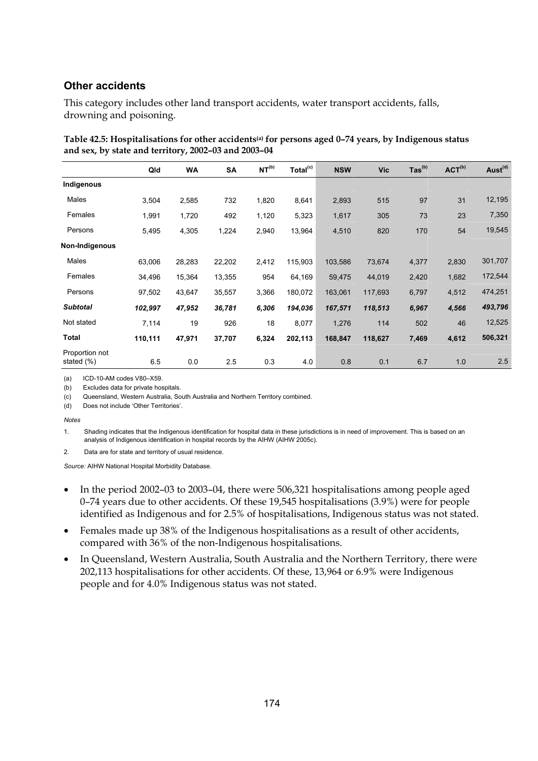## **Other accidents**

This category includes other land transport accidents, water transport accidents, falls, drowning and poisoning.

|                              | Qld     | <b>WA</b> | <b>SA</b> | NT <sup>(b)</sup> | Total <sup>(c)</sup> | <b>NSW</b> | <b>Vic</b> | $\text{Tas}^{\text{(b)}}$ | ACT <sup>(b)</sup> | Aust <sup>(d)</sup> |
|------------------------------|---------|-----------|-----------|-------------------|----------------------|------------|------------|---------------------------|--------------------|---------------------|
| Indigenous                   |         |           |           |                   |                      |            |            |                           |                    |                     |
| Males                        | 3,504   | 2,585     | 732       | 1,820             | 8,641                | 2,893      | 515        | 97                        | 31                 | 12,195              |
| Females                      | 1,991   | 1,720     | 492       | 1,120             | 5,323                | 1,617      | 305        | 73                        | 23                 | 7,350               |
| Persons                      | 5,495   | 4,305     | 1,224     | 2,940             | 13,964               | 4,510      | 820        | 170                       | 54                 | 19,545              |
| Non-Indigenous               |         |           |           |                   |                      |            |            |                           |                    |                     |
| Males                        | 63,006  | 28,283    | 22,202    | 2,412             | 115,903              | 103,586    | 73,674     | 4,377                     | 2,830              | 301,707             |
| Females                      | 34,496  | 15,364    | 13,355    | 954               | 64,169               | 59,475     | 44,019     | 2,420                     | 1,682              | 172,544             |
| Persons                      | 97,502  | 43,647    | 35,557    | 3,366             | 180,072              | 163,061    | 117,693    | 6,797                     | 4,512              | 474,251             |
| <b>Subtotal</b>              | 102,997 | 47,952    | 36,781    | 6,306             | 194,036              | 167,571    | 118,513    | 6,967                     | 4,566              | 493,796             |
| Not stated                   | 7,114   | 19        | 926       | 18                | 8,077                | 1,276      | 114        | 502                       | 46                 | 12,525              |
| Total                        | 110,111 | 47,971    | 37,707    | 6,324             | 202,113              | 168,847    | 118,627    | 7,469                     | 4,612              | 506,321             |
| Proportion not<br>stated (%) | 6.5     | 0.0       | 2.5       | 0.3               | 4.0                  | 0.8        | 0.1        | 6.7                       | 1.0                | 2.5                 |

| Table 42.5: Hospitalisations for other accidents <sup>(a)</sup> for persons aged 0-74 years, by Indigenous status |  |
|-------------------------------------------------------------------------------------------------------------------|--|
| and sex, by state and territory, 2002–03 and 2003–04                                                              |  |

(a) ICD-10-AM codes V80–X59.

(b) Excludes data for private hospitals.

(c) Queensland, Western Australia, South Australia and Northern Territory combined.

(d) Does not include 'Other Territories'.

*Notes* 

1. Shading indicates that the Indigenous identification for hospital data in these jurisdictions is in need of improvement. This is based on an analysis of Indigenous identification in hospital records by the AIHW (AIHW 2005c).

2. Data are for state and territory of usual residence.

- In the period 2002–03 to 2003–04, there were 506,321 hospitalisations among people aged 0–74 years due to other accidents. Of these 19,545 hospitalisations (3.9%) were for people identified as Indigenous and for 2.5% of hospitalisations, Indigenous status was not stated.
- Females made up 38% of the Indigenous hospitalisations as a result of other accidents, compared with 36% of the non-Indigenous hospitalisations.
- In Queensland, Western Australia, South Australia and the Northern Territory, there were 202,113 hospitalisations for other accidents. Of these, 13,964 or 6.9% were Indigenous people and for 4.0% Indigenous status was not stated.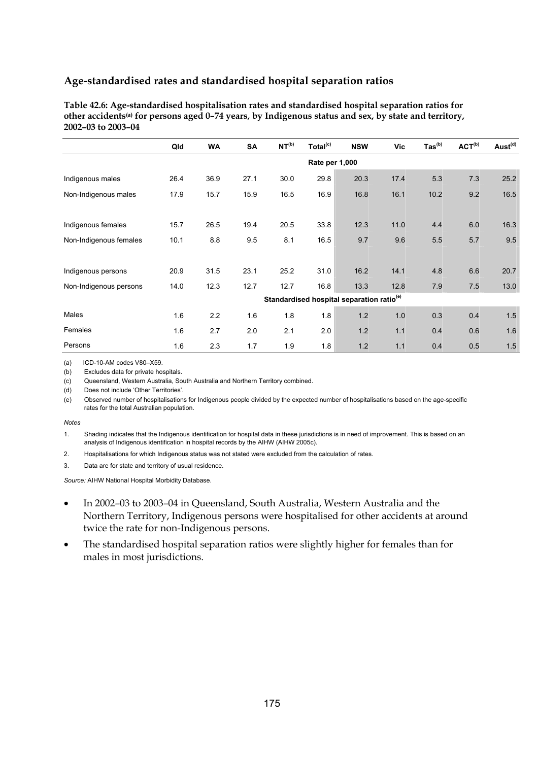**Table 42.6: Age-standardised hospitalisation rates and standardised hospital separation ratios for other accidents(a) for persons aged 0–74 years, by Indigenous status and sex, by state and territory, 2002–03 to 2003–04** 

|                        | Qld  | <b>WA</b>      | <b>SA</b> | NT <sup>(b)</sup> | Total <sup>(c)</sup> | <b>NSW</b>                                            | Vic  | $\mathsf{ Tas}^{(b)}$ | ACT <sup>(b)</sup> | Aust <sup>(d)</sup> |  |
|------------------------|------|----------------|-----------|-------------------|----------------------|-------------------------------------------------------|------|-----------------------|--------------------|---------------------|--|
|                        |      | Rate per 1,000 |           |                   |                      |                                                       |      |                       |                    |                     |  |
| Indigenous males       | 26.4 | 36.9           | 27.1      | 30.0              | 29.8                 | 20.3                                                  | 17.4 | 5.3                   | 7.3                | 25.2                |  |
| Non-Indigenous males   | 17.9 | 15.7           | 15.9      | 16.5              | 16.9                 | 16.8                                                  | 16.1 | 10.2                  | 9.2                | 16.5                |  |
|                        |      |                |           |                   |                      |                                                       |      |                       |                    |                     |  |
| Indigenous females     | 15.7 | 26.5           | 19.4      | 20.5              | 33.8                 | 12.3                                                  | 11.0 | 4.4                   | 6.0                | 16.3                |  |
| Non-Indigenous females | 10.1 | 8.8            | 9.5       | 8.1               | 16.5                 | 9.7                                                   | 9.6  | 5.5                   | 5.7                | 9.5                 |  |
|                        |      |                |           |                   |                      |                                                       |      |                       |                    |                     |  |
| Indigenous persons     | 20.9 | 31.5           | 23.1      | 25.2              | 31.0                 | 16.2                                                  | 14.1 | 4.8                   | 6.6                | 20.7                |  |
| Non-Indigenous persons | 14.0 | 12.3           | 12.7      | 12.7              | 16.8                 | 13.3                                                  | 12.8 | 7.9                   | 7.5                | 13.0                |  |
|                        |      |                |           |                   |                      | Standardised hospital separation ratio <sup>(e)</sup> |      |                       |                    |                     |  |
| Males                  | 1.6  | 2.2            | 1.6       | 1.8               | 1.8                  | 1.2                                                   | 1.0  | 0.3                   | 0.4                | 1.5                 |  |
| Females                | 1.6  | 2.7            | 2.0       | 2.1               | 2.0                  | 1.2                                                   | 1.1  | 0.4                   | 0.6                | 1.6                 |  |
| Persons                | 1.6  | 2.3            | 1.7       | 1.9               | 1.8                  | 1.2                                                   | 1.1  | 0.4                   | 0.5                | 1.5                 |  |

(a) ICD-10-AM codes V80–X59.

(b) Excludes data for private hospitals.

(c) Queensland, Western Australia, South Australia and Northern Territory combined.

Does not include 'Other Territories'

(e) Observed number of hospitalisations for Indigenous people divided by the expected number of hospitalisations based on the age-specific rates for the total Australian population.

#### *Notes*

1. Shading indicates that the Indigenous identification for hospital data in these jurisdictions is in need of improvement. This is based on an analysis of Indigenous identification in hospital records by the AIHW (AIHW 2005c).

- 2. Hospitalisations for which Indigenous status was not stated were excluded from the calculation of rates.
- 3. Data are for state and territory of usual residence.

- In 2002–03 to 2003–04 in Queensland, South Australia, Western Australia and the Northern Territory, Indigenous persons were hospitalised for other accidents at around twice the rate for non-Indigenous persons.
- The standardised hospital separation ratios were slightly higher for females than for males in most jurisdictions.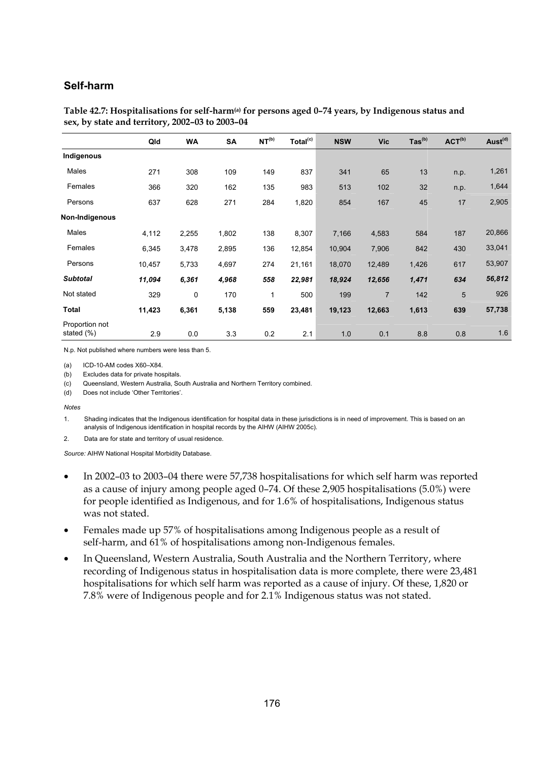## **Self-harm**

|                              | Qld    | <b>WA</b> | <b>SA</b> | NT <sup>(b)</sup> | Total <sup>(c)</sup> | <b>NSW</b> | <b>Vic</b>     | $\text{Tas}^{\text{(b)}}$ | ACT <sup>(b)</sup> | Aust <sup>(d)</sup> |
|------------------------------|--------|-----------|-----------|-------------------|----------------------|------------|----------------|---------------------------|--------------------|---------------------|
| Indigenous                   |        |           |           |                   |                      |            |                |                           |                    |                     |
| Males                        | 271    | 308       | 109       | 149               | 837                  | 341        | 65             | 13                        | n.p.               | 1,261               |
| Females                      | 366    | 320       | 162       | 135               | 983                  | 513        | 102            | 32                        | n.p.               | 1,644               |
| Persons                      | 637    | 628       | 271       | 284               | 1,820                | 854        | 167            | 45                        | 17                 | 2,905               |
| Non-Indigenous               |        |           |           |                   |                      |            |                |                           |                    |                     |
| Males                        | 4,112  | 2,255     | 1,802     | 138               | 8,307                | 7,166      | 4,583          | 584                       | 187                | 20,866              |
| Females                      | 6,345  | 3,478     | 2,895     | 136               | 12,854               | 10,904     | 7,906          | 842                       | 430                | 33,041              |
| Persons                      | 10,457 | 5,733     | 4,697     | 274               | 21,161               | 18,070     | 12,489         | 1,426                     | 617                | 53,907              |
| <b>Subtotal</b>              | 11,094 | 6,361     | 4,968     | 558               | 22,981               | 18,924     | 12,656         | 1,471                     | 634                | 56,812              |
| Not stated                   | 329    | 0         | 170       | 1                 | 500                  | 199        | $\overline{7}$ | 142                       | 5                  | 926                 |
| <b>Total</b>                 | 11,423 | 6,361     | 5,138     | 559               | 23,481               | 19,123     | 12,663         | 1,613                     | 639                | 57,738              |
| Proportion not<br>stated (%) | 2.9    | 0.0       | 3.3       | 0.2               | 2.1                  | 1.0        | 0.1            | 8.8                       | 0.8                | 1.6                 |

#### **Table 42.7: Hospitalisations for self-harm(a) for persons aged 0–74 years, by Indigenous status and sex, by state and territory, 2002–03 to 2003–04**

N.p. Not published where numbers were less than 5.

(a) ICD-10-AM codes X60–X84.

(b) Excludes data for private hospitals.

(c) Queensland, Western Australia, South Australia and Northern Territory combined.

(d) Does not include 'Other Territories'.

*Notes* 

1. Shading indicates that the Indigenous identification for hospital data in these jurisdictions is in need of improvement. This is based on an analysis of Indigenous identification in hospital records by the AIHW (AIHW 2005c).

2. Data are for state and territory of usual residence.

- In 2002–03 to 2003–04 there were 57,738 hospitalisations for which self harm was reported as a cause of injury among people aged 0–74. Of these 2,905 hospitalisations (5.0%) were for people identified as Indigenous, and for 1.6% of hospitalisations, Indigenous status was not stated.
- Females made up 57% of hospitalisations among Indigenous people as a result of self-harm, and 61% of hospitalisations among non-Indigenous females.
- In Queensland, Western Australia, South Australia and the Northern Territory, where recording of Indigenous status in hospitalisation data is more complete, there were 23,481 hospitalisations for which self harm was reported as a cause of injury. Of these, 1,820 or 7.8% were of Indigenous people and for 2.1% Indigenous status was not stated.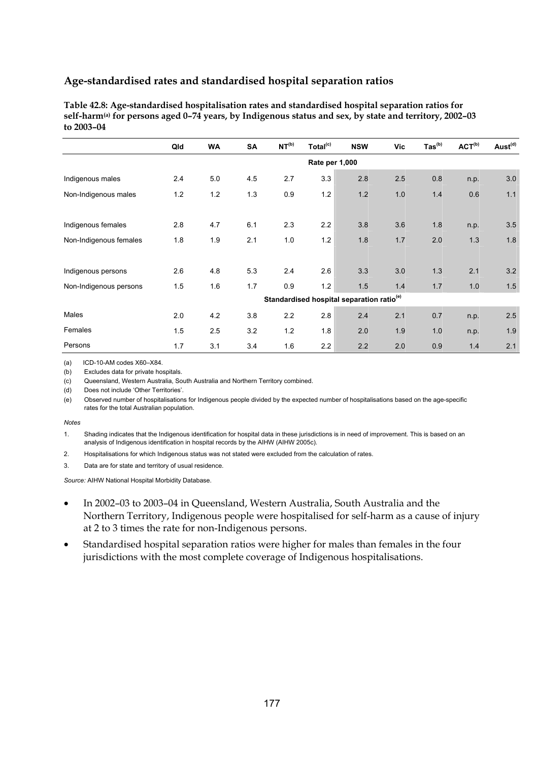**Table 42.8: Age-standardised hospitalisation rates and standardised hospital separation ratios for self-harm(a) for persons aged 0–74 years, by Indigenous status and sex, by state and territory, 2002–03 to 2003–04** 

|                        | Qld            | <b>WA</b> | <b>SA</b> | NT <sup>(b)</sup> | Total <sup>(c)</sup> | <b>NSW</b>                                            | Vic | $\mathsf{ Tas}^{(\mathsf{b})}$ | ACT <sup>(b)</sup> | Aust <sup>(d)</sup> |  |  |
|------------------------|----------------|-----------|-----------|-------------------|----------------------|-------------------------------------------------------|-----|--------------------------------|--------------------|---------------------|--|--|
|                        | Rate per 1,000 |           |           |                   |                      |                                                       |     |                                |                    |                     |  |  |
| Indigenous males       | 2.4            | 5.0       | 4.5       | 2.7               | 3.3                  | 2.8                                                   | 2.5 | 0.8                            | n.p.               | 3.0                 |  |  |
| Non-Indigenous males   | $1.2$          | 1.2       | 1.3       | 0.9               | 1.2                  | 1.2                                                   | 1.0 | 1.4                            | 0.6                | 1.1                 |  |  |
|                        |                |           |           |                   |                      |                                                       |     |                                |                    |                     |  |  |
| Indigenous females     | 2.8            | 4.7       | 6.1       | 2.3               | 2.2                  | 3.8                                                   | 3.6 | 1.8                            | n.p.               | 3.5                 |  |  |
| Non-Indigenous females | 1.8            | 1.9       | 2.1       | 1.0               | 1.2                  | 1.8                                                   | 1.7 | 2.0                            | 1.3                | 1.8                 |  |  |
|                        |                |           |           |                   |                      |                                                       |     |                                |                    |                     |  |  |
| Indigenous persons     | 2.6            | 4.8       | 5.3       | 2.4               | 2.6                  | 3.3                                                   | 3.0 | 1.3                            | 2.1                | 3.2                 |  |  |
| Non-Indigenous persons | 1.5            | 1.6       | 1.7       | 0.9               | 1.2                  | 1.5                                                   | 1.4 | 1.7                            | 1.0                | 1.5                 |  |  |
|                        |                |           |           |                   |                      | Standardised hospital separation ratio <sup>(e)</sup> |     |                                |                    |                     |  |  |
| Males                  | 2.0            | 4.2       | 3.8       | 2.2               | 2.8                  | 2.4                                                   | 2.1 | 0.7                            | n.p.               | 2.5                 |  |  |
| Females                | 1.5            | 2.5       | 3.2       | 1.2               | 1.8                  | 2.0                                                   | 1.9 | 1.0                            | n.p.               | 1.9                 |  |  |
| Persons                | 1.7            | 3.1       | 3.4       | 1.6               | 2.2                  | 2.2                                                   | 2.0 | 0.9                            | 1.4                | 2.1                 |  |  |

(a) ICD-10-AM codes X60–X84.

(b) Excludes data for private hospitals.

(c) Queensland, Western Australia, South Australia and Northern Territory combined.

(d) Does not include 'Other Territories'

(e) Observed number of hospitalisations for Indigenous people divided by the expected number of hospitalisations based on the age-specific rates for the total Australian population.

#### *Notes*

1. Shading indicates that the Indigenous identification for hospital data in these jurisdictions is in need of improvement. This is based on an analysis of Indigenous identification in hospital records by the AIHW (AIHW 2005c).

- 2. Hospitalisations for which Indigenous status was not stated were excluded from the calculation of rates.
- 3. Data are for state and territory of usual residence.

- In 2002–03 to 2003–04 in Queensland, Western Australia, South Australia and the Northern Territory, Indigenous people were hospitalised for self-harm as a cause of injury at 2 to 3 times the rate for non-Indigenous persons.
- Standardised hospital separation ratios were higher for males than females in the four jurisdictions with the most complete coverage of Indigenous hospitalisations.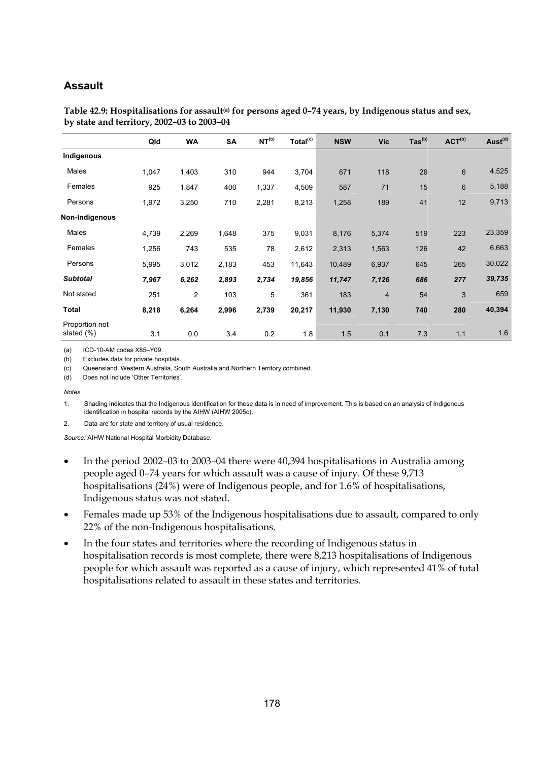## **Assault**

|                              | Qld   | <b>WA</b>      | <b>SA</b> | NT <sup>(b)</sup> | Total <sup>(c)</sup> | <b>NSW</b> | <b>Vic</b>     | $\text{Tas}^{\text{(b)}}$ | ACT <sup>(b)</sup> | Aust <sup>(d)</sup> |
|------------------------------|-------|----------------|-----------|-------------------|----------------------|------------|----------------|---------------------------|--------------------|---------------------|
| Indigenous                   |       |                |           |                   |                      |            |                |                           |                    |                     |
| Males                        | 1,047 | 1,403          | 310       | 944               | 3,704                | 671        | 118            | 26                        | 6                  | 4,525               |
| Females                      | 925   | 1,847          | 400       | 1,337             | 4,509                | 587        | 71             | 15                        | 6                  | 5,188               |
| Persons                      | 1,972 | 3,250          | 710       | 2,281             | 8,213                | 1,258      | 189            | 41                        | 12                 | 9,713               |
| Non-Indigenous               |       |                |           |                   |                      |            |                |                           |                    |                     |
| Males                        | 4,739 | 2,269          | 1,648     | 375               | 9,031                | 8,176      | 5,374          | 519                       | 223                | 23,359              |
| Females                      | 1,256 | 743            | 535       | 78                | 2,612                | 2,313      | 1,563          | 126                       | 42                 | 6,663               |
| Persons                      | 5,995 | 3,012          | 2,183     | 453               | 11,643               | 10,489     | 6,937          | 645                       | 265                | 30,022              |
| <b>Subtotal</b>              | 7,967 | 6,262          | 2,893     | 2,734             | 19,856               | 11,747     | 7,126          | 686                       | 277                | 39,735              |
| Not stated                   | 251   | $\overline{2}$ | 103       | 5                 | 361                  | 183        | $\overline{4}$ | 54                        | 3                  | 659                 |
| Total                        | 8,218 | 6,264          | 2,996     | 2,739             | 20,217               | 11,930     | 7,130          | 740                       | 280                | 40,394              |
| Proportion not<br>stated (%) | 3.1   | 0.0            | 3.4       | 0.2               | 1.8                  | 1.5        | 0.1            | 7.3                       | 1.1                | 1.6                 |

Table 42.9: Hospitalisations for assault<sup>(a)</sup> for persons aged 0-74 years, by Indigenous status and sex, **by state and territory, 2002–03 to 2003–04** 

(a) ICD-10-AM codes X85–Y09.

(b) Excludes data for private hospitals.

(c) Queensland, Western Australia, South Australia and Northern Territory combined.

(d) Does not include 'Other Territories'.

*Notes* 

1. Shading indicates that the Indigenous identification for these data is in need of improvement. This is based on an analysis of Indigenous identification in hospital records by the AIHW (AIHW 2005c).

2. Data are for state and territory of usual residence.

- In the period 2002–03 to 2003–04 there were 40,394 hospitalisations in Australia among people aged 0–74 years for which assault was a cause of injury. Of these 9,713 hospitalisations (24%) were of Indigenous people, and for 1.6% of hospitalisations, Indigenous status was not stated.
- Females made up 53% of the Indigenous hospitalisations due to assault, compared to only 22% of the non-Indigenous hospitalisations.
- In the four states and territories where the recording of Indigenous status in hospitalisation records is most complete, there were 8,213 hospitalisations of Indigenous people for which assault was reported as a cause of injury, which represented 41% of total hospitalisations related to assault in these states and territories.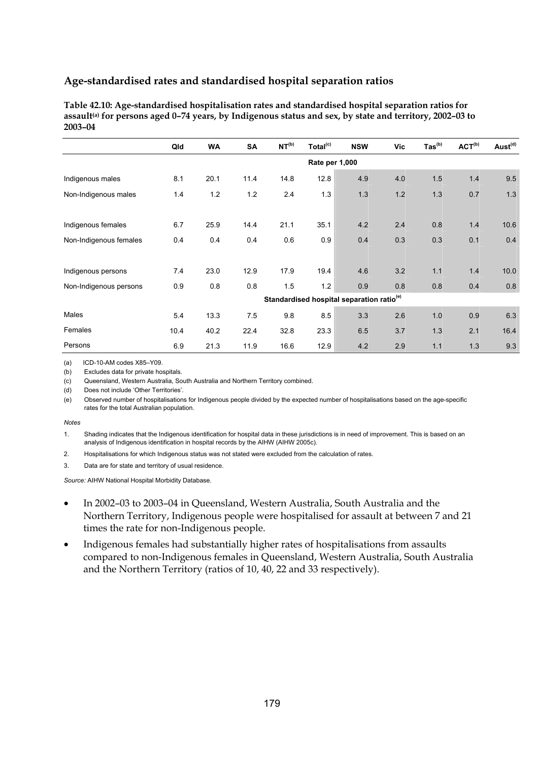**Table 42.10: Age-standardised hospitalisation rates and standardised hospital separation ratios for assault(a) for persons aged 0–74 years, by Indigenous status and sex, by state and territory, 2002–03 to 2003–04** 

|                        | Qld            | <b>WA</b> | <b>SA</b> | NT <sup>(b)</sup> | Total <sup>(c)</sup> | <b>NSW</b>                                            | Vic | $\text{Tas}^{(b)}$ | $ACT^{(b)}$ | Aust <sup>(d)</sup> |  |  |  |
|------------------------|----------------|-----------|-----------|-------------------|----------------------|-------------------------------------------------------|-----|--------------------|-------------|---------------------|--|--|--|
|                        | Rate per 1,000 |           |           |                   |                      |                                                       |     |                    |             |                     |  |  |  |
| Indigenous males       | 8.1            | 20.1      | 11.4      | 14.8              | 12.8                 | 4.9                                                   | 4.0 | 1.5                | 1.4         | 9.5                 |  |  |  |
| Non-Indigenous males   | 1.4            | 1.2       | 1.2       | 2.4               | 1.3                  | 1.3                                                   | 1.2 | 1.3                | 0.7         | 1.3                 |  |  |  |
|                        |                |           |           |                   |                      |                                                       |     |                    |             |                     |  |  |  |
| Indigenous females     | 6.7            | 25.9      | 14.4      | 21.1              | 35.1                 | 4.2                                                   | 2.4 | 0.8                | 1.4         | 10.6                |  |  |  |
| Non-Indigenous females | 0.4            | 0.4       | 0.4       | 0.6               | 0.9                  | 0.4                                                   | 0.3 | 0.3                | 0.1         | 0.4                 |  |  |  |
|                        |                |           |           |                   |                      |                                                       |     |                    |             |                     |  |  |  |
| Indigenous persons     | 7.4            | 23.0      | 12.9      | 17.9              | 19.4                 | 4.6                                                   | 3.2 | 1.1                | 1.4         | 10.0                |  |  |  |
| Non-Indigenous persons | 0.9            | 0.8       | 0.8       | 1.5               | 1.2                  | 0.9                                                   | 0.8 | 0.8                | 0.4         | 0.8                 |  |  |  |
|                        |                |           |           |                   |                      | Standardised hospital separation ratio <sup>(e)</sup> |     |                    |             |                     |  |  |  |
| Males                  | 5.4            | 13.3      | 7.5       | 9.8               | 8.5                  | 3.3                                                   | 2.6 | 1.0                | 0.9         | 6.3                 |  |  |  |
| Females                | 10.4           | 40.2      | 22.4      | 32.8              | 23.3                 | 6.5                                                   | 3.7 | 1.3                | 2.1         | 16.4                |  |  |  |
| Persons                | 6.9            | 21.3      | 11.9      | 16.6              | 12.9                 | 4.2                                                   | 2.9 | 1.1                | 1.3         | 9.3                 |  |  |  |

(a) ICD-10-AM codes X85–Y09.

(b) Excludes data for private hospitals.

(c) Queensland, Western Australia, South Australia and Northern Territory combined.

(d) Does not include 'Other Territories'.

(e) Observed number of hospitalisations for Indigenous people divided by the expected number of hospitalisations based on the age-specific rates for the total Australian population.

#### *Notes*

1. Shading indicates that the Indigenous identification for hospital data in these jurisdictions is in need of improvement. This is based on an analysis of Indigenous identification in hospital records by the AIHW (AIHW 2005c).

- 2. Hospitalisations for which Indigenous status was not stated were excluded from the calculation of rates.
- 3. Data are for state and territory of usual residence.

- In 2002–03 to 2003–04 in Queensland, Western Australia, South Australia and the Northern Territory, Indigenous people were hospitalised for assault at between 7 and 21 times the rate for non-Indigenous people.
- Indigenous females had substantially higher rates of hospitalisations from assaults compared to non-Indigenous females in Queensland, Western Australia, South Australia and the Northern Territory (ratios of 10, 40, 22 and 33 respectively).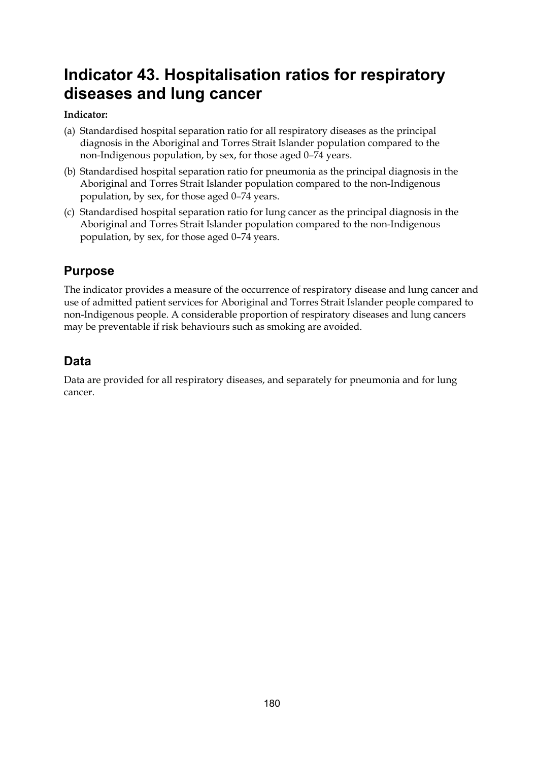# **Indicator 43. Hospitalisation ratios for respiratory diseases and lung cancer**

## **Indicator:**

- (a) Standardised hospital separation ratio for all respiratory diseases as the principal diagnosis in the Aboriginal and Torres Strait Islander population compared to the non-Indigenous population, by sex, for those aged 0–74 years.
- (b) Standardised hospital separation ratio for pneumonia as the principal diagnosis in the Aboriginal and Torres Strait Islander population compared to the non-Indigenous population, by sex, for those aged 0–74 years.
- (c) Standardised hospital separation ratio for lung cancer as the principal diagnosis in the Aboriginal and Torres Strait Islander population compared to the non-Indigenous population, by sex, for those aged 0–74 years.

# **Purpose**

The indicator provides a measure of the occurrence of respiratory disease and lung cancer and use of admitted patient services for Aboriginal and Torres Strait Islander people compared to non-Indigenous people. A considerable proportion of respiratory diseases and lung cancers may be preventable if risk behaviours such as smoking are avoided.

# **Data**

Data are provided for all respiratory diseases, and separately for pneumonia and for lung cancer.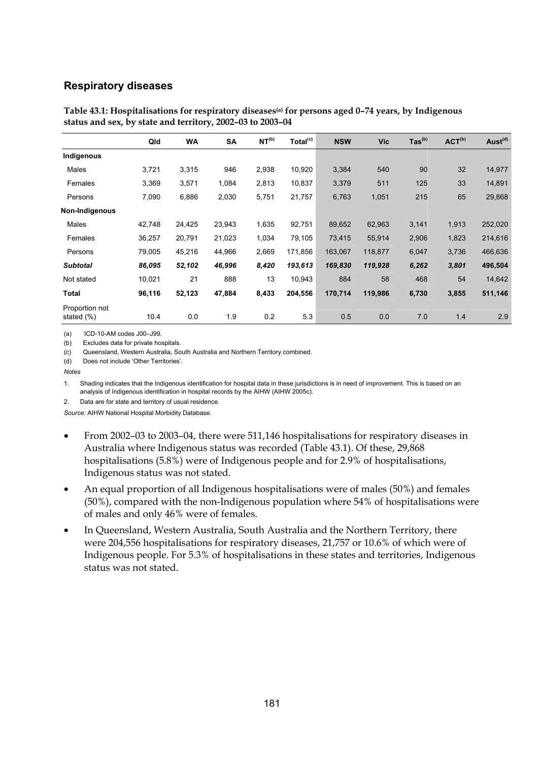#### **Respiratory diseases**

|                              | Qld    | <b>WA</b> | <b>SA</b> | NT <sup>(b)</sup> | Total <sup>(c)</sup> | <b>NSW</b> | <b>Vic</b> | $\text{Tas}^{\text{(b)}}$ | ACT <sup>(b)</sup> | Aust <sup>(d)</sup> |
|------------------------------|--------|-----------|-----------|-------------------|----------------------|------------|------------|---------------------------|--------------------|---------------------|
|                              |        |           |           |                   |                      |            |            |                           |                    |                     |
| Indigenous                   |        |           |           |                   |                      |            |            |                           |                    |                     |
| Males                        | 3,721  | 3,315     | 946       | 2,938             | 10,920               | 3,384      | 540        | 90                        | 32                 | 14,977              |
| Females                      | 3,369  | 3,571     | 1,084     | 2,813             | 10,837               | 3,379      | 511        | 125                       | 33                 | 14,891              |
| Persons                      | 7,090  | 6,886     | 2,030     | 5,751             | 21,757               | 6,763      | 1,051      | 215                       | 65                 | 29,868              |
| Non-Indigenous               |        |           |           |                   |                      |            |            |                           |                    |                     |
| Males                        | 42,748 | 24,425    | 23,943    | 1,635             | 92,751               | 89,652     | 62,963     | 3,141                     | 1,913              | 252,020             |
| Females                      | 36,257 | 20,791    | 21,023    | 1,034             | 79,105               | 73,415     | 55,914     | 2,906                     | 1,823              | 214,616             |
| Persons                      | 79,005 | 45,216    | 44,966    | 2,669             | 171,856              | 163,067    | 118,877    | 6,047                     | 3,736              | 466,636             |
| <b>Subtotal</b>              | 86,095 | 52,102    | 46,996    | 8,420             | 193,613              | 169,830    | 119,928    | 6,262                     | 3,801              | 496,504             |
| Not stated                   | 10,021 | 21        | 888       | 13                | 10,943               | 884        | 58         | 468                       | 54                 | 14,642              |
| Total                        | 96,116 | 52,123    | 47,884    | 8,433             | 204,556              | 170,714    | 119,986    | 6,730                     | 3,855              | 511,146             |
| Proportion not<br>stated (%) | 10.4   | 0.0       | 1.9       | 0.2               | 5.3                  | 0.5        | 0.0        | 7.0                       | 1.4                | 2.9                 |

Table 43.1: Hospitalisations for respiratory diseases<sup>(a)</sup> for persons aged 0–74 years, by Indigenous **status and sex, by state and territory, 2002–03 to 2003–04** 

(a) ICD-10-AM codes J00–J99.

(b) Excludes data for private hospitals.

(c) Queensland, Western Australia, South Australia and Northern Territory combined.

(d) Does not include 'Other Territories'.

*Notes* 

1. Shading indicates that the Indigenous identification for hospital data in these jurisdictions is in need of improvement. This is based on an analysis of Indigenous identification in hospital records by the AIHW (AIHW 2005c).

2. Data are for state and territory of usual residence.

- From 2002–03 to 2003–04, there were 511,146 hospitalisations for respiratory diseases in Australia where Indigenous status was recorded (Table 43.1). Of these, 29,868 hospitalisations (5.8%) were of Indigenous people and for 2.9% of hospitalisations, Indigenous status was not stated.
- An equal proportion of all Indigenous hospitalisations were of males (50%) and females (50%), compared with the non-Indigenous population where 54% of hospitalisations were of males and only 46% were of females.
- In Queensland, Western Australia, South Australia and the Northern Territory, there were 204,556 hospitalisations for respiratory diseases, 21,757 or 10.6% of which were of Indigenous people. For 5.3% of hospitalisations in these states and territories, Indigenous status was not stated.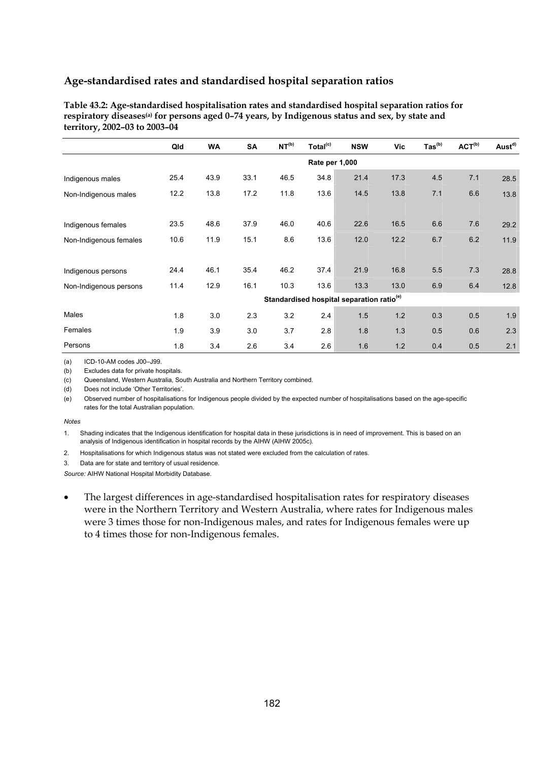| Table 43.2: Age-standardised hospitalisation rates and standardised hospital separation ratios for          |
|-------------------------------------------------------------------------------------------------------------|
| respiratory diseases <sup>(a)</sup> for persons aged 0-74 years, by Indigenous status and sex, by state and |
| territory, 2002–03 to 2003–04                                                                               |

|                        | Qld            | <b>WA</b> | <b>SA</b> | NT <sup>(b)</sup> | Total <sup>(c)</sup> | <b>NSW</b>                                            | Vic  | $\text{ Tas}^{\text{(b)}}$ | ACT <sup>(b)</sup> | Aust <sup>d)</sup> |  |  |  |
|------------------------|----------------|-----------|-----------|-------------------|----------------------|-------------------------------------------------------|------|----------------------------|--------------------|--------------------|--|--|--|
|                        | Rate per 1,000 |           |           |                   |                      |                                                       |      |                            |                    |                    |  |  |  |
| Indigenous males       | 25.4           | 43.9      | 33.1      | 46.5              | 34.8                 | 21.4                                                  | 17.3 | 4.5                        | 7.1                | 28.5               |  |  |  |
| Non-Indigenous males   | 12.2           | 13.8      | 17.2      | 11.8              | 13.6                 | 14.5                                                  | 13.8 | 7.1                        | 6.6                | 13.8               |  |  |  |
|                        |                |           |           |                   |                      |                                                       |      |                            |                    |                    |  |  |  |
| Indigenous females     | 23.5           | 48.6      | 37.9      | 46.0              | 40.6                 | 22.6                                                  | 16.5 | 6.6                        | 7.6                | 29.2               |  |  |  |
| Non-Indigenous females | 10.6           | 11.9      | 15.1      | 8.6               | 13.6                 | 12.0                                                  | 12.2 | 6.7                        | 6.2                | 11.9               |  |  |  |
|                        |                |           |           |                   |                      |                                                       |      |                            |                    |                    |  |  |  |
| Indigenous persons     | 24.4           | 46.1      | 35.4      | 46.2              | 37.4                 | 21.9                                                  | 16.8 | 5.5                        | 7.3                | 28.8               |  |  |  |
| Non-Indigenous persons | 11.4           | 12.9      | 16.1      | 10.3              | 13.6                 | 13.3                                                  | 13.0 | 6.9                        | 6.4                | 12.8               |  |  |  |
|                        |                |           |           |                   |                      | Standardised hospital separation ratio <sup>(e)</sup> |      |                            |                    |                    |  |  |  |
| Males                  | 1.8            | 3.0       | 2.3       | 3.2               | 2.4                  | 1.5                                                   | 1.2  | 0.3                        | 0.5                | 1.9                |  |  |  |
| Females                | 1.9            | 3.9       | 3.0       | 3.7               | 2.8                  | 1.8                                                   | 1.3  | 0.5                        | 0.6                | 2.3                |  |  |  |
| Persons                | 1.8            | 3.4       | 2.6       | 3.4               | 2.6                  | 1.6                                                   | 1.2  | 0.4                        | 0.5                | 2.1                |  |  |  |

(a) ICD-10-AM codes J00–J99.

(b) Excludes data for private hospitals.

(c) Queensland, Western Australia, South Australia and Northern Territory combined.

(d) Does not include 'Other Territories'.

(e) Observed number of hospitalisations for Indigenous people divided by the expected number of hospitalisations based on the age-specific rates for the total Australian population.

#### *Notes*

1. Shading indicates that the Indigenous identification for hospital data in these jurisdictions is in need of improvement. This is based on an analysis of Indigenous identification in hospital records by the AIHW (AIHW 2005c).

- 2. Hospitalisations for which Indigenous status was not stated were excluded from the calculation of rates.
- 3. Data are for state and territory of usual residence.

*Source:* AIHW National Hospital Morbidity Database.

• The largest differences in age-standardised hospitalisation rates for respiratory diseases were in the Northern Territory and Western Australia, where rates for Indigenous males were 3 times those for non-Indigenous males, and rates for Indigenous females were up to 4 times those for non-Indigenous females.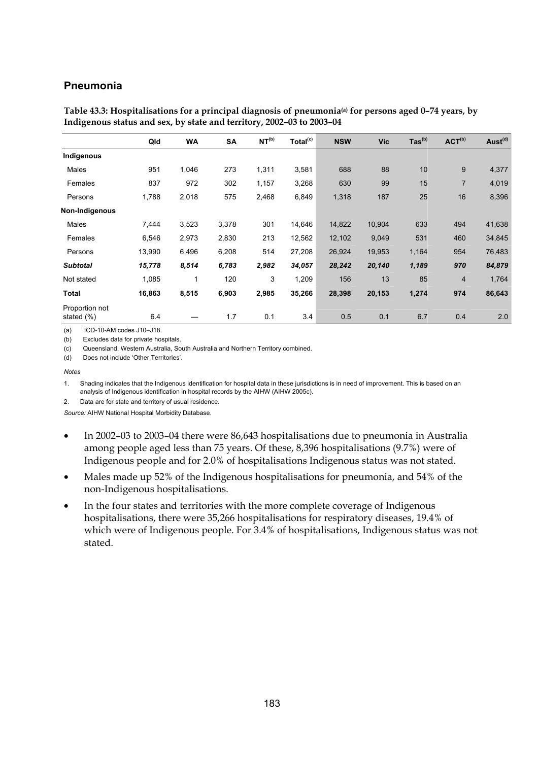### **Pneumonia**

| Table 43.3: Hospitalisations for a principal diagnosis of pneumonia <sup>(a)</sup> for persons aged 0-74 years, by |
|--------------------------------------------------------------------------------------------------------------------|
| Indigenous status and sex, by state and territory, 2002–03 to 2003–04                                              |

|                                 | Qld    | <b>WA</b> | SA    | NT <sup>(b)</sup> | Total <sup>(c)</sup> | <b>NSW</b> | <b>Vic</b> | $\text{Tas}^{\text{(b)}}$ | ACT <sup>(b)</sup> | Aust <sup>(d)</sup> |
|---------------------------------|--------|-----------|-------|-------------------|----------------------|------------|------------|---------------------------|--------------------|---------------------|
| Indigenous                      |        |           |       |                   |                      |            |            |                           |                    |                     |
| Males                           | 951    | 1,046     | 273   | 1,311             | 3,581                | 688        | 88         | 10                        | 9                  | 4,377               |
| Females                         | 837    | 972       | 302   | 1,157             | 3,268                | 630        | 99         | 15                        | $\overline{7}$     | 4,019               |
| Persons                         | 1,788  | 2,018     | 575   | 2,468             | 6,849                | 1,318      | 187        | 25                        | 16                 | 8,396               |
| Non-Indigenous                  |        |           |       |                   |                      |            |            |                           |                    |                     |
| Males                           | 7,444  | 3,523     | 3,378 | 301               | 14,646               | 14,822     | 10,904     | 633                       | 494                | 41,638              |
| Females                         | 6,546  | 2,973     | 2,830 | 213               | 12,562               | 12,102     | 9,049      | 531                       | 460                | 34,845              |
| Persons                         | 13,990 | 6,496     | 6,208 | 514               | 27,208               | 26,924     | 19,953     | 1,164                     | 954                | 76,483              |
| <b>Subtotal</b>                 | 15,778 | 8,514     | 6,783 | 2,982             | 34,057               | 28,242     | 20,140     | 1,189                     | 970                | 84,879              |
| Not stated                      | 1,085  | 1         | 120   | 3                 | 1,209                | 156        | 13         | 85                        | $\overline{4}$     | 1,764               |
| <b>Total</b>                    | 16,863 | 8,515     | 6,903 | 2,985             | 35,266               | 28,398     | 20,153     | 1,274                     | 974                | 86,643              |
| Proportion not<br>stated $(\%)$ | 6.4    |           | 1.7   | 0.1               | 3.4                  | 0.5        | 0.1        | 6.7                       | 0.4                | 2.0                 |

(a) ICD-10-AM codes J10–J18.

(b) Excludes data for private hospitals.

(c) Queensland, Western Australia, South Australia and Northern Territory combined.

(d) Does not include 'Other Territories'.

#### *Notes*

1. Shading indicates that the Indigenous identification for hospital data in these jurisdictions is in need of improvement. This is based on an analysis of Indigenous identification in hospital records by the AIHW (AIHW 2005c).

2. Data are for state and territory of usual residence.

- In 2002–03 to 2003–04 there were 86,643 hospitalisations due to pneumonia in Australia among people aged less than 75 years. Of these, 8,396 hospitalisations (9.7%) were of Indigenous people and for 2.0% of hospitalisations Indigenous status was not stated.
- Males made up 52% of the Indigenous hospitalisations for pneumonia, and 54% of the non-Indigenous hospitalisations.
- In the four states and territories with the more complete coverage of Indigenous hospitalisations, there were 35,266 hospitalisations for respiratory diseases, 19.4% of which were of Indigenous people. For 3.4% of hospitalisations, Indigenous status was not stated.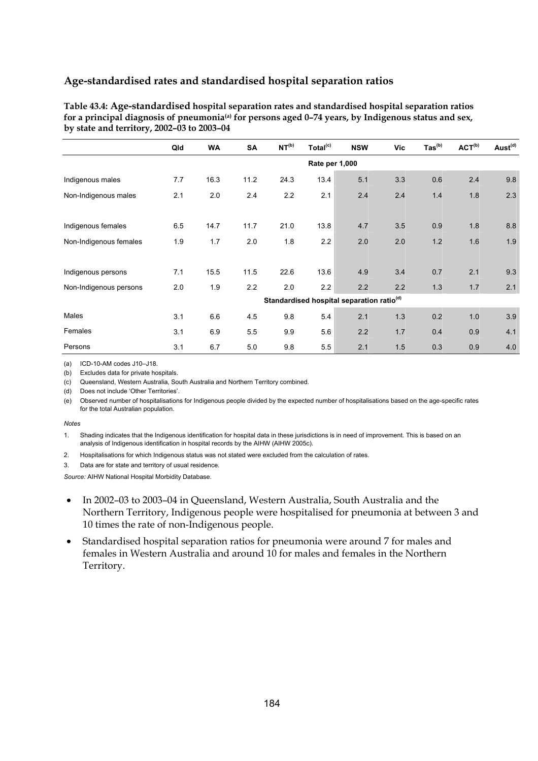| Table 43.4: Age-standardised hospital separation rates and standardised hospital separation ratios               |
|------------------------------------------------------------------------------------------------------------------|
| for a principal diagnosis of pneumonia <sup>(a)</sup> for persons aged 0-74 years, by Indigenous status and sex, |
| by state and territory, 2002–03 to 2003–04                                                                       |

|                        | Qld            | <b>WA</b> | <b>SA</b> | NT <sup>(b)</sup> | Total <sup>(c)</sup> | <b>NSW</b>                                            | Vic | $\text{Tas}^{\text{(b)}}$ | ACT <sup>(b)</sup> | Aust <sup>(d)</sup> |  |  |  |
|------------------------|----------------|-----------|-----------|-------------------|----------------------|-------------------------------------------------------|-----|---------------------------|--------------------|---------------------|--|--|--|
|                        | Rate per 1,000 |           |           |                   |                      |                                                       |     |                           |                    |                     |  |  |  |
| Indigenous males       | 7.7            | 16.3      | 11.2      | 24.3              | 13.4                 | 5.1                                                   | 3.3 | 0.6                       | 2.4                | 9.8                 |  |  |  |
| Non-Indigenous males   | 2.1            | 2.0       | 2.4       | 2.2               | 2.1                  | 2.4                                                   | 2.4 | 1.4                       | 1.8                | 2.3                 |  |  |  |
|                        |                |           |           |                   |                      |                                                       |     |                           |                    |                     |  |  |  |
| Indigenous females     | 6.5            | 14.7      | 11.7      | 21.0              | 13.8                 | 4.7                                                   | 3.5 | 0.9                       | 1.8                | 8.8                 |  |  |  |
| Non-Indigenous females | 1.9            | 1.7       | 2.0       | 1.8               | 2.2                  | 2.0                                                   | 2.0 | 1.2                       | 1.6                | 1.9                 |  |  |  |
|                        |                |           |           |                   |                      |                                                       |     |                           |                    |                     |  |  |  |
| Indigenous persons     | 7.1            | 15.5      | 11.5      | 22.6              | 13.6                 | 4.9                                                   | 3.4 | 0.7                       | 2.1                | 9.3                 |  |  |  |
| Non-Indigenous persons | 2.0            | 1.9       | 2.2       | 2.0               | 2.2                  | 2.2                                                   | 2.2 | 1.3                       | 1.7                | 2.1                 |  |  |  |
|                        |                |           |           |                   |                      | Standardised hospital separation ratio <sup>(d)</sup> |     |                           |                    |                     |  |  |  |
| Males                  | 3.1            | 6.6       | 4.5       | 9.8               | 5.4                  | 2.1                                                   | 1.3 | 0.2                       | 1.0                | 3.9                 |  |  |  |
| Females                | 3.1            | 6.9       | 5.5       | 9.9               | 5.6                  | 2.2                                                   | 1.7 | 0.4                       | 0.9                | 4.1                 |  |  |  |
| Persons                | 3.1            | 6.7       | 5.0       | 9.8               | 5.5                  | 2.1                                                   | 1.5 | 0.3                       | 0.9                | 4.0                 |  |  |  |

(a) ICD-10-AM codes J10–J18.

(b) Excludes data for private hospitals.

(c) Queensland, Western Australia, South Australia and Northern Territory combined.

(d) Does not include 'Other Territories'.

(e) Observed number of hospitalisations for Indigenous people divided by the expected number of hospitalisations based on the age-specific rates for the total Australian population.

#### *Notes*

1. Shading indicates that the Indigenous identification for hospital data in these jurisdictions is in need of improvement. This is based on an analysis of Indigenous identification in hospital records by the AIHW (AIHW 2005c).

- 2. Hospitalisations for which Indigenous status was not stated were excluded from the calculation of rates.
- 3. Data are for state and territory of usual residence.

- In 2002–03 to 2003–04 in Queensland, Western Australia, South Australia and the Northern Territory, Indigenous people were hospitalised for pneumonia at between 3 and 10 times the rate of non-Indigenous people.
- Standardised hospital separation ratios for pneumonia were around 7 for males and females in Western Australia and around 10 for males and females in the Northern Territory.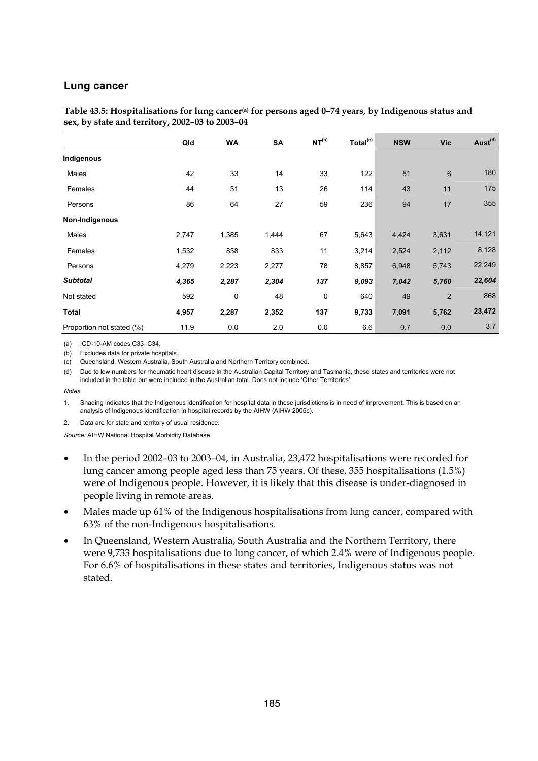#### **Lung cancer**

| Table 43.5: Hospitalisations for lung cancer <sup>(a)</sup> for persons aged 0-74 years, by Indigenous status and |  |
|-------------------------------------------------------------------------------------------------------------------|--|
| sex, by state and territory, 2002–03 to 2003–04                                                                   |  |

|                           | Qld   | WA    | <b>SA</b> | NT <sup>(b)</sup> | Total <sup>(c)</sup> | <b>NSW</b> | <b>Vic</b>     | Aust <sup>(d)</sup> |
|---------------------------|-------|-------|-----------|-------------------|----------------------|------------|----------------|---------------------|
| Indigenous                |       |       |           |                   |                      |            |                |                     |
| Males                     | 42    | 33    | 14        | 33                | 122                  | 51         | $6\phantom{1}$ | 180                 |
| Females                   | 44    | 31    | 13        | 26                | 114                  | 43         | 11             | 175                 |
| Persons                   | 86    | 64    | 27        | 59                | 236                  | 94         | 17             | 355                 |
| Non-Indigenous            |       |       |           |                   |                      |            |                |                     |
| Males                     | 2,747 | 1,385 | 1,444     | 67                | 5,643                | 4,424      | 3,631          | 14,121              |
| Females                   | 1,532 | 838   | 833       | 11                | 3,214                | 2,524      | 2,112          | 8,128               |
| Persons                   | 4,279 | 2,223 | 2,277     | 78                | 8,857                | 6,948      | 5,743          | 22,249              |
| <b>Subtotal</b>           | 4,365 | 2,287 | 2,304     | 137               | 9,093                | 7,042      | 5,760          | 22,604              |
| Not stated                | 592   | 0     | 48        | 0                 | 640                  | 49         | 2              | 868                 |
| <b>Total</b>              | 4,957 | 2,287 | 2,352     | 137               | 9,733                | 7,091      | 5,762          | 23,472              |
| Proportion not stated (%) | 11.9  | 0.0   | 2.0       | 0.0               | 6.6                  | 0.7        | 0.0            | 3.7                 |

(a) ICD-10-AM codes C33–C34.

(b) Excludes data for private hospitals.

(c) Queensland, Western Australia, South Australia and Northern Territory combined.

(d) Due to low numbers for rheumatic heart disease in the Australian Capital Territory and Tasmania, these states and territories were not included in the table but were included in the Australian total. Does not include 'Other Territories'.

#### *Notes*

1. Shading indicates that the Indigenous identification for hospital data in these jurisdictions is in need of improvement. This is based on an analysis of Indigenous identification in hospital records by the AIHW (AIHW 2005c).

2. Data are for state and territory of usual residence.

- In the period 2002–03 to 2003–04, in Australia, 23,472 hospitalisations were recorded for lung cancer among people aged less than 75 years. Of these, 355 hospitalisations (1.5%) were of Indigenous people. However, it is likely that this disease is under-diagnosed in people living in remote areas.
- Males made up 61% of the Indigenous hospitalisations from lung cancer, compared with 63% of the non-Indigenous hospitalisations.
- In Queensland, Western Australia, South Australia and the Northern Territory, there were 9,733 hospitalisations due to lung cancer, of which 2.4% were of Indigenous people. For 6.6% of hospitalisations in these states and territories, Indigenous status was not stated.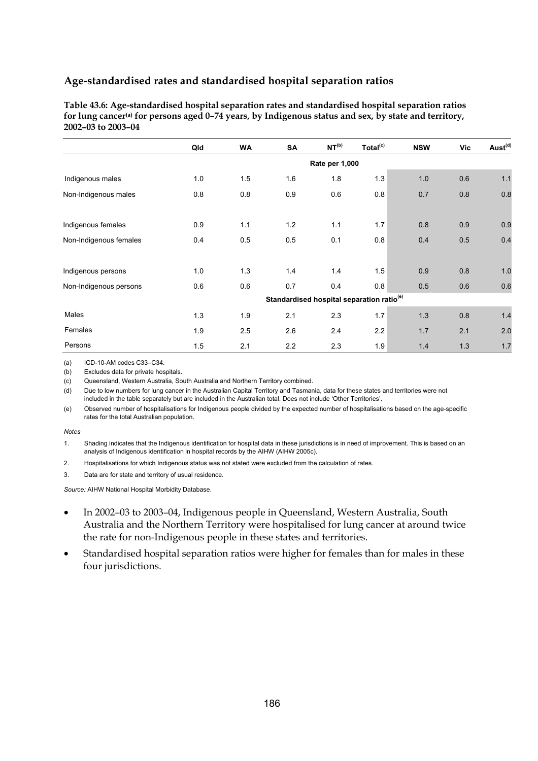**Table 43.6: Age-standardised hospital separation rates and standardised hospital separation ratios for lung cancer(a) for persons aged 0–74 years, by Indigenous status and sex, by state and territory, 2002–03 to 2003–04** 

|                        | Qld | <b>WA</b> | SA                                                    | NT <sup>(b)</sup> | Total <sup>(c)</sup> | <b>NSW</b> | Vic | Aust <sup>(d)</sup> |
|------------------------|-----|-----------|-------------------------------------------------------|-------------------|----------------------|------------|-----|---------------------|
|                        |     |           |                                                       | Rate per 1,000    |                      |            |     |                     |
| Indigenous males       | 1.0 | 1.5       | 1.6                                                   | 1.8               | 1.3                  | 1.0        | 0.6 | $1.1$               |
| Non-Indigenous males   | 0.8 | 0.8       | 0.9                                                   | 0.6               | 0.8                  | 0.7        | 0.8 | 0.8                 |
|                        |     |           |                                                       |                   |                      |            |     |                     |
| Indigenous females     | 0.9 | 1.1       | 1.2                                                   | 1.1               | 1.7                  | 0.8        | 0.9 | 0.9                 |
| Non-Indigenous females | 0.4 | 0.5       | 0.5                                                   | 0.1               | 0.8                  | 0.4        | 0.5 | 0.4                 |
|                        |     |           |                                                       |                   |                      |            |     |                     |
| Indigenous persons     | 1.0 | 1.3       | 1.4                                                   | 1.4               | 1.5                  | 0.9        | 0.8 | 1.0                 |
| Non-Indigenous persons | 0.6 | 0.6       | 0.7                                                   | 0.4               | 0.8                  | 0.5        | 0.6 | 0.6                 |
|                        |     |           | Standardised hospital separation ratio <sup>(e)</sup> |                   |                      |            |     |                     |
| Males                  | 1.3 | 1.9       | 2.1                                                   | 2.3               | 1.7                  | 1.3        | 0.8 | 1.4                 |
| Females                | 1.9 | 2.5       | 2.6                                                   | 2.4               | 2.2                  | 1.7        | 2.1 | 2.0                 |
| Persons                | 1.5 | 2.1       | 2.2                                                   | 2.3               | 1.9                  | 1.4        | 1.3 | 1.7                 |

(a) ICD-10-AM codes C33–C34.

(b) Excludes data for private hospitals.

(c) Queensland, Western Australia, South Australia and Northern Territory combined.

(d) Due to low numbers for lung cancer in the Australian Capital Territory and Tasmania, data for these states and territories were not included in the table separately but are included in the Australian total. Does not include 'Other Territories'.

(e) Observed number of hospitalisations for Indigenous people divided by the expected number of hospitalisations based on the age-specific rates for the total Australian population.

#### *Notes*

1. Shading indicates that the Indigenous identification for hospital data in these jurisdictions is in need of improvement. This is based on an analysis of Indigenous identification in hospital records by the AIHW (AIHW 2005c).

- 2. Hospitalisations for which Indigenous status was not stated were excluded from the calculation of rates.
- 3. Data are for state and territory of usual residence.

- In 2002–03 to 2003–04, Indigenous people in Queensland, Western Australia, South Australia and the Northern Territory were hospitalised for lung cancer at around twice the rate for non-Indigenous people in these states and territories.
- Standardised hospital separation ratios were higher for females than for males in these four jurisdictions.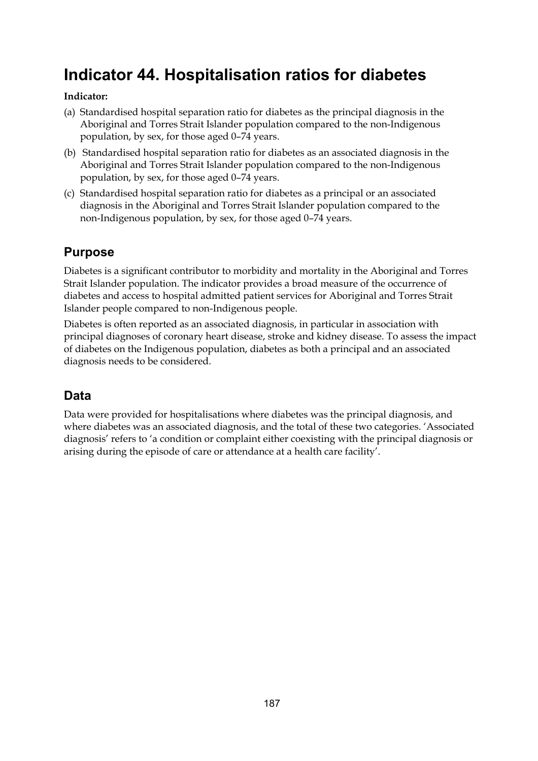# **Indicator 44. Hospitalisation ratios for diabetes**

## **Indicator:**

- (a) Standardised hospital separation ratio for diabetes as the principal diagnosis in the Aboriginal and Torres Strait Islander population compared to the non-Indigenous population, by sex, for those aged 0–74 years.
- (b) Standardised hospital separation ratio for diabetes as an associated diagnosis in the Aboriginal and Torres Strait Islander population compared to the non-Indigenous population, by sex, for those aged 0–74 years.
- (c) Standardised hospital separation ratio for diabetes as a principal or an associated diagnosis in the Aboriginal and Torres Strait Islander population compared to the non-Indigenous population, by sex, for those aged 0–74 years.

## **Purpose**

Diabetes is a significant contributor to morbidity and mortality in the Aboriginal and Torres Strait Islander population. The indicator provides a broad measure of the occurrence of diabetes and access to hospital admitted patient services for Aboriginal and Torres Strait Islander people compared to non-Indigenous people.

Diabetes is often reported as an associated diagnosis, in particular in association with principal diagnoses of coronary heart disease, stroke and kidney disease. To assess the impact of diabetes on the Indigenous population, diabetes as both a principal and an associated diagnosis needs to be considered.

# **Data**

Data were provided for hospitalisations where diabetes was the principal diagnosis, and where diabetes was an associated diagnosis, and the total of these two categories. 'Associated diagnosis' refers to 'a condition or complaint either coexisting with the principal diagnosis or arising during the episode of care or attendance at a health care facility'.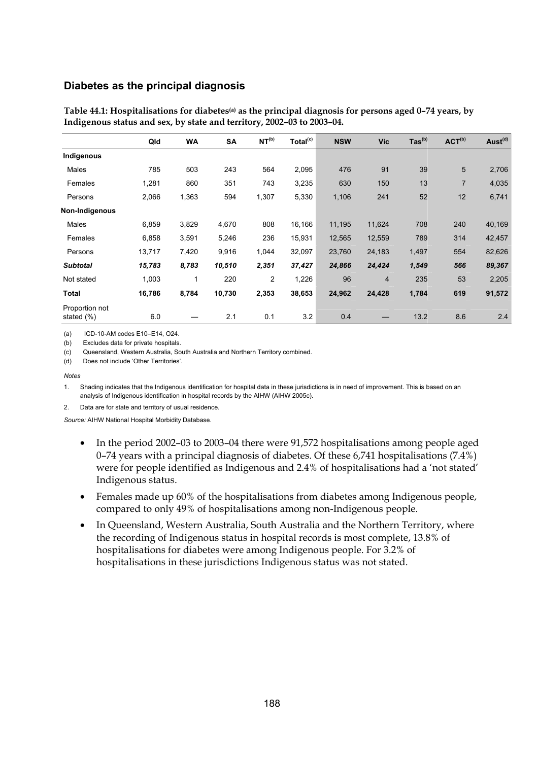#### **Diabetes as the principal diagnosis**

|                              | Qld    | <b>WA</b> | <b>SA</b> | NT <sup>(b)</sup> | Total <sup>(c)</sup> | <b>NSW</b> | <b>Vic</b>     | $\text{Tas}^{\text{(b)}}$ | ACT <sup>(b)</sup> | Aust <sup>(d)</sup> |
|------------------------------|--------|-----------|-----------|-------------------|----------------------|------------|----------------|---------------------------|--------------------|---------------------|
| Indigenous                   |        |           |           |                   |                      |            |                |                           |                    |                     |
| Males                        | 785    | 503       | 243       | 564               | 2,095                | 476        | 91             | 39                        | 5                  | 2,706               |
| Females                      | 1,281  | 860       | 351       | 743               | 3,235                | 630        | 150            | 13                        | $\overline{7}$     | 4,035               |
| Persons                      | 2,066  | 1,363     | 594       | 1,307             | 5,330                | 1,106      | 241            | 52                        | 12                 | 6,741               |
| Non-Indigenous               |        |           |           |                   |                      |            |                |                           |                    |                     |
| Males                        | 6,859  | 3,829     | 4,670     | 808               | 16,166               | 11,195     | 11,624         | 708                       | 240                | 40,169              |
| Females                      | 6,858  | 3,591     | 5,246     | 236               | 15,931               | 12,565     | 12,559         | 789                       | 314                | 42,457              |
| Persons                      | 13,717 | 7,420     | 9,916     | 1,044             | 32,097               | 23,760     | 24,183         | 1,497                     | 554                | 82,626              |
| <b>Subtotal</b>              | 15,783 | 8,783     | 10,510    | 2,351             | 37,427               | 24,866     | 24,424         | 1,549                     | 566                | 89,367              |
| Not stated                   | 1,003  |           | 220       | $\overline{2}$    | 1,226                | 96         | $\overline{4}$ | 235                       | 53                 | 2,205               |
| Total                        | 16,786 | 8,784     | 10,730    | 2,353             | 38,653               | 24,962     | 24,428         | 1,784                     | 619                | 91,572              |
| Proportion not<br>stated (%) | 6.0    |           | 2.1       | 0.1               | 3.2                  | 0.4        |                | 13.2                      | 8.6                | 2.4                 |

**Table 44.1: Hospitalisations for diabetes(a) as the principal diagnosis for persons aged 0–74 years, by Indigenous status and sex, by state and territory, 2002–03 to 2003–04.** 

(a) ICD-10-AM codes E10–E14, O24.

(b) Excludes data for private hospitals.

(c) Queensland, Western Australia, South Australia and Northern Territory combined.

(d) Does not include 'Other Territories'.

#### *Notes*

1. Shading indicates that the Indigenous identification for hospital data in these jurisdictions is in need of improvement. This is based on an analysis of Indigenous identification in hospital records by the AIHW (AIHW 2005c).

2. Data are for state and territory of usual residence.

- In the period 2002–03 to 2003–04 there were 91,572 hospitalisations among people aged 0–74 years with a principal diagnosis of diabetes. Of these 6,741 hospitalisations (7.4%) were for people identified as Indigenous and 2.4% of hospitalisations had a 'not stated' Indigenous status.
- Females made up 60% of the hospitalisations from diabetes among Indigenous people, compared to only 49% of hospitalisations among non-Indigenous people.
- In Queensland, Western Australia, South Australia and the Northern Territory, where the recording of Indigenous status in hospital records is most complete, 13.8% of hospitalisations for diabetes were among Indigenous people. For 3.2% of hospitalisations in these jurisdictions Indigenous status was not stated.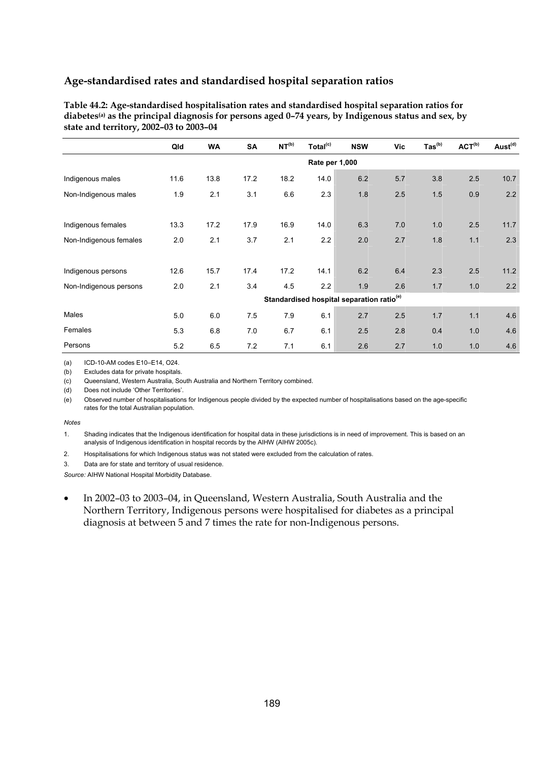| Table 44.2: Age-standardised hospitalisation rates and standardised hospital separation ratios for               |
|------------------------------------------------------------------------------------------------------------------|
| diabetes <sup>(a)</sup> as the principal diagnosis for persons aged 0–74 years, by Indigenous status and sex, by |
| state and territory, 2002–03 to 2003–04                                                                          |

|                        | Qld            | <b>WA</b> | <b>SA</b> | NT <sup>(b)</sup> | Total <sup>(c)</sup> | <b>NSW</b>                                            | Vic | $\text{Tas}^{(b)}$ | ACT <sup>(b)</sup> | Aust <sup>(d)</sup> |  |
|------------------------|----------------|-----------|-----------|-------------------|----------------------|-------------------------------------------------------|-----|--------------------|--------------------|---------------------|--|
|                        | Rate per 1,000 |           |           |                   |                      |                                                       |     |                    |                    |                     |  |
| Indigenous males       | 11.6           | 13.8      | 17.2      | 18.2              | 14.0                 | 6.2                                                   | 5.7 | 3.8                | 2.5                | 10.7                |  |
| Non-Indigenous males   | 1.9            | 2.1       | 3.1       | 6.6               | 2.3                  | 1.8                                                   | 2.5 | 1.5                | 0.9                | 2.2                 |  |
|                        |                |           |           |                   |                      |                                                       |     |                    |                    |                     |  |
| Indigenous females     | 13.3           | 17.2      | 17.9      | 16.9              | 14.0                 | 6.3                                                   | 7.0 | 1.0                | 2.5                | 11.7                |  |
| Non-Indigenous females | 2.0            | 2.1       | 3.7       | 2.1               | 2.2                  | 2.0                                                   | 2.7 | 1.8                | 1.1                | 2.3                 |  |
|                        |                |           |           |                   |                      |                                                       |     |                    |                    |                     |  |
| Indigenous persons     | 12.6           | 15.7      | 17.4      | 17.2              | 14.1                 | 6.2                                                   | 6.4 | 2.3                | 2.5                | 11.2                |  |
| Non-Indigenous persons | 2.0            | 2.1       | 3.4       | 4.5               | 2.2                  | 1.9                                                   | 2.6 | 1.7                | 1.0                | 2.2                 |  |
|                        |                |           |           |                   |                      | Standardised hospital separation ratio <sup>(e)</sup> |     |                    |                    |                     |  |
| Males                  | 5.0            | 6.0       | 7.5       | 7.9               | 6.1                  | 2.7                                                   | 2.5 | 1.7                | 1.1                | 4.6                 |  |
| Females                | 5.3            | 6.8       | 7.0       | 6.7               | 6.1                  | 2.5                                                   | 2.8 | 0.4                | 1.0                | 4.6                 |  |
| Persons                | 5.2            | 6.5       | 7.2       | 7.1               | 6.1                  | 2.6                                                   | 2.7 | 1.0                | 1.0                | 4.6                 |  |

(a) ICD-10-AM codes E10–E14, O24.

(b) Excludes data for private hospitals.

(c) Queensland, Western Australia, South Australia and Northern Territory combined.

(d) Does not include 'Other Territories'.

(e) Observed number of hospitalisations for Indigenous people divided by the expected number of hospitalisations based on the age-specific rates for the total Australian population.

#### *Notes*

1. Shading indicates that the Indigenous identification for hospital data in these jurisdictions is in need of improvement. This is based on an analysis of Indigenous identification in hospital records by the AIHW (AIHW 2005c).

2. Hospitalisations for which Indigenous status was not stated were excluded from the calculation of rates.

3. Data are for state and territory of usual residence.

*Source:* AIHW National Hospital Morbidity Database.

• In 2002–03 to 2003–04, in Queensland, Western Australia, South Australia and the Northern Territory, Indigenous persons were hospitalised for diabetes as a principal diagnosis at between 5 and 7 times the rate for non-Indigenous persons.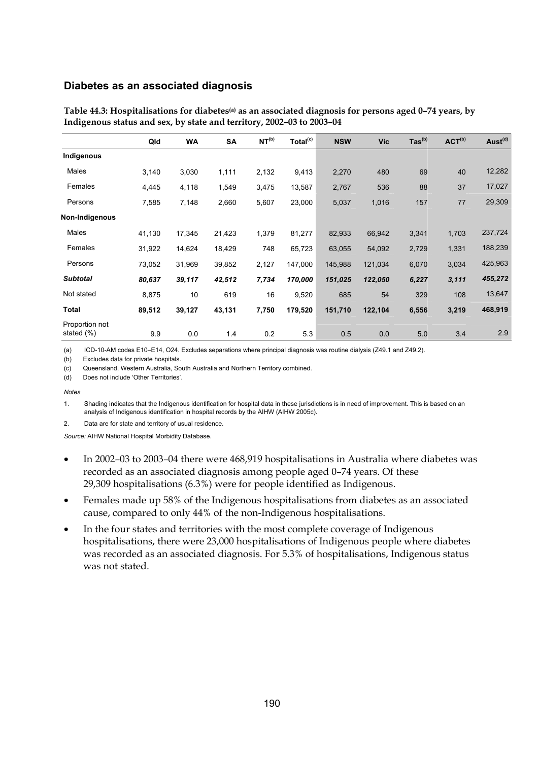#### **Diabetes as an associated diagnosis**

|                              | Qld    | WA     | <b>SA</b> | NT <sup>(b)</sup> | Total <sup>(c)</sup> | <b>NSW</b> | <b>Vic</b> | $\text{Tas}^{\text{(b)}}$ | ACT <sup>(b)</sup> | Aust <sup>(d)</sup> |
|------------------------------|--------|--------|-----------|-------------------|----------------------|------------|------------|---------------------------|--------------------|---------------------|
| Indigenous                   |        |        |           |                   |                      |            |            |                           |                    |                     |
| Males                        | 3,140  | 3,030  | 1,111     | 2,132             | 9,413                | 2,270      | 480        | 69                        | 40                 | 12,282              |
| Females                      | 4,445  | 4,118  | 1,549     | 3,475             | 13,587               | 2,767      | 536        | 88                        | 37                 | 17,027              |
| Persons                      | 7,585  | 7,148  | 2,660     | 5,607             | 23,000               | 5,037      | 1,016      | 157                       | 77                 | 29,309              |
| Non-Indigenous               |        |        |           |                   |                      |            |            |                           |                    |                     |
| Males                        | 41,130 | 17,345 | 21,423    | 1,379             | 81,277               | 82,933     | 66,942     | 3,341                     | 1,703              | 237,724             |
| Females                      | 31,922 | 14,624 | 18,429    | 748               | 65,723               | 63,055     | 54,092     | 2,729                     | 1,331              | 188,239             |
| Persons                      | 73,052 | 31,969 | 39,852    | 2,127             | 147,000              | 145,988    | 121,034    | 6,070                     | 3,034              | 425,963             |
| <b>Subtotal</b>              | 80,637 | 39,117 | 42,512    | 7,734             | 170,000              | 151,025    | 122,050    | 6,227                     | 3, 111             | 455,272             |
| Not stated                   | 8,875  | 10     | 619       | 16                | 9,520                | 685        | 54         | 329                       | 108                | 13,647              |
| Total                        | 89,512 | 39,127 | 43,131    | 7,750             | 179,520              | 151,710    | 122,104    | 6,556                     | 3,219              | 468,919             |
| Proportion not<br>stated (%) | 9.9    | 0.0    | 1.4       | 0.2               | 5.3                  | 0.5        | 0.0        | 5.0                       | 3.4                | 2.9                 |

**Table 44.3: Hospitalisations for diabetes(a) as an associated diagnosis for persons aged 0–74 years, by Indigenous status and sex, by state and territory, 2002–03 to 2003–04** 

(a) ICD-10-AM codes E10–E14, O24. Excludes separations where principal diagnosis was routine dialysis (Z49.1 and Z49.2).

(b) Excludes data for private hospitals.

(c) Queensland, Western Australia, South Australia and Northern Territory combined.

(d) Does not include 'Other Territories'.

*Notes* 

1. Shading indicates that the Indigenous identification for hospital data in these jurisdictions is in need of improvement. This is based on an analysis of Indigenous identification in hospital records by the AIHW (AIHW 2005c).

2. Data are for state and territory of usual residence.

- In 2002–03 to 2003–04 there were 468,919 hospitalisations in Australia where diabetes was recorded as an associated diagnosis among people aged 0–74 years. Of these 29,309 hospitalisations (6.3%) were for people identified as Indigenous.
- Females made up 58% of the Indigenous hospitalisations from diabetes as an associated cause, compared to only 44% of the non-Indigenous hospitalisations.
- In the four states and territories with the most complete coverage of Indigenous hospitalisations, there were 23,000 hospitalisations of Indigenous people where diabetes was recorded as an associated diagnosis. For 5.3% of hospitalisations, Indigenous status was not stated.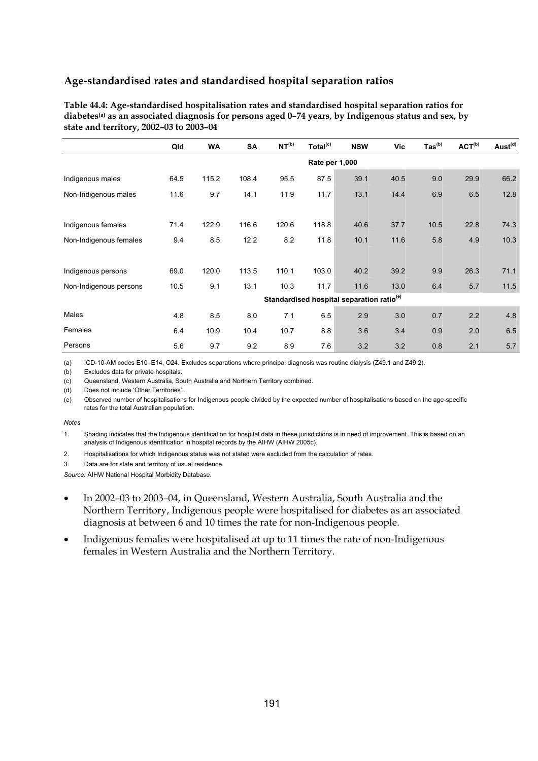| Table 44.4: Age-standardised hospitalisation rates and standardised hospital separation ratios for                 |
|--------------------------------------------------------------------------------------------------------------------|
| diabetes <sup>(a)</sup> as an associated diagnosis for persons aged $0-74$ years, by Indigenous status and sex, by |
| state and territory, 2002–03 to 2003–04                                                                            |

|                        | Qld            | <b>WA</b> | <b>SA</b> | NT <sup>(b)</sup> | Total <sup>(c)</sup> | <b>NSW</b>                                            | Vic  | $\text{Tas}^{(b)}$ | ACT <sup>(b)</sup> | Aust <sup>(d)</sup> |  |
|------------------------|----------------|-----------|-----------|-------------------|----------------------|-------------------------------------------------------|------|--------------------|--------------------|---------------------|--|
|                        | Rate per 1,000 |           |           |                   |                      |                                                       |      |                    |                    |                     |  |
| Indigenous males       | 64.5           | 115.2     | 108.4     | 95.5              | 87.5                 | 39.1                                                  | 40.5 | 9.0                | 29.9               | 66.2                |  |
| Non-Indigenous males   | 11.6           | 9.7       | 14.1      | 11.9              | 11.7                 | 13.1                                                  | 14.4 | 6.9                | 6.5                | 12.8                |  |
|                        |                |           |           |                   |                      |                                                       |      |                    |                    |                     |  |
| Indigenous females     | 71.4           | 122.9     | 116.6     | 120.6             | 118.8                | 40.6                                                  | 37.7 | 10.5               | 22.8               | 74.3                |  |
| Non-Indigenous females | 9.4            | 8.5       | 12.2      | 8.2               | 11.8                 | 10.1                                                  | 11.6 | 5.8                | 4.9                | 10.3                |  |
|                        |                |           |           |                   |                      |                                                       |      |                    |                    |                     |  |
| Indigenous persons     | 69.0           | 120.0     | 113.5     | 110.1             | 103.0                | 40.2                                                  | 39.2 | 9.9                | 26.3               | 71.1                |  |
| Non-Indigenous persons | 10.5           | 9.1       | 13.1      | 10.3              | 11.7                 | 11.6                                                  | 13.0 | 6.4                | 5.7                | 11.5                |  |
|                        |                |           |           |                   |                      | Standardised hospital separation ratio <sup>(e)</sup> |      |                    |                    |                     |  |
| Males                  | 4.8            | 8.5       | 8.0       | 7.1               | 6.5                  | 2.9                                                   | 3.0  | 0.7                | 2.2                | 4.8                 |  |
| Females                | 6.4            | 10.9      | 10.4      | 10.7              | 8.8                  | 3.6                                                   | 3.4  | 0.9                | 2.0                | 6.5                 |  |
| Persons                | 5.6            | 9.7       | 9.2       | 8.9               | 7.6                  | 3.2                                                   | 3.2  | 0.8                | 2.1                | 5.7                 |  |

(a) ICD-10-AM codes E10–E14, O24. Excludes separations where principal diagnosis was routine dialysis (Z49.1 and Z49.2).

(b) Excludes data for private hospitals.

(c) Queensland, Western Australia, South Australia and Northern Territory combined.

(d) Does not include 'Other Territories'.

(e) Observed number of hospitalisations for Indigenous people divided by the expected number of hospitalisations based on the age-specific rates for the total Australian population.

#### *Notes*

1. Shading indicates that the Indigenous identification for hospital data in these jurisdictions is in need of improvement. This is based on an analysis of Indigenous identification in hospital records by the AIHW (AIHW 2005c).

2. Hospitalisations for which Indigenous status was not stated were excluded from the calculation of rates.

3. Data are for state and territory of usual residence.

- In 2002–03 to 2003–04, in Queensland, Western Australia, South Australia and the Northern Territory, Indigenous people were hospitalised for diabetes as an associated diagnosis at between 6 and 10 times the rate for non-Indigenous people.
- Indigenous females were hospitalised at up to 11 times the rate of non-Indigenous females in Western Australia and the Northern Territory.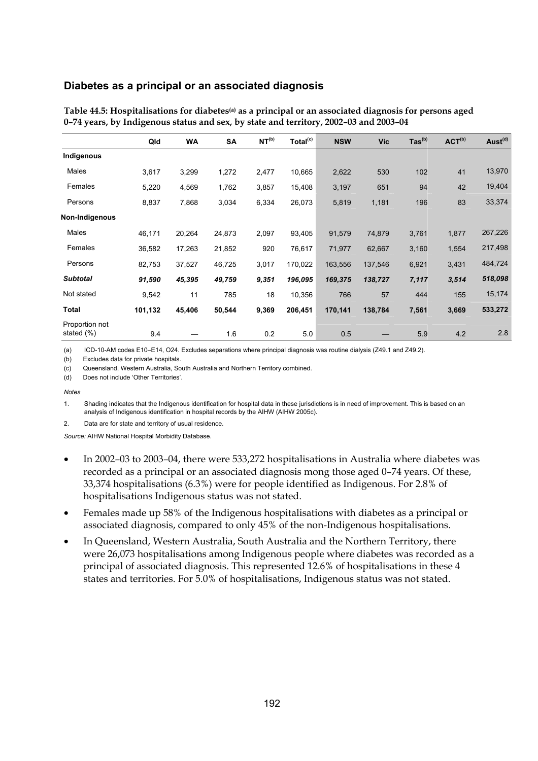#### **Diabetes as a principal or an associated diagnosis**

|                              | Qld     | <b>WA</b> | <b>SA</b> | NT <sup>(b)</sup> | Total <sup>(c)</sup> | <b>NSW</b> | <b>Vic</b> | $\text{Tas}^{(b)}$ | ACT <sup>(b)</sup> | Aust <sup>(d)</sup> |
|------------------------------|---------|-----------|-----------|-------------------|----------------------|------------|------------|--------------------|--------------------|---------------------|
| Indigenous                   |         |           |           |                   |                      |            |            |                    |                    |                     |
| Males                        | 3,617   | 3,299     | 1,272     | 2,477             | 10,665               | 2,622      | 530        | 102                | 41                 | 13,970              |
| Females                      | 5,220   | 4,569     | 1,762     | 3,857             | 15,408               | 3,197      | 651        | 94                 | 42                 | 19,404              |
| Persons                      | 8,837   | 7,868     | 3,034     | 6,334             | 26,073               | 5,819      | 1,181      | 196                | 83                 | 33,374              |
| Non-Indigenous               |         |           |           |                   |                      |            |            |                    |                    |                     |
| Males                        | 46,171  | 20,264    | 24,873    | 2,097             | 93,405               | 91,579     | 74,879     | 3,761              | 1,877              | 267,226             |
| Females                      | 36,582  | 17,263    | 21,852    | 920               | 76,617               | 71,977     | 62,667     | 3,160              | 1,554              | 217,498             |
| Persons                      | 82,753  | 37,527    | 46,725    | 3,017             | 170,022              | 163,556    | 137,546    | 6,921              | 3,431              | 484,724             |
| <b>Subtotal</b>              | 91,590  | 45,395    | 49,759    | 9,351             | 196,095              | 169,375    | 138,727    | 7,117              | 3,514              | 518,098             |
| Not stated                   | 9,542   | 11        | 785       | 18                | 10,356               | 766        | 57         | 444                | 155                | 15,174              |
| Total                        | 101,132 | 45,406    | 50,544    | 9,369             | 206,451              | 170,141    | 138,784    | 7,561              | 3,669              | 533,272             |
| Proportion not<br>stated (%) | 9.4     |           | 1.6       | 0.2               | 5.0                  | 0.5        |            | 5.9                | 4.2                | 2.8                 |

**Table 44.5: Hospitalisations for diabetes(a) as a principal or an associated diagnosis for persons aged 0–74 years, by Indigenous status and sex, by state and territory, 2002–03 and 2003–04** 

(a) ICD-10-AM codes E10–E14, O24. Excludes separations where principal diagnosis was routine dialysis (Z49.1 and Z49.2).

(b) Excludes data for private hospitals.

(c) Queensland, Western Australia, South Australia and Northern Territory combined.

(d) Does not include 'Other Territories'.

*Notes* 

1. Shading indicates that the Indigenous identification for hospital data in these jurisdictions is in need of improvement. This is based on an analysis of Indigenous identification in hospital records by the AIHW (AIHW 2005c).

2. Data are for state and territory of usual residence.

- In 2002–03 to 2003–04, there were 533,272 hospitalisations in Australia where diabetes was recorded as a principal or an associated diagnosis mong those aged 0–74 years. Of these, 33,374 hospitalisations (6.3%) were for people identified as Indigenous. For 2.8% of hospitalisations Indigenous status was not stated.
- Females made up 58% of the Indigenous hospitalisations with diabetes as a principal or associated diagnosis, compared to only 45% of the non-Indigenous hospitalisations.
- In Queensland, Western Australia, South Australia and the Northern Territory, there were 26,073 hospitalisations among Indigenous people where diabetes was recorded as a principal of associated diagnosis. This represented 12.6% of hospitalisations in these 4 states and territories. For 5.0% of hospitalisations, Indigenous status was not stated.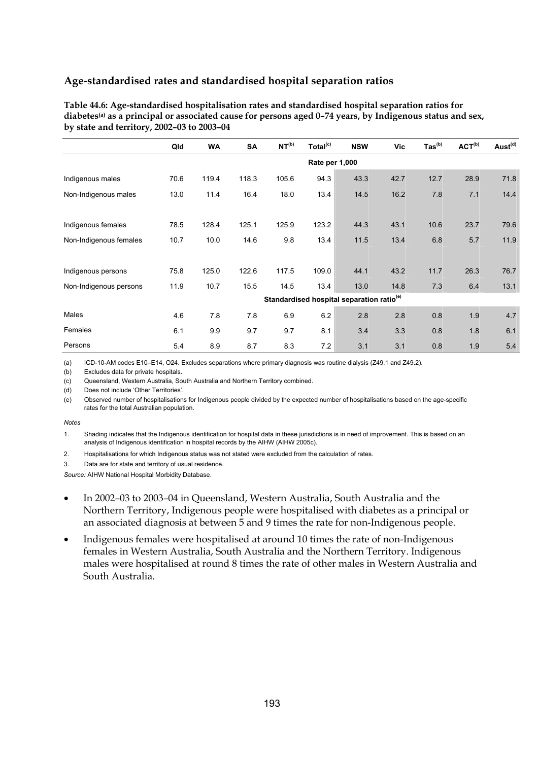| Table 44.6: Age-standardised hospitalisation rates and standardised hospital separation ratios for                    |
|-----------------------------------------------------------------------------------------------------------------------|
| diabetes <sup>(a)</sup> as a principal or associated cause for persons aged 0-74 years, by Indigenous status and sex, |
| by state and territory, $2002-03$ to $2003-04$                                                                        |

|                        | Qld  | <b>WA</b>      | <b>SA</b> | NT <sup>(b)</sup>                                     | Total <sup>(c)</sup> | <b>NSW</b> | Vic  | $\text{Tas}^{\text{(b)}}$ | ACT <sup>(b)</sup> | Aust <sup>(d)</sup> |  |  |  |
|------------------------|------|----------------|-----------|-------------------------------------------------------|----------------------|------------|------|---------------------------|--------------------|---------------------|--|--|--|
|                        |      | Rate per 1,000 |           |                                                       |                      |            |      |                           |                    |                     |  |  |  |
| Indigenous males       | 70.6 | 119.4          | 118.3     | 105.6                                                 | 94.3                 | 43.3       | 42.7 | 12.7                      | 28.9               | 71.8                |  |  |  |
| Non-Indigenous males   | 13.0 | 11.4           | 16.4      | 18.0                                                  | 13.4                 | 14.5       | 16.2 | 7.8                       | 7.1                | 14.4                |  |  |  |
|                        |      |                |           |                                                       |                      |            |      |                           |                    |                     |  |  |  |
| Indigenous females     | 78.5 | 128.4          | 125.1     | 125.9                                                 | 123.2                | 44.3       | 43.1 | 10.6                      | 23.7               | 79.6                |  |  |  |
| Non-Indigenous females | 10.7 | 10.0           | 14.6      | 9.8                                                   | 13.4                 | 11.5       | 13.4 | 6.8                       | 5.7                | 11.9                |  |  |  |
|                        |      |                |           |                                                       |                      |            |      |                           |                    |                     |  |  |  |
| Indigenous persons     | 75.8 | 125.0          | 122.6     | 117.5                                                 | 109.0                | 44.1       | 43.2 | 11.7                      | 26.3               | 76.7                |  |  |  |
| Non-Indigenous persons | 11.9 | 10.7           | 15.5      | 14.5                                                  | 13.4                 | 13.0       | 14.8 | 7.3                       | 6.4                | 13.1                |  |  |  |
|                        |      |                |           | Standardised hospital separation ratio <sup>(e)</sup> |                      |            |      |                           |                    |                     |  |  |  |
| Males                  | 4.6  | 7.8            | 7.8       | 6.9                                                   | 6.2                  | 2.8        | 2.8  | 0.8                       | 1.9                | 4.7                 |  |  |  |
| Females                | 6.1  | 9.9            | 9.7       | 9.7                                                   | 8.1                  | 3.4        | 3.3  | 0.8                       | 1.8                | 6.1                 |  |  |  |
| Persons                | 5.4  | 8.9            | 8.7       | 8.3                                                   | 7.2                  | 3.1        | 3.1  | 0.8                       | 1.9                | 5.4                 |  |  |  |

(a) ICD-10-AM codes E10–E14, O24. Excludes separations where primary diagnosis was routine dialysis (Z49.1 and Z49.2).

(b) Excludes data for private hospitals.

(c) Queensland, Western Australia, South Australia and Northern Territory combined.

(d) Does not include 'Other Territories'.

(e) Observed number of hospitalisations for Indigenous people divided by the expected number of hospitalisations based on the age-specific rates for the total Australian population.

#### *Notes*

1. Shading indicates that the Indigenous identification for hospital data in these jurisdictions is in need of improvement. This is based on an analysis of Indigenous identification in hospital records by the AIHW (AIHW 2005c).

2. Hospitalisations for which Indigenous status was not stated were excluded from the calculation of rates.

3. Data are for state and territory of usual residence.

- In 2002–03 to 2003–04 in Queensland, Western Australia, South Australia and the Northern Territory, Indigenous people were hospitalised with diabetes as a principal or an associated diagnosis at between 5 and 9 times the rate for non-Indigenous people.
- Indigenous females were hospitalised at around 10 times the rate of non-Indigenous females in Western Australia, South Australia and the Northern Territory. Indigenous males were hospitalised at round 8 times the rate of other males in Western Australia and South Australia.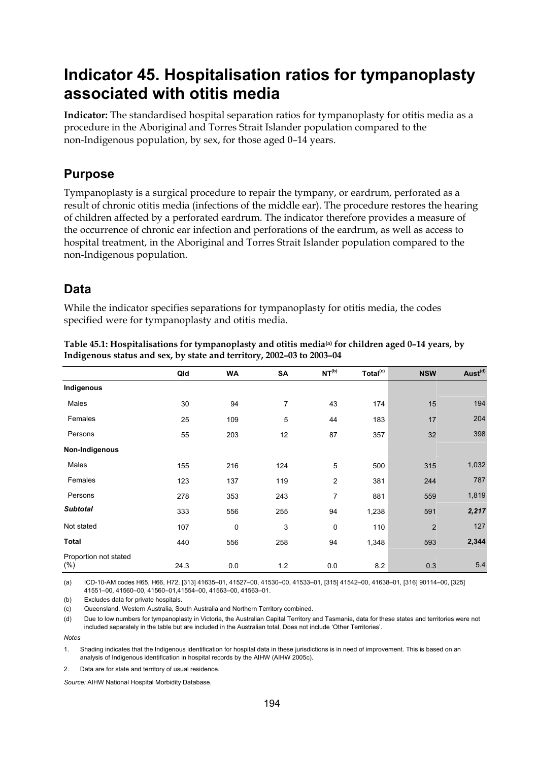# **Indicator 45. Hospitalisation ratios for tympanoplasty associated with otitis media**

**Indicator:** The standardised hospital separation ratios for tympanoplasty for otitis media as a procedure in the Aboriginal and Torres Strait Islander population compared to the non-Indigenous population, by sex, for those aged 0–14 years.

## **Purpose**

Tympanoplasty is a surgical procedure to repair the tympany, or eardrum, perforated as a result of chronic otitis media (infections of the middle ear). The procedure restores the hearing of children affected by a perforated eardrum. The indicator therefore provides a measure of the occurrence of chronic ear infection and perforations of the eardrum, as well as access to hospital treatment, in the Aboriginal and Torres Strait Islander population compared to the non-Indigenous population.

## **Data**

While the indicator specifies separations for tympanoplasty for otitis media, the codes specified were for tympanoplasty and otitis media.

|                                 | Qld  | <b>WA</b> | SA  | NT <sup>(b)</sup> | Total <sup>(c)</sup> | <b>NSW</b>     | Aust <sup>(d)</sup> |
|---------------------------------|------|-----------|-----|-------------------|----------------------|----------------|---------------------|
| Indigenous                      |      |           |     |                   |                      |                |                     |
| Males                           | 30   | 94        | 7   | 43                | 174                  | 15             | 194                 |
| Females                         | 25   | 109       | 5   | 44                | 183                  | 17             | 204                 |
| Persons                         | 55   | 203       | 12  | 87                | 357                  | 32             | 398                 |
| Non-Indigenous                  |      |           |     |                   |                      |                |                     |
| Males                           | 155  | 216       | 124 | 5                 | 500                  | 315            | 1,032               |
| Females                         | 123  | 137       | 119 | $\overline{2}$    | 381                  | 244            | 787                 |
| Persons                         | 278  | 353       | 243 | $\overline{7}$    | 881                  | 559            | 1,819               |
| <b>Subtotal</b>                 | 333  | 556       | 255 | 94                | 1,238                | 591            | 2,217               |
| Not stated                      | 107  | 0         | 3   | $\mathbf 0$       | 110                  | $\overline{2}$ | 127                 |
| <b>Total</b>                    | 440  | 556       | 258 | 94                | 1,348                | 593            | 2,344               |
| Proportion not stated<br>$(\%)$ | 24.3 | 0.0       | 1.2 | 0.0               | 8.2                  | 0.3            | 5.4                 |

Table 45.1: Hospitalisations for tympanoplasty and otitis media<sup>(a)</sup> for children aged 0-14 years, by **Indigenous status and sex, by state and territory, 2002–03 to 2003–04** 

(a) ICD-10-AM codes H65, H66, H72, [313] 41635–01, 41527–00, 41530–00, 41533–01, [315] 41542–00, 41638–01, [316] 90114–00, [325] 41551–00, 41560–00, 41560–01,41554–00, 41563–00, 41563–01.

(b) Excludes data for private hospitals.

(c) Queensland, Western Australia, South Australia and Northern Territory combined.

(d) Due to low numbers for tympanoplasty in Victoria, the Australian Capital Territory and Tasmania, data for these states and territories were not included separately in the table but are included in the Australian total. Does not include 'Other Territories'.

*Notes* 

1. Shading indicates that the Indigenous identification for hospital data in these jurisdictions is in need of improvement. This is based on an analysis of Indigenous identification in hospital records by the AIHW (AIHW 2005c).

2. Data are for state and territory of usual residence.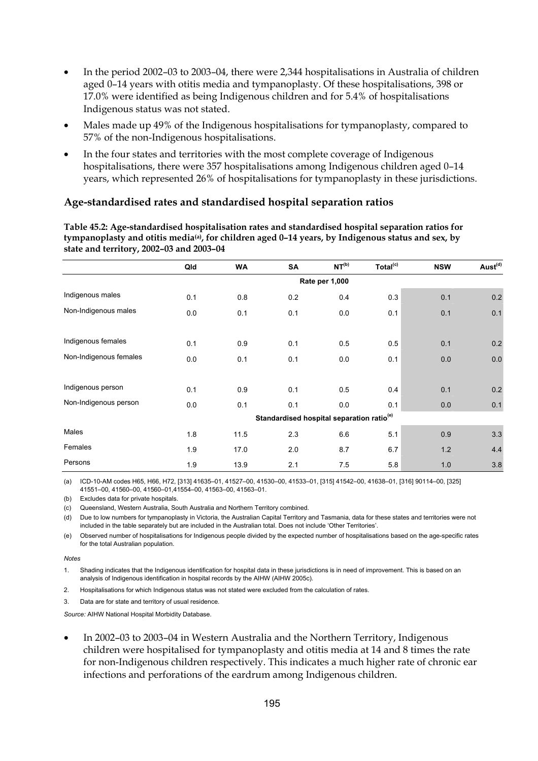- In the period 2002–03 to 2003–04, there were 2,344 hospitalisations in Australia of children aged 0–14 years with otitis media and tympanoplasty. Of these hospitalisations, 398 or 17.0% were identified as being Indigenous children and for 5.4% of hospitalisations Indigenous status was not stated.
- Males made up 49% of the Indigenous hospitalisations for tympanoplasty, compared to 57% of the non-Indigenous hospitalisations.
- In the four states and territories with the most complete coverage of Indigenous hospitalisations, there were 357 hospitalisations among Indigenous children aged 0–14 years, which represented 26% of hospitalisations for tympanoplasty in these jurisdictions.

**Table 45.2: Age-standardised hospitalisation rates and standardised hospital separation ratios for tympanoplasty and otitis media(a), for children aged 0–14 years, by Indigenous status and sex, by state and territory, 2002–03 and 2003–04** 

|                        | Qld            | <b>WA</b> | SA                                                    | NT <sup>(b)</sup> | Total <sup>(c)</sup> | <b>NSW</b> | Aust <sup>(d)</sup> |  |  |  |  |
|------------------------|----------------|-----------|-------------------------------------------------------|-------------------|----------------------|------------|---------------------|--|--|--|--|
|                        | Rate per 1,000 |           |                                                       |                   |                      |            |                     |  |  |  |  |
| Indigenous males       | 0.1            | 0.8       | 0.2                                                   | 0.4               | 0.3                  | 0.1        | 0.2                 |  |  |  |  |
| Non-Indigenous males   | 0.0            | 0.1       | 0.1                                                   | 0.0               | 0.1                  | 0.1        | 0.1                 |  |  |  |  |
|                        |                |           |                                                       |                   |                      |            |                     |  |  |  |  |
| Indigenous females     | 0.1            | 0.9       | 0.1                                                   | 0.5               | 0.5                  | 0.1        | 0.2                 |  |  |  |  |
| Non-Indigenous females | 0.0            | 0.1       | 0.1                                                   | 0.0               | 0.1                  | 0.0        | 0.0                 |  |  |  |  |
|                        |                |           |                                                       |                   |                      |            |                     |  |  |  |  |
| Indigenous person      | 0.1            | 0.9       | 0.1                                                   | 0.5               | 0.4                  | 0.1        | 0.2                 |  |  |  |  |
| Non-Indigenous person  | 0.0            | 0.1       | 0.1                                                   | 0.0               | 0.1                  | 0.0        | 0.1                 |  |  |  |  |
|                        |                |           | Standardised hospital separation ratio <sup>(e)</sup> |                   |                      |            |                     |  |  |  |  |
| Males                  | 1.8            | 11.5      | 2.3                                                   | 6.6               | 5.1                  | 0.9        | 3.3                 |  |  |  |  |
| Females                | 1.9            | 17.0      | 2.0                                                   | 8.7               | 6.7                  | 1.2        | 4.4                 |  |  |  |  |
| Persons                | 1.9            | 13.9      | 2.1                                                   | 7.5               | 5.8                  | 1.0        | 3.8                 |  |  |  |  |

(a) ICD-10-AM codes H65, H66, H72, [313] 41635–01, 41527–00, 41530–00, 41533–01, [315] 41542–00, 41638–01, [316] 90114–00, [325] 41551–00, 41560–00, 41560–01,41554–00, 41563–00, 41563–01.

(b) Excludes data for private hospitals.

(c) Queensland, Western Australia, South Australia and Northern Territory combined.

(d) Due to low numbers for tympanoplasty in Victoria, the Australian Capital Territory and Tasmania, data for these states and territories were not included in the table separately but are included in the Australian total. Does not include 'Other Territories'.

(e) Observed number of hospitalisations for Indigenous people divided by the expected number of hospitalisations based on the age-specific rates for the total Australian population.

#### *Notes*

1. Shading indicates that the Indigenous identification for hospital data in these jurisdictions is in need of improvement. This is based on an analysis of Indigenous identification in hospital records by the AIHW (AIHW 2005c).

2. Hospitalisations for which Indigenous status was not stated were excluded from the calculation of rates.

3. Data are for state and territory of usual residence.

*Source:* AIHW National Hospital Morbidity Database.

• In 2002–03 to 2003–04 in Western Australia and the Northern Territory, Indigenous children were hospitalised for tympanoplasty and otitis media at 14 and 8 times the rate for non-Indigenous children respectively. This indicates a much higher rate of chronic ear infections and perforations of the eardrum among Indigenous children.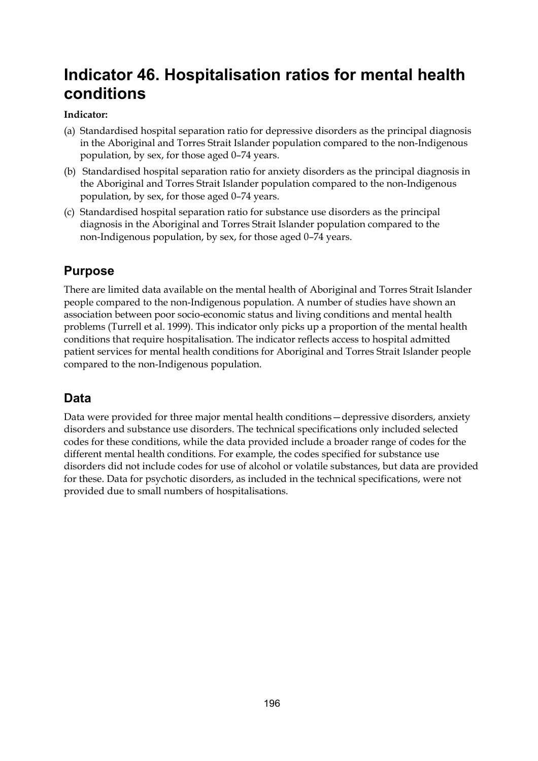# **Indicator 46. Hospitalisation ratios for mental health conditions**

## **Indicator:**

- (a) Standardised hospital separation ratio for depressive disorders as the principal diagnosis in the Aboriginal and Torres Strait Islander population compared to the non-Indigenous population, by sex, for those aged 0–74 years.
- (b) Standardised hospital separation ratio for anxiety disorders as the principal diagnosis in the Aboriginal and Torres Strait Islander population compared to the non-Indigenous population, by sex, for those aged 0–74 years.
- (c) Standardised hospital separation ratio for substance use disorders as the principal diagnosis in the Aboriginal and Torres Strait Islander population compared to the non-Indigenous population, by sex, for those aged 0–74 years.

# **Purpose**

There are limited data available on the mental health of Aboriginal and Torres Strait Islander people compared to the non-Indigenous population. A number of studies have shown an association between poor socio-economic status and living conditions and mental health problems (Turrell et al. 1999). This indicator only picks up a proportion of the mental health conditions that require hospitalisation. The indicator reflects access to hospital admitted patient services for mental health conditions for Aboriginal and Torres Strait Islander people compared to the non-Indigenous population.

# **Data**

Data were provided for three major mental health conditions—depressive disorders, anxiety disorders and substance use disorders. The technical specifications only included selected codes for these conditions, while the data provided include a broader range of codes for the different mental health conditions. For example, the codes specified for substance use disorders did not include codes for use of alcohol or volatile substances, but data are provided for these. Data for psychotic disorders, as included in the technical specifications, were not provided due to small numbers of hospitalisations.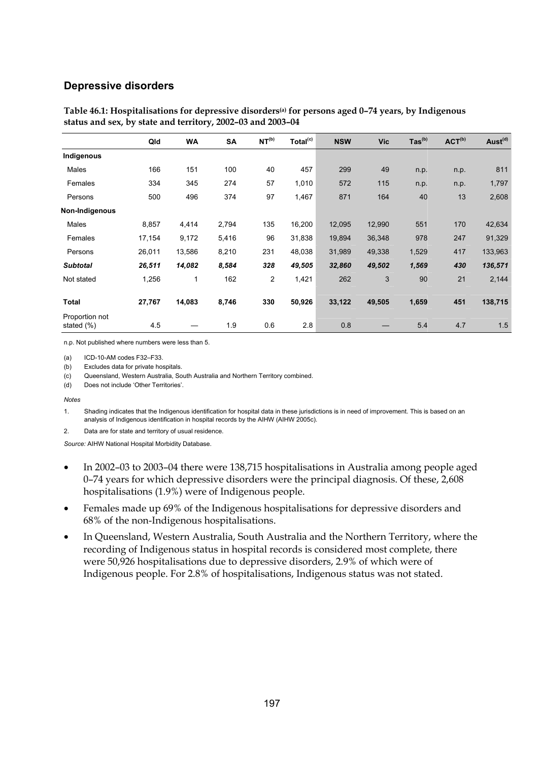#### **Depressive disorders**

|                              | Qld    | <b>WA</b> | SA    | NT <sup>(b)</sup> | Total <sup>(c)</sup> | <b>NSW</b> | <b>Vic</b> | $\text{Tas}^{\text{(b)}}$ | ACT <sup>(b)</sup> | Aust <sup>(d)</sup> |
|------------------------------|--------|-----------|-------|-------------------|----------------------|------------|------------|---------------------------|--------------------|---------------------|
| Indigenous                   |        |           |       |                   |                      |            |            |                           |                    |                     |
| Males                        | 166    | 151       | 100   | 40                | 457                  | 299        | 49         | n.p.                      | n.p.               | 811                 |
| Females                      | 334    | 345       | 274   | 57                | 1,010                | 572        | 115        | n.p.                      | n.p.               | 1,797               |
| Persons                      | 500    | 496       | 374   | 97                | 1,467                | 871        | 164        | 40                        | 13                 | 2,608               |
| Non-Indigenous               |        |           |       |                   |                      |            |            |                           |                    |                     |
| Males                        | 8,857  | 4,414     | 2,794 | 135               | 16,200               | 12,095     | 12,990     | 551                       | 170                | 42,634              |
| Females                      | 17,154 | 9,172     | 5,416 | 96                | 31,838               | 19,894     | 36,348     | 978                       | 247                | 91,329              |
| Persons                      | 26,011 | 13,586    | 8,210 | 231               | 48,038               | 31,989     | 49,338     | 1,529                     | 417                | 133,963             |
| <b>Subtotal</b>              | 26,511 | 14,082    | 8,584 | 328               | 49,505               | 32,860     | 49,502     | 1,569                     | 430                | 136,571             |
| Not stated                   | 1,256  | 1         | 162   | $\overline{c}$    | 1,421                | 262        | 3          | 90                        | 21                 | 2,144               |
| <b>Total</b>                 | 27,767 | 14,083    | 8,746 | 330               | 50,926               | 33,122     | 49,505     | 1,659                     | 451                | 138,715             |
| Proportion not<br>stated (%) | 4.5    |           | 1.9   | 0.6               | 2.8                  | 0.8        |            | 5.4                       | 4.7                | 1.5                 |

#### **Table 46.1: Hospitalisations for depressive disorders(a) for persons aged 0–74 years, by Indigenous status and sex, by state and territory, 2002–03 and 2003–04**

n.p. Not published where numbers were less than 5.

(a) ICD-10-AM codes F32–F33.

(b) Excludes data for private hospitals.

(c) Queensland, Western Australia, South Australia and Northern Territory combined.

(d) Does not include 'Other Territories'.

*Notes* 

1. Shading indicates that the Indigenous identification for hospital data in these jurisdictions is in need of improvement. This is based on an analysis of Indigenous identification in hospital records by the AIHW (AIHW 2005c).

2. Data are for state and territory of usual residence.

- In 2002–03 to 2003–04 there were 138,715 hospitalisations in Australia among people aged 0–74 years for which depressive disorders were the principal diagnosis. Of these, 2,608 hospitalisations (1.9%) were of Indigenous people.
- Females made up 69% of the Indigenous hospitalisations for depressive disorders and 68% of the non-Indigenous hospitalisations.
- In Queensland, Western Australia, South Australia and the Northern Territory, where the recording of Indigenous status in hospital records is considered most complete, there were 50,926 hospitalisations due to depressive disorders, 2.9% of which were of Indigenous people. For 2.8% of hospitalisations, Indigenous status was not stated.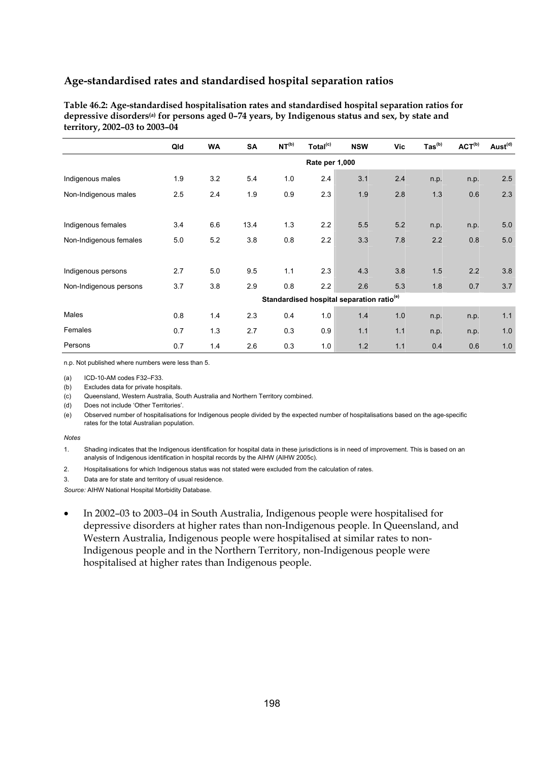**Table 46.2: Age-standardised hospitalisation rates and standardised hospital separation ratios for depressive disorders(a) for persons aged 0–74 years, by Indigenous status and sex, by state and territory, 2002–03 to 2003–04** 

|                        | Qld | <b>WA</b> | SA   | NT <sup>(b)</sup> | Total <sup>(c)</sup> | <b>NSW</b>                                            | <b>Vic</b> | $\text{Tas}^{(b)}$ | ACT <sup>(b)</sup> | Aust <sup>(d)</sup> |
|------------------------|-----|-----------|------|-------------------|----------------------|-------------------------------------------------------|------------|--------------------|--------------------|---------------------|
|                        |     |           |      |                   | Rate per 1,000       |                                                       |            |                    |                    |                     |
| Indigenous males       | 1.9 | 3.2       | 5.4  | 1.0               | 2.4                  | 3.1                                                   | 2.4        | n.p.               | n.p.               | 2.5                 |
| Non-Indigenous males   | 2.5 | 2.4       | 1.9  | 0.9               | 2.3                  | 1.9                                                   | 2.8        | 1.3                | 0.6                | 2.3                 |
|                        |     |           |      |                   |                      |                                                       |            |                    |                    |                     |
| Indigenous females     | 3.4 | 6.6       | 13.4 | 1.3               | 2.2                  | 5.5                                                   | 5.2        | n.p.               | n.p.               | 5.0                 |
| Non-Indigenous females | 5.0 | 5.2       | 3.8  | 0.8               | 2.2                  | 3.3                                                   | 7.8        | 2.2                | 0.8                | 5.0                 |
|                        |     |           |      |                   |                      |                                                       |            |                    |                    |                     |
| Indigenous persons     | 2.7 | 5.0       | 9.5  | 1.1               | 2.3                  | 4.3                                                   | 3.8        | 1.5                | 2.2                | 3.8                 |
| Non-Indigenous persons | 3.7 | 3.8       | 2.9  | 0.8               | 2.2                  | 2.6                                                   | 5.3        | 1.8                | 0.7                | 3.7                 |
|                        |     |           |      |                   |                      | Standardised hospital separation ratio <sup>(e)</sup> |            |                    |                    |                     |
| Males                  | 0.8 | 1.4       | 2.3  | 0.4               | 1.0                  | 1.4                                                   | 1.0        | n.p.               | n.p.               | 1.1                 |
| Females                | 0.7 | 1.3       | 2.7  | 0.3               | 0.9                  | 1.1                                                   | 1.1        | n.p.               | n.p.               | 1.0                 |
| Persons                | 0.7 | 1.4       | 2.6  | 0.3               | 1.0                  | 1.2                                                   | 1.1        | 0.4                | 0.6                | 1.0                 |

n.p. Not published where numbers were less than 5.

(a) ICD-10-AM codes F32–F33.

(b) Excludes data for private hospitals.

(c) Queensland, Western Australia, South Australia and Northern Territory combined.

(d) Does not include 'Other Territories'.

(e) Observed number of hospitalisations for Indigenous people divided by the expected number of hospitalisations based on the age-specific rates for the total Australian population.

#### *Notes*

1. Shading indicates that the Indigenous identification for hospital data in these jurisdictions is in need of improvement. This is based on an analysis of Indigenous identification in hospital records by the AIHW (AIHW 2005c).

2. Hospitalisations for which Indigenous status was not stated were excluded from the calculation of rates.

3. Data are for state and territory of usual residence.

*Source:* AIHW National Hospital Morbidity Database.

• In 2002–03 to 2003–04 in South Australia, Indigenous people were hospitalised for depressive disorders at higher rates than non-Indigenous people. In Queensland, and Western Australia, Indigenous people were hospitalised at similar rates to non-Indigenous people and in the Northern Territory, non-Indigenous people were hospitalised at higher rates than Indigenous people.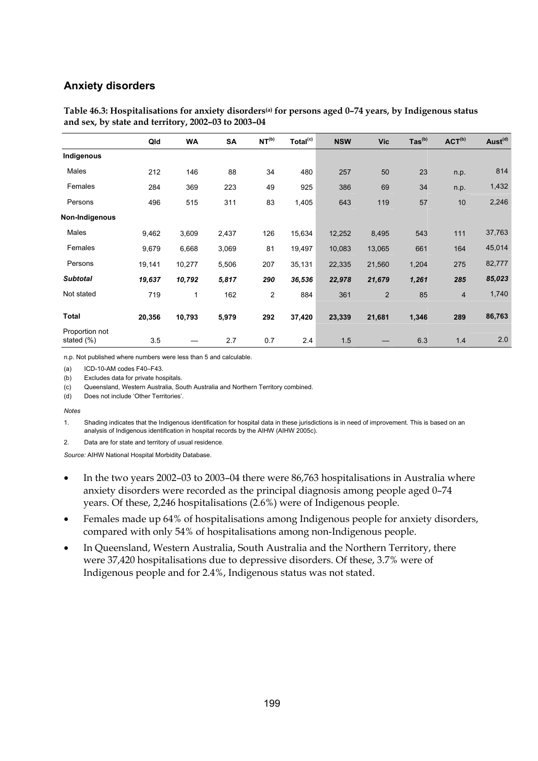#### **Anxiety disorders**

|                              | Qld    | <b>WA</b>    | <b>SA</b> | NT <sup>(b)</sup> | Total <sup>(c)</sup> | <b>NSW</b> | <b>Vic</b>     | $\text{Tas}^{\text{(b)}}$ | ACT <sup>(b)</sup> | Aust <sup>(d)</sup> |
|------------------------------|--------|--------------|-----------|-------------------|----------------------|------------|----------------|---------------------------|--------------------|---------------------|
| Indigenous                   |        |              |           |                   |                      |            |                |                           |                    |                     |
| Males                        | 212    | 146          | 88        | 34                | 480                  | 257        | 50             | 23                        | n.p.               | 814                 |
| Females                      | 284    | 369          | 223       | 49                | 925                  | 386        | 69             | 34                        | n.p.               | 1,432               |
| Persons                      | 496    | 515          | 311       | 83                | 1,405                | 643        | 119            | 57                        | 10                 | 2,246               |
| Non-Indigenous               |        |              |           |                   |                      |            |                |                           |                    |                     |
| Males                        | 9,462  | 3,609        | 2,437     | 126               | 15,634               | 12,252     | 8,495          | 543                       | 111                | 37,763              |
| Females                      | 9,679  | 6,668        | 3,069     | 81                | 19,497               | 10,083     | 13,065         | 661                       | 164                | 45,014              |
| Persons                      | 19,141 | 10,277       | 5,506     | 207               | 35,131               | 22,335     | 21,560         | 1,204                     | 275                | 82,777              |
| <b>Subtotal</b>              | 19,637 | 10,792       | 5,817     | 290               | 36,536               | 22,978     | 21,679         | 1,261                     | 285                | 85,023              |
| Not stated                   | 719    | $\mathbf{1}$ | 162       | 2                 | 884                  | 361        | $\overline{2}$ | 85                        | $\overline{4}$     | 1,740               |
| <b>Total</b>                 | 20,356 | 10,793       | 5,979     | 292               | 37,420               | 23,339     | 21,681         | 1,346                     | 289                | 86,763              |
| Proportion not<br>stated (%) | 3.5    |              | 2.7       | 0.7               | 2.4                  | 1.5        |                | 6.3                       | 1.4                | 2.0                 |

**Table 46.3: Hospitalisations for anxiety disorders(a) for persons aged 0–74 years, by Indigenous status and sex, by state and territory, 2002–03 to 2003–04** 

n.p. Not published where numbers were less than 5 and calculable.

(a) ICD-10-AM codes F40–F43.

(b) Excludes data for private hospitals.

(c) Queensland, Western Australia, South Australia and Northern Territory combined.

(d) Does not include 'Other Territories'.

#### *Notes*

1. Shading indicates that the Indigenous identification for hospital data in these jurisdictions is in need of improvement. This is based on an analysis of Indigenous identification in hospital records by the AIHW (AIHW 2005c).

2. Data are for state and territory of usual residence.

- In the two years 2002–03 to 2003–04 there were 86,763 hospitalisations in Australia where anxiety disorders were recorded as the principal diagnosis among people aged 0–74 years. Of these, 2,246 hospitalisations (2.6%) were of Indigenous people.
- Females made up 64% of hospitalisations among Indigenous people for anxiety disorders, compared with only 54% of hospitalisations among non-Indigenous people.
- In Queensland, Western Australia, South Australia and the Northern Territory, there were 37,420 hospitalisations due to depressive disorders. Of these, 3.7% were of Indigenous people and for 2.4%, Indigenous status was not stated.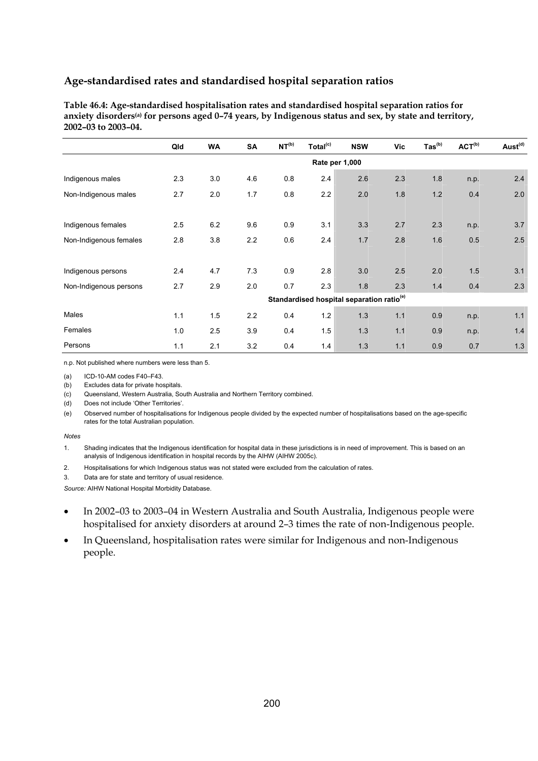**Table 46.4: Age-standardised hospitalisation rates and standardised hospital separation ratios for anxiety disorders(a) for persons aged 0–74 years, by Indigenous status and sex, by state and territory, 2002–03 to 2003–04.** 

|                        | Qld            | <b>WA</b> | <b>SA</b> | NT <sup>(b)</sup> | Total <sup>(c)</sup> | <b>NSW</b>                                            | <b>Vic</b> | $\text{Tas}^{\text{(b)}}$ | ACT <sup>(b)</sup> | Aust <sup>(d)</sup> |  |  |
|------------------------|----------------|-----------|-----------|-------------------|----------------------|-------------------------------------------------------|------------|---------------------------|--------------------|---------------------|--|--|
|                        | Rate per 1,000 |           |           |                   |                      |                                                       |            |                           |                    |                     |  |  |
| Indigenous males       | 2.3            | 3.0       | 4.6       | 0.8               | 2.4                  | 2.6                                                   | 2.3        | 1.8                       | n.p.               | 2.4                 |  |  |
| Non-Indigenous males   | 2.7            | 2.0       | 1.7       | 0.8               | 2.2                  | 2.0                                                   | 1.8        | 1.2                       | 0.4                | 2.0                 |  |  |
|                        |                |           |           |                   |                      |                                                       |            |                           |                    |                     |  |  |
| Indigenous females     | 2.5            | 6.2       | 9.6       | 0.9               | 3.1                  | 3.3                                                   | 2.7        | 2.3                       | n.p.               | 3.7                 |  |  |
| Non-Indigenous females | 2.8            | 3.8       | 2.2       | 0.6               | 2.4                  | 1.7                                                   | 2.8        | 1.6                       | 0.5                | 2.5                 |  |  |
|                        |                |           |           |                   |                      |                                                       |            |                           |                    |                     |  |  |
| Indigenous persons     | 2.4            | 4.7       | 7.3       | 0.9               | 2.8                  | 3.0                                                   | 2.5        | 2.0                       | 1.5                | 3.1                 |  |  |
| Non-Indigenous persons | 2.7            | 2.9       | 2.0       | 0.7               | 2.3                  | 1.8                                                   | 2.3        | 1.4                       | 0.4                | 2.3                 |  |  |
|                        |                |           |           |                   |                      | Standardised hospital separation ratio <sup>(e)</sup> |            |                           |                    |                     |  |  |
| Males                  | 1.1            | 1.5       | 2.2       | 0.4               | 1.2                  | 1.3                                                   | 1.1        | 0.9                       | n.p.               | 1.1                 |  |  |
| Females                | 1.0            | 2.5       | 3.9       | 0.4               | 1.5                  | 1.3                                                   | 1.1        | 0.9                       | n.p.               | 1.4                 |  |  |
| Persons                | 1.1            | 2.1       | 3.2       | 0.4               | 1.4                  | 1.3                                                   | 1.1        | 0.9                       | 0.7                | 1.3                 |  |  |

n.p. Not published where numbers were less than 5.

(a) ICD-10-AM codes F40–F43.

(b) Excludes data for private hospitals.

(c) Queensland, Western Australia, South Australia and Northern Territory combined.

(d) Does not include 'Other Territories'.

(e) Observed number of hospitalisations for Indigenous people divided by the expected number of hospitalisations based on the age-specific rates for the total Australian population.

#### *Notes*

1. Shading indicates that the Indigenous identification for hospital data in these jurisdictions is in need of improvement. This is based on an analysis of Indigenous identification in hospital records by the AIHW (AIHW 2005c).

2. Hospitalisations for which Indigenous status was not stated were excluded from the calculation of rates.

3. Data are for state and territory of usual residence.

- In 2002–03 to 2003–04 in Western Australia and South Australia, Indigenous people were hospitalised for anxiety disorders at around 2–3 times the rate of non-Indigenous people.
- In Queensland, hospitalisation rates were similar for Indigenous and non-Indigenous people.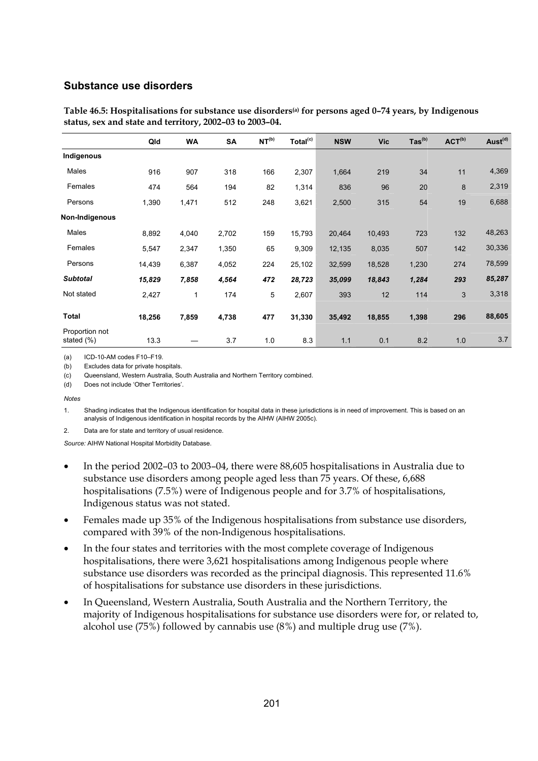#### **Substance use disorders**

|                              | Qld    | <b>WA</b> | <b>SA</b> | NT <sup>(b)</sup> | Total <sup>(c)</sup> | <b>NSW</b> | <b>Vic</b> | $\text{Tas}^{\text{(b)}}$ | ACT <sup>(b)</sup> | Aust <sup>(d)</sup> |
|------------------------------|--------|-----------|-----------|-------------------|----------------------|------------|------------|---------------------------|--------------------|---------------------|
| Indigenous                   |        |           |           |                   |                      |            |            |                           |                    |                     |
| Males                        | 916    | 907       | 318       | 166               | 2,307                | 1,664      | 219        | 34                        | 11                 | 4,369               |
| Females                      | 474    | 564       | 194       | 82                | 1,314                | 836        | 96         | 20                        | 8                  | 2,319               |
| Persons                      | 1,390  | 1,471     | 512       | 248               | 3,621                | 2,500      | 315        | 54                        | 19                 | 6,688               |
| Non-Indigenous               |        |           |           |                   |                      |            |            |                           |                    |                     |
| Males                        | 8,892  | 4,040     | 2,702     | 159               | 15,793               | 20,464     | 10,493     | 723                       | 132                | 48,263              |
| Females                      | 5,547  | 2,347     | 1,350     | 65                | 9,309                | 12,135     | 8,035      | 507                       | 142                | 30,336              |
| Persons                      | 14,439 | 6,387     | 4,052     | 224               | 25,102               | 32,599     | 18,528     | 1,230                     | 274                | 78,599              |
| <b>Subtotal</b>              | 15,829 | 7,858     | 4,564     | 472               | 28,723               | 35,099     | 18,843     | 1,284                     | 293                | 85,287              |
| Not stated                   | 2,427  | 1         | 174       | 5                 | 2,607                | 393        | 12         | 114                       | 3                  | 3,318               |
| <b>Total</b>                 | 18,256 | 7,859     | 4,738     | 477               | 31,330               | 35,492     | 18,855     | 1,398                     | 296                | 88,605              |
| Proportion not<br>stated (%) | 13.3   |           | 3.7       | 1.0               | 8.3                  | 1.1        | 0.1        | 8.2                       | 1.0                | 3.7                 |

**Table 46.5: Hospitalisations for substance use disorders(a) for persons aged 0–74 years, by Indigenous status, sex and state and territory, 2002–03 to 2003–04.** 

(a) ICD-10-AM codes F10–F19.

(b) Excludes data for private hospitals.

(c) Queensland, Western Australia, South Australia and Northern Territory combined.

(d) Does not include 'Other Territories'.

*Notes* 

1. Shading indicates that the Indigenous identification for hospital data in these jurisdictions is in need of improvement. This is based on an analysis of Indigenous identification in hospital records by the AIHW (AIHW 2005c).

2. Data are for state and territory of usual residence.

- In the period 2002–03 to 2003–04, there were 88,605 hospitalisations in Australia due to substance use disorders among people aged less than 75 years. Of these, 6,688 hospitalisations (7.5%) were of Indigenous people and for 3.7% of hospitalisations, Indigenous status was not stated.
- Females made up 35% of the Indigenous hospitalisations from substance use disorders, compared with 39% of the non-Indigenous hospitalisations.
- In the four states and territories with the most complete coverage of Indigenous hospitalisations, there were 3,621 hospitalisations among Indigenous people where substance use disorders was recorded as the principal diagnosis. This represented 11.6% of hospitalisations for substance use disorders in these jurisdictions.
- In Queensland, Western Australia, South Australia and the Northern Territory, the majority of Indigenous hospitalisations for substance use disorders were for, or related to, alcohol use (75%) followed by cannabis use (8%) and multiple drug use (7%).